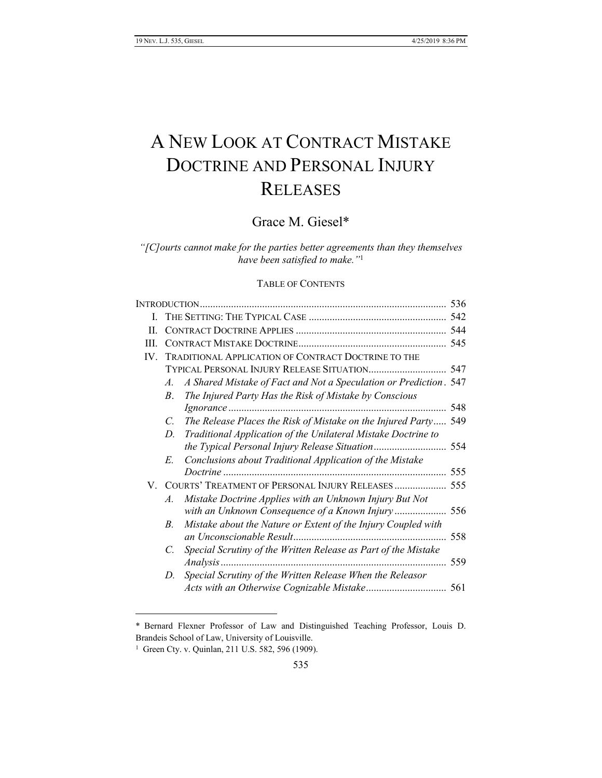# A NEW LOOK AT CONTRACT MISTAKE DOCTRINE AND PERSONAL INJURY RELEASES

# Grace M. Giesel\*

*"[C]ourts cannot make for the parties better agreements than they themselves have been satisfied to make."*<sup>1</sup>

# TABLE OF CONTENTS

| I.  |                                                                                  |     |  |  |
|-----|----------------------------------------------------------------------------------|-----|--|--|
| H.  |                                                                                  |     |  |  |
| HI. |                                                                                  |     |  |  |
| IV. | TRADITIONAL APPLICATION OF CONTRACT DOCTRINE TO THE                              |     |  |  |
|     | TYPICAL PERSONAL INJURY RELEASE SITUATION 547                                    |     |  |  |
|     | A Shared Mistake of Fact and Not a Speculation or Prediction. 547<br>A.          |     |  |  |
|     | The Injured Party Has the Risk of Mistake by Conscious<br>$B_{\cdot}$            |     |  |  |
|     |                                                                                  |     |  |  |
|     | The Release Places the Risk of Mistake on the Injured Party 549<br>$\mathcal{C}$ |     |  |  |
|     | Traditional Application of the Unilateral Mistake Doctrine to<br>D.              |     |  |  |
|     |                                                                                  |     |  |  |
|     | Conclusions about Traditional Application of the Mistake<br>E.                   |     |  |  |
|     |                                                                                  |     |  |  |
|     | V. COURTS' TREATMENT OF PERSONAL INJURY RELEASES  555                            |     |  |  |
|     | Mistake Doctrine Applies with an Unknown Injury But Not<br>$\mathcal{A}$ .       |     |  |  |
|     | with an Unknown Consequence of a Known Injury 556                                |     |  |  |
|     | Mistake about the Nature or Extent of the Injury Coupled with<br>B.              |     |  |  |
|     |                                                                                  | 558 |  |  |
|     | Special Scrutiny of the Written Release as Part of the Mistake<br>C.             |     |  |  |
|     |                                                                                  | 559 |  |  |
|     | Special Scrutiny of the Written Release When the Releasor<br>D.                  |     |  |  |
|     |                                                                                  |     |  |  |
|     |                                                                                  |     |  |  |

\* Bernard Flexner Professor of Law and Distinguished Teaching Professor, Louis D. Brandeis School of Law, University of Louisville.

<sup>1</sup> Green Cty. v. Quinlan, 211 U.S. 582, 596 (1909).

l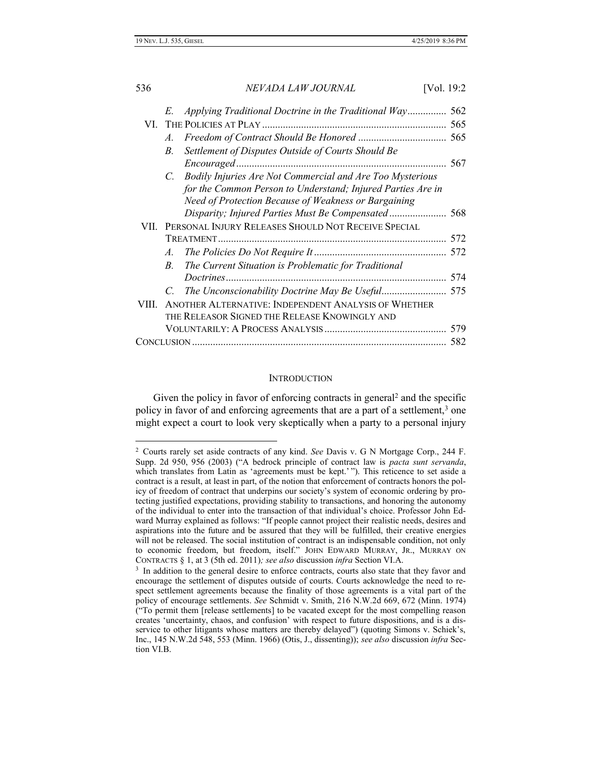| 536        |               | NEVADA LAW JOURNAL                                           | [Vol. 19:2 |
|------------|---------------|--------------------------------------------------------------|------------|
|            | E.            | Applying Traditional Doctrine in the Traditional Way         | 562<br>565 |
|            | $A_{\cdot}$   |                                                              |            |
|            | $B_{-}$       | Settlement of Disputes Outside of Courts Should Be           |            |
|            |               | Encouraged                                                   | 567        |
|            |               | C. Bodily Injuries Are Not Commercial and Are Too Mysterious |            |
|            |               | for the Common Person to Understand; Injured Parties Are in  |            |
|            |               | Need of Protection Because of Weakness or Bargaining         |            |
|            |               | Disparity; Injured Parties Must Be Compensated 568           |            |
|            |               | VII. PERSONAL INJURY RELEASES SHOULD NOT RECEIVE SPECIAL     |            |
|            |               |                                                              |            |
|            | $A_{\cdot}$   |                                                              |            |
|            | $B_{-}$       | The Current Situation is Problematic for Traditional         |            |
|            |               |                                                              | 574        |
|            | $\mathcal{C}$ | The Unconscionability Doctrine May Be Useful 575             |            |
| VIII       |               | ANOTHER ALTERNATIVE: INDEPENDENT ANALYSIS OF WHETHER         |            |
|            |               | THE RELEASOR SIGNED THE RELEASE KNOWINGLY AND                |            |
|            |               |                                                              | 579        |
| CONCLUSION |               |                                                              | 582        |
|            |               |                                                              |            |

# **INTRODUCTION**

Given the policy in favor of enforcing contracts in general<sup>2</sup> and the specific policy in favor of and enforcing agreements that are a part of a settlement,<sup>3</sup> one might expect a court to look very skeptically when a party to a personal injury

<sup>2</sup> Courts rarely set aside contracts of any kind. *See* Davis v. G N Mortgage Corp., 244 F. Supp. 2d 950, 956 (2003) ("A bedrock principle of contract law is *pacta sunt servanda*, which translates from Latin as 'agreements must be kept.' "). This reticence to set aside a contract is a result, at least in part, of the notion that enforcement of contracts honors the policy of freedom of contract that underpins our society's system of economic ordering by protecting justified expectations, providing stability to transactions, and honoring the autonomy of the individual to enter into the transaction of that individual's choice. Professor John Edward Murray explained as follows: "If people cannot project their realistic needs, desires and aspirations into the future and be assured that they will be fulfilled, their creative energies will not be released. The social institution of contract is an indispensable condition, not only to economic freedom, but freedom, itself." JOHN EDWARD MURRAY, JR., MURRAY ON CONTRACTS § 1, at 3 (5th ed. 2011)*; see also* discussion *infra* Section VI.A.

<sup>&</sup>lt;sup>3</sup> In addition to the general desire to enforce contracts, courts also state that they favor and encourage the settlement of disputes outside of courts. Courts acknowledge the need to respect settlement agreements because the finality of those agreements is a vital part of the policy of encourage settlements. *See* Schmidt v. Smith, 216 N.W.2d 669, 672 (Minn. 1974) ("To permit them [release settlements] to be vacated except for the most compelling reason creates 'uncertainty, chaos, and confusion' with respect to future dispositions, and is a disservice to other litigants whose matters are thereby delayed") (quoting Simons v. Schiek's, Inc., 145 N.W.2d 548, 553 (Minn. 1966) (Otis, J., dissenting)); *see also* discussion *infra* Section VI.B.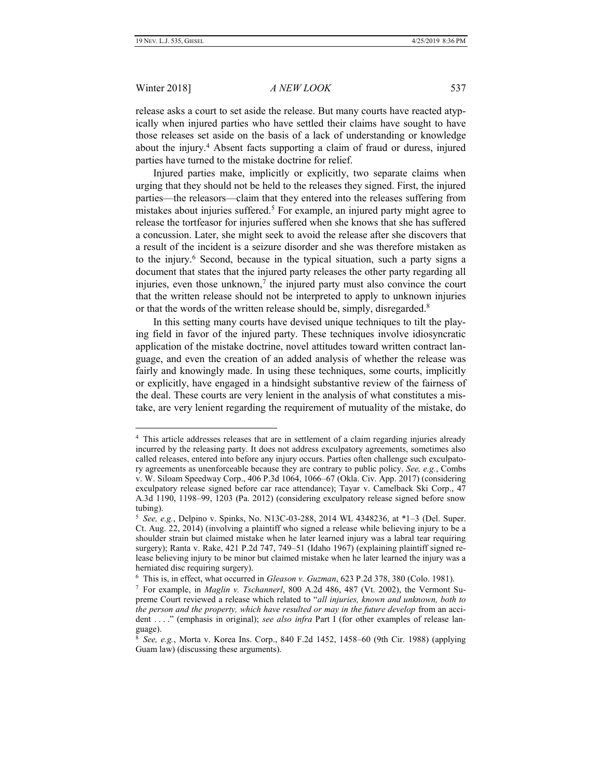#### Winter 2018] *A NEW LOOK* 537

release asks a court to set aside the release. But many courts have reacted atypically when injured parties who have settled their claims have sought to have those releases set aside on the basis of a lack of understanding or knowledge about the injury.<sup>4</sup> Absent facts supporting a claim of fraud or duress, injured parties have turned to the mistake doctrine for relief.

Injured parties make, implicitly or explicitly, two separate claims when urging that they should not be held to the releases they signed. First, the injured parties—the releasors—claim that they entered into the releases suffering from mistakes about injuries suffered.<sup>5</sup> For example, an injured party might agree to release the tortfeasor for injuries suffered when she knows that she has suffered a concussion. Later, she might seek to avoid the release after she discovers that a result of the incident is a seizure disorder and she was therefore mistaken as to the injury.<sup>6</sup> Second, because in the typical situation, such a party signs a document that states that the injured party releases the other party regarding all injuries, even those unknown, $<sup>7</sup>$  the injured party must also convince the court</sup> that the written release should not be interpreted to apply to unknown injuries or that the words of the written release should be, simply, disregarded.<sup>8</sup>

In this setting many courts have devised unique techniques to tilt the playing field in favor of the injured party. These techniques involve idiosyncratic application of the mistake doctrine, novel attitudes toward written contract language, and even the creation of an added analysis of whether the release was fairly and knowingly made. In using these techniques, some courts, implicitly or explicitly, have engaged in a hindsight substantive review of the fairness of the deal. These courts are very lenient in the analysis of what constitutes a mistake, are very lenient regarding the requirement of mutuality of the mistake, do

<sup>4</sup> This article addresses releases that are in settlement of a claim regarding injuries already incurred by the releasing party. It does not address exculpatory agreements, sometimes also called releases, entered into before any injury occurs. Parties often challenge such exculpatory agreements as unenforceable because they are contrary to public policy. *See, e.g.*, Combs v. W. Siloam Speedway Corp., 406 P.3d 1064, 1066–67 (Okla. Civ. App. 2017) (considering exculpatory release signed before car race attendance); Tayar v. Camelback Ski Corp., 47 A.3d 1190, 1198–99, 1203 (Pa. 2012) (considering exculpatory release signed before snow tubing).

<sup>5</sup> *See, e.g.*, Delpino v. Spinks, No. N13C-03-288, 2014 WL 4348236, at \*1–3 (Del. Super. Ct. Aug. 22, 2014) (involving a plaintiff who signed a release while believing injury to be a shoulder strain but claimed mistake when he later learned injury was a labral tear requiring surgery); Ranta v. Rake, 421 P.2d 747, 749–51 (Idaho 1967) (explaining plaintiff signed release believing injury to be minor but claimed mistake when he later learned the injury was a herniated disc requiring surgery).

<sup>6</sup> This is, in effect, what occurred in *Gleason v. Guzman*, 623 P.2d 378, 380 (Colo. 1981).

<sup>7</sup> For example, in *Maglin v. Tschannerl*, 800 A.2d 486, 487 (Vt. 2002), the Vermont Supreme Court reviewed a release which related to "*all injuries, known and unknown, both to the person and the property, which have resulted or may in the future develop* from an accident . . . ." (emphasis in original); *see also infra* Part I (for other examples of release language).

<sup>8</sup> *See, e.g.*, Morta v. Korea Ins. Corp., 840 F.2d 1452, 1458–60 (9th Cir. 1988) (applying Guam law) (discussing these arguments).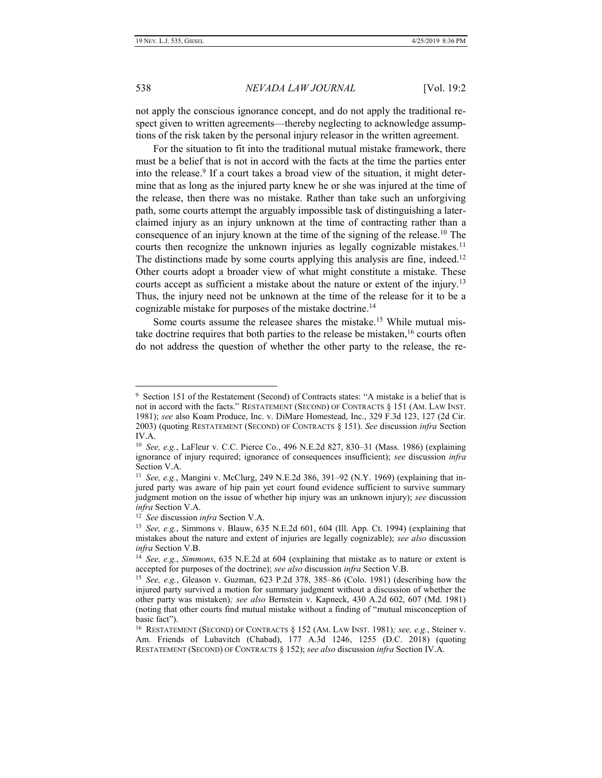538 *NEVADA LAW JOURNAL* [Vol. 19:2

not apply the conscious ignorance concept, and do not apply the traditional respect given to written agreements—thereby neglecting to acknowledge assumptions of the risk taken by the personal injury releasor in the written agreement.

For the situation to fit into the traditional mutual mistake framework, there must be a belief that is not in accord with the facts at the time the parties enter into the release.<sup>9</sup> If a court takes a broad view of the situation, it might determine that as long as the injured party knew he or she was injured at the time of the release, then there was no mistake. Rather than take such an unforgiving path, some courts attempt the arguably impossible task of distinguishing a laterclaimed injury as an injury unknown at the time of contracting rather than a consequence of an injury known at the time of the signing of the release.<sup>10</sup> The courts then recognize the unknown injuries as legally cognizable mistakes.<sup>11</sup> The distinctions made by some courts applying this analysis are fine, indeed.<sup>12</sup> Other courts adopt a broader view of what might constitute a mistake. These courts accept as sufficient a mistake about the nature or extent of the injury.<sup>13</sup> Thus, the injury need not be unknown at the time of the release for it to be a cognizable mistake for purposes of the mistake doctrine.<sup>14</sup>

Some courts assume the releasee shares the mistake.<sup>15</sup> While mutual mistake doctrine requires that both parties to the release be mistaken, <sup>16</sup> courts often do not address the question of whether the other party to the release, the re-

<sup>9</sup> Section 151 of the Restatement (Second) of Contracts states: "A mistake is a belief that is not in accord with the facts." RESTATEMENT (SECOND) OF CONTRACTS § 151 (AM. LAW INST. 1981); *see* also Koam Produce, Inc. v. DiMare Homestead, Inc., 329 F.3d 123, 127 (2d Cir. 2003) (quoting RESTATEMENT (SECOND) OF CONTRACTS § 151). *See* discussion *infra* Section IV.A.

<sup>10</sup> *See, e.g.*, LaFleur v. C.C. Pierce Co., 496 N.E.2d 827, 830–31 (Mass. 1986) (explaining ignorance of injury required; ignorance of consequences insufficient); *see* discussion *infra*  Section V.A.

<sup>11</sup> *See, e.g.*, Mangini v. McClurg, 249 N.E.2d 386, 391–92 (N.Y. 1969) (explaining that injured party was aware of hip pain yet court found evidence sufficient to survive summary judgment motion on the issue of whether hip injury was an unknown injury); *see* discussion *infra* Section V.A.

<sup>12</sup> *See* discussion *infra* Section V.A.

<sup>13</sup> *See, e.g.*, Simmons v. Blauw, 635 N.E.2d 601, 604 (Ill. App. Ct. 1994) (explaining that mistakes about the nature and extent of injuries are legally cognizable); *see also* discussion *infra* Section V.B.

<sup>14</sup> *See, e.g.*, *Simmons*, 635 N.E.2d at 604 (explaining that mistake as to nature or extent is accepted for purposes of the doctrine); *see also* discussion *infra* Section V.B.

<sup>15</sup> *See, e.g.*, Gleason v. Guzman, 623 P.2d 378, 385–86 (Colo. 1981) (describing how the injured party survived a motion for summary judgment without a discussion of whether the other party was mistaken)*; see also* Bernstein v. Kapneck, 430 A.2d 602, 607 (Md. 1981) (noting that other courts find mutual mistake without a finding of "mutual misconception of basic fact").

<sup>16</sup> RESTATEMENT (SECOND) OF CONTRACTS § 152 (AM. LAW INST. 1981)*; see, e.g.*, Steiner v. Am. Friends of Lubavitch (Chabad), 177 A.3d 1246, 1255 (D.C. 2018) (quoting RESTATEMENT (SECOND) OF CONTRACTS § 152); *see also* discussion *infra* Section IV.A.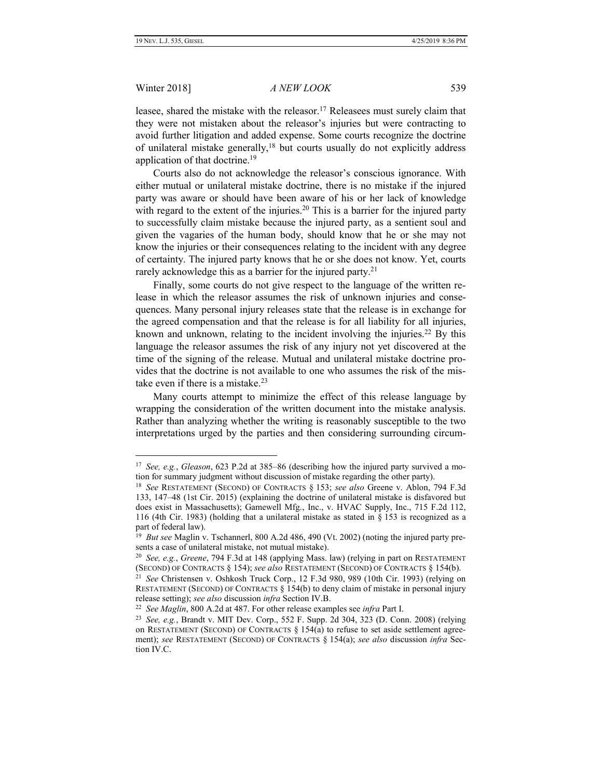### Winter 2018] *A NEW LOOK* 539

leasee, shared the mistake with the releasor.<sup>17</sup> Releasees must surely claim that they were not mistaken about the releasor's injuries but were contracting to avoid further litigation and added expense. Some courts recognize the doctrine of unilateral mistake generally,<sup>18</sup> but courts usually do not explicitly address application of that doctrine.<sup>19</sup>

Courts also do not acknowledge the releasor's conscious ignorance. With either mutual or unilateral mistake doctrine, there is no mistake if the injured party was aware or should have been aware of his or her lack of knowledge with regard to the extent of the injuries.<sup>20</sup> This is a barrier for the injured party to successfully claim mistake because the injured party, as a sentient soul and given the vagaries of the human body, should know that he or she may not know the injuries or their consequences relating to the incident with any degree of certainty. The injured party knows that he or she does not know. Yet, courts rarely acknowledge this as a barrier for the injured party.<sup>21</sup>

Finally, some courts do not give respect to the language of the written release in which the releasor assumes the risk of unknown injuries and consequences. Many personal injury releases state that the release is in exchange for the agreed compensation and that the release is for all liability for all injuries, known and unknown, relating to the incident involving the injuries.<sup>22</sup> By this language the releasor assumes the risk of any injury not yet discovered at the time of the signing of the release. Mutual and unilateral mistake doctrine provides that the doctrine is not available to one who assumes the risk of the mistake even if there is a mistake.<sup>23</sup>

Many courts attempt to minimize the effect of this release language by wrapping the consideration of the written document into the mistake analysis. Rather than analyzing whether the writing is reasonably susceptible to the two interpretations urged by the parties and then considering surrounding circum-

<sup>17</sup> *See, e.g.*, *Gleason*, 623 P.2d at 385–86 (describing how the injured party survived a motion for summary judgment without discussion of mistake regarding the other party).

<sup>18</sup> *See* RESTATEMENT (SECOND) OF CONTRACTS § 153; *see also* Greene v. Ablon, 794 F.3d 133, 147–48 (1st Cir. 2015) (explaining the doctrine of unilateral mistake is disfavored but does exist in Massachusetts); Gamewell Mfg., Inc., v. HVAC Supply, Inc., 715 F.2d 112, 116 (4th Cir. 1983) (holding that a unilateral mistake as stated in § 153 is recognized as a part of federal law).

<sup>&</sup>lt;sup>19</sup> But see Maglin v. Tschannerl, 800 A.2d 486, 490 (Vt. 2002) (noting the injured party presents a case of unilateral mistake, not mutual mistake).

<sup>20</sup> *See, e.g.*, *Greene*, 794 F.3d at 148 (applying Mass. law) (relying in part on RESTATEMENT (SECOND) OF CONTRACTS § 154); *see also* RESTATEMENT (SECOND) OF CONTRACTS § 154(b).

<sup>21</sup> *See* Christensen v. Oshkosh Truck Corp., 12 F.3d 980, 989 (10th Cir. 1993) (relying on RESTATEMENT (SECOND) OF CONTRACTS § 154(b) to deny claim of mistake in personal injury release setting); *see also* discussion *infra* Section IV.B.

<sup>22</sup> *See Maglin*, 800 A.2d at 487. For other release examples see *infra* Part I.

<sup>23</sup> *See, e.g.*, Brandt v. MIT Dev. Corp., 552 F. Supp. 2d 304, 323 (D. Conn. 2008) (relying on RESTATEMENT (SECOND) OF CONTRACTS  $\S 154(a)$  to refuse to set aside settlement agreement); *see* RESTATEMENT (SECOND) OF CONTRACTS § 154(a); *see also* discussion *infra* Section IV.C.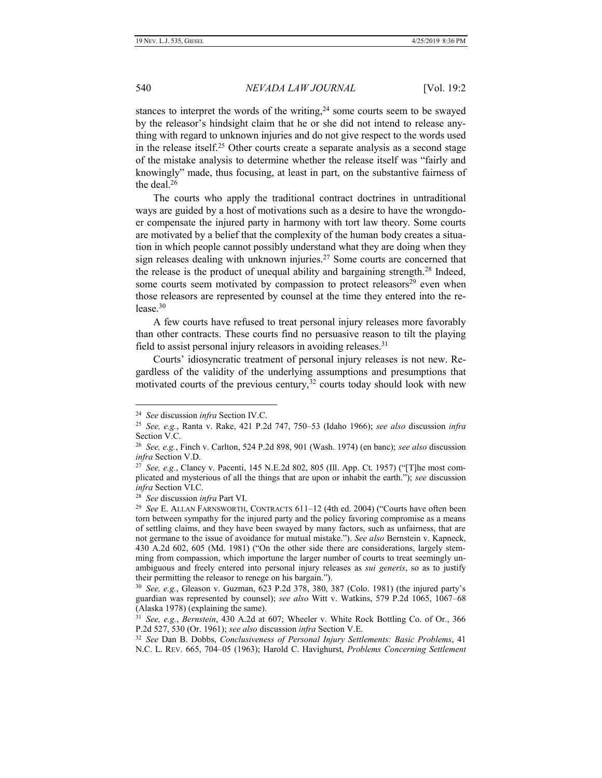stances to interpret the words of the writing,  $24$  some courts seem to be swayed by the releasor's hindsight claim that he or she did not intend to release anything with regard to unknown injuries and do not give respect to the words used in the release itself.<sup>25</sup> Other courts create a separate analysis as a second stage of the mistake analysis to determine whether the release itself was "fairly and knowingly" made, thus focusing, at least in part, on the substantive fairness of the deal. $26$ 

The courts who apply the traditional contract doctrines in untraditional ways are guided by a host of motivations such as a desire to have the wrongdoer compensate the injured party in harmony with tort law theory. Some courts are motivated by a belief that the complexity of the human body creates a situation in which people cannot possibly understand what they are doing when they sign releases dealing with unknown injuries.<sup>27</sup> Some courts are concerned that the release is the product of unequal ability and bargaining strength.<sup>28</sup> Indeed, some courts seem motivated by compassion to protect releasors<sup>29</sup> even when those releasors are represented by counsel at the time they entered into the release. $30$ 

A few courts have refused to treat personal injury releases more favorably than other contracts. These courts find no persuasive reason to tilt the playing field to assist personal injury releasors in avoiding releases. $31$ 

Courts' idiosyncratic treatment of personal injury releases is not new. Regardless of the validity of the underlying assumptions and presumptions that motivated courts of the previous century,<sup>32</sup> courts today should look with new

<sup>24</sup> *See* discussion *infra* Section IV.C.

<sup>25</sup> *See, e.g.*, Ranta v. Rake, 421 P.2d 747, 750–53 (Idaho 1966); *see also* discussion *infra*  Section V.C.

<sup>26</sup> *See, e.g.*, Finch v. Carlton, 524 P.2d 898, 901 (Wash. 1974) (en banc); *see also* discussion *infra* Section V.D.

<sup>27</sup> *See, e.g.*, Clancy v. Pacenti, 145 N.E.2d 802, 805 (Ill. App. Ct. 1957) ("[T]he most complicated and mysterious of all the things that are upon or inhabit the earth."); *see* discussion *infra* Section VI.C.

<sup>28</sup> *See* discussion *infra* Part VI.

<sup>29</sup> *See* E. ALLAN FARNSWORTH, CONTRACTS 611–12 (4th ed. 2004) ("Courts have often been torn between sympathy for the injured party and the policy favoring compromise as a means of settling claims, and they have been swayed by many factors, such as unfairness, that are not germane to the issue of avoidance for mutual mistake."). *See also* Bernstein v. Kapneck, 430 A.2d 602, 605 (Md. 1981) ("On the other side there are considerations, largely stemming from compassion, which importune the larger number of courts to treat seemingly unambiguous and freely entered into personal injury releases as *sui generis*, so as to justify their permitting the releasor to renege on his bargain.").

<sup>30</sup> *See, e.g.*, Gleason v. Guzman, 623 P.2d 378, 380, 387 (Colo. 1981) (the injured party's guardian was represented by counsel); *see also* Witt v. Watkins, 579 P.2d 1065, 1067–68 (Alaska 1978) (explaining the same).

<sup>31</sup> *See, e.g.*, *Bernstein*, 430 A.2d at 607; Wheeler v. White Rock Bottling Co. of Or., 366 P.2d 527, 530 (Or. 1961); *see also* discussion *infra* Section V.E.

<sup>32</sup> *See* Dan B. Dobbs, *Conclusiveness of Personal Injury Settlements: Basic Problems*, 41 N.C. L. REV. 665, 704–05 (1963); Harold C. Havighurst, *Problems Concerning Settlement*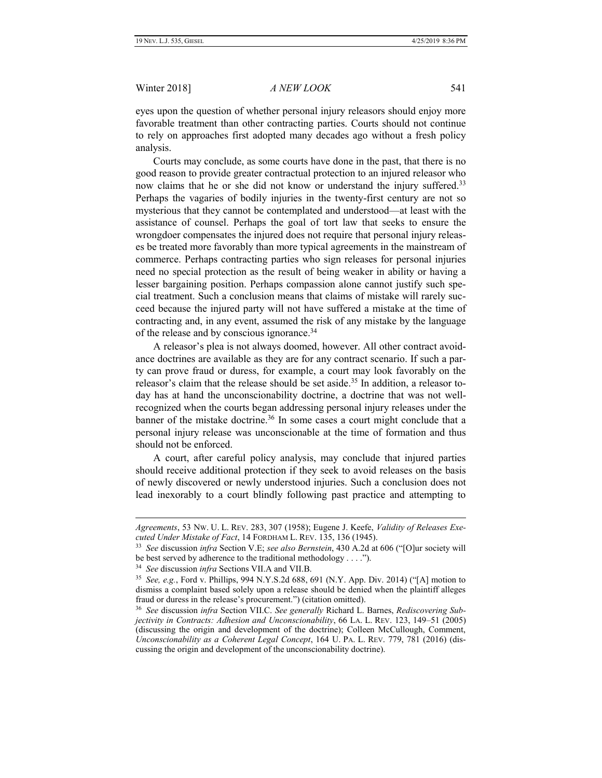eyes upon the question of whether personal injury releasors should enjoy more favorable treatment than other contracting parties. Courts should not continue to rely on approaches first adopted many decades ago without a fresh policy analysis.

Courts may conclude, as some courts have done in the past, that there is no good reason to provide greater contractual protection to an injured releasor who now claims that he or she did not know or understand the injury suffered.<sup>33</sup> Perhaps the vagaries of bodily injuries in the twenty-first century are not so mysterious that they cannot be contemplated and understood—at least with the assistance of counsel. Perhaps the goal of tort law that seeks to ensure the wrongdoer compensates the injured does not require that personal injury releases be treated more favorably than more typical agreements in the mainstream of commerce. Perhaps contracting parties who sign releases for personal injuries need no special protection as the result of being weaker in ability or having a lesser bargaining position. Perhaps compassion alone cannot justify such special treatment. Such a conclusion means that claims of mistake will rarely succeed because the injured party will not have suffered a mistake at the time of contracting and, in any event, assumed the risk of any mistake by the language of the release and by conscious ignorance.<sup>34</sup>

A releasor's plea is not always doomed, however. All other contract avoidance doctrines are available as they are for any contract scenario. If such a party can prove fraud or duress, for example, a court may look favorably on the releasor's claim that the release should be set aside.<sup>35</sup> In addition, a releasor today has at hand the unconscionability doctrine, a doctrine that was not wellrecognized when the courts began addressing personal injury releases under the banner of the mistake doctrine.<sup>36</sup> In some cases a court might conclude that a personal injury release was unconscionable at the time of formation and thus should not be enforced.

A court, after careful policy analysis, may conclude that injured parties should receive additional protection if they seek to avoid releases on the basis of newly discovered or newly understood injuries. Such a conclusion does not lead inexorably to a court blindly following past practice and attempting to

*Agreements*, 53 NW. U. L. REV. 283, 307 (1958); Eugene J. Keefe, *Validity of Releases Executed Under Mistake of Fact*, 14 FORDHAM L. REV. 135, 136 (1945).

<sup>33</sup> *See* discussion *infra* Section V.E; *see also Bernstein*, 430 A.2d at 606 ("[O]ur society will be best served by adherence to the traditional methodology . . . .").

<sup>34</sup> *See* discussion *infra* Sections VII.A and VII.B.

<sup>35</sup> *See, e.g.*, Ford v. Phillips, 994 N.Y.S.2d 688, 691 (N.Y. App. Div. 2014) ("[A] motion to dismiss a complaint based solely upon a release should be denied when the plaintiff alleges fraud or duress in the release's procurement.") (citation omitted).

<sup>36</sup> *See* discussion *infra* Section VII.C. *See generally* Richard L. Barnes, *Rediscovering Subjectivity in Contracts: Adhesion and Unconscionability*, 66 LA. L. REV. 123, 149–51 (2005) (discussing the origin and development of the doctrine); Colleen McCullough, Comment, *Unconscionability as a Coherent Legal Concept*, 164 U. PA. L. REV. 779, 781 (2016) (discussing the origin and development of the unconscionability doctrine).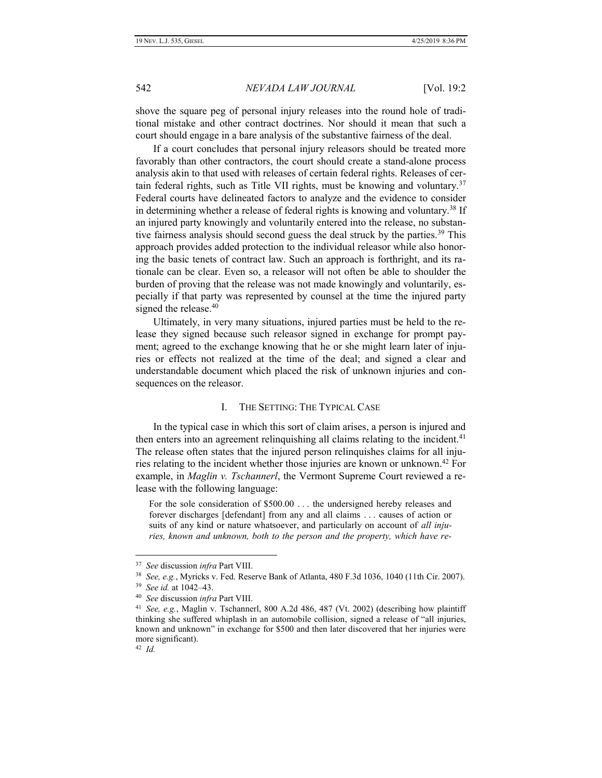shove the square peg of personal injury releases into the round hole of traditional mistake and other contract doctrines. Nor should it mean that such a court should engage in a bare analysis of the substantive fairness of the deal.

If a court concludes that personal injury releasors should be treated more favorably than other contractors, the court should create a stand-alone process analysis akin to that used with releases of certain federal rights. Releases of certain federal rights, such as Title VII rights, must be knowing and voluntary.<sup>37</sup> Federal courts have delineated factors to analyze and the evidence to consider in determining whether a release of federal rights is knowing and voluntary.<sup>38</sup> If an injured party knowingly and voluntarily entered into the release, no substantive fairness analysis should second guess the deal struck by the parties.<sup>39</sup> This approach provides added protection to the individual releasor while also honoring the basic tenets of contract law. Such an approach is forthright, and its rationale can be clear. Even so, a releasor will not often be able to shoulder the burden of proving that the release was not made knowingly and voluntarily, especially if that party was represented by counsel at the time the injured party signed the release.<sup>40</sup>

Ultimately, in very many situations, injured parties must be held to the release they signed because such releasor signed in exchange for prompt payment; agreed to the exchange knowing that he or she might learn later of injuries or effects not realized at the time of the deal; and signed a clear and understandable document which placed the risk of unknown injuries and consequences on the releasor.

#### I. THE SETTING: THE TYPICAL CASE

In the typical case in which this sort of claim arises, a person is injured and then enters into an agreement relinquishing all claims relating to the incident.<sup>41</sup> The release often states that the injured person relinquishes claims for all injuries relating to the incident whether those injuries are known or unknown.<sup>42</sup> For example, in *Maglin v. Tschannerl*, the Vermont Supreme Court reviewed a release with the following language:

For the sole consideration of \$500.00 . . . the undersigned hereby releases and forever discharges [defendant] from any and all claims . . . causes of action or suits of any kind or nature whatsoever, and particularly on account of *all injuries, known and unknown, both to the person and the property, which have re-*

<sup>37</sup> *See* discussion *infra* Part VIII.

<sup>38</sup> *See, e.g.*, Myricks v. Fed. Reserve Bank of Atlanta, 480 F.3d 1036, 1040 (11th Cir. 2007).

<sup>39</sup> *See id.* at 1042–43.

<sup>40</sup> *See* discussion *infra* Part VIII.

<sup>41</sup> *See, e.g.*, Maglin v. Tschannerl, 800 A.2d 486, 487 (Vt. 2002) (describing how plaintiff thinking she suffered whiplash in an automobile collision, signed a release of "all injuries, known and unknown" in exchange for \$500 and then later discovered that her injuries were more significant).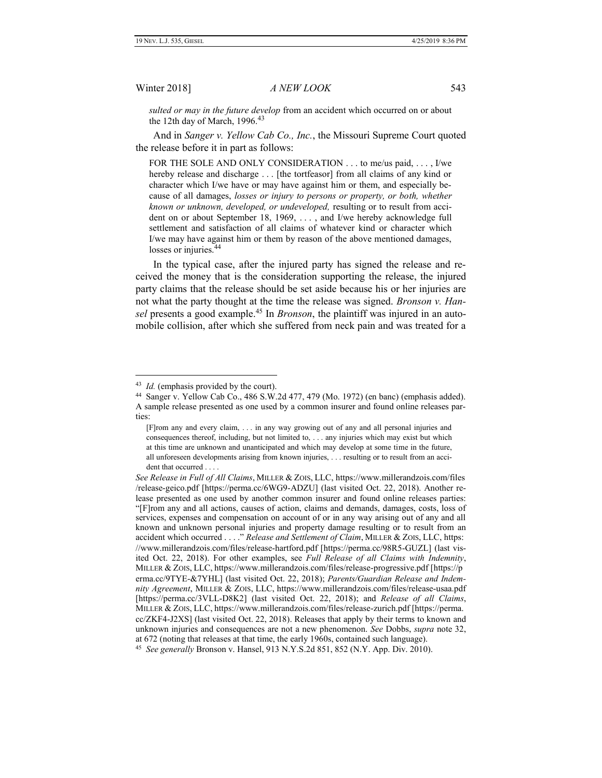*sulted or may in the future develop* from an accident which occurred on or about the 12th day of March,  $1996.^{43}$ 

And in *Sanger v. Yellow Cab Co., Inc.*, the Missouri Supreme Court quoted the release before it in part as follows:

FOR THE SOLE AND ONLY CONSIDERATION . . . to me/us paid, . . . , I/we hereby release and discharge . . . [the tortfeasor] from all claims of any kind or character which I/we have or may have against him or them, and especially because of all damages, *losses or injury to persons or property, or both, whether known or unknown, developed, or undeveloped,* resulting or to result from accident on or about September 18, 1969, . . . , and I/we hereby acknowledge full settlement and satisfaction of all claims of whatever kind or character which I/we may have against him or them by reason of the above mentioned damages, losses or injuries.<sup>44</sup>

In the typical case, after the injured party has signed the release and received the money that is the consideration supporting the release, the injured party claims that the release should be set aside because his or her injuries are not what the party thought at the time the release was signed. *Bronson v. Hansel* presents a good example. <sup>45</sup> In *Bronson*, the plaintiff was injured in an automobile collision, after which she suffered from neck pain and was treated for a

<sup>&</sup>lt;sup>43</sup> *Id.* (emphasis provided by the court).

<sup>44</sup> Sanger v. Yellow Cab Co., 486 S.W.2d 477, 479 (Mo. 1972) (en banc) (emphasis added). A sample release presented as one used by a common insurer and found online releases parties:

<sup>[</sup>F]rom any and every claim, . . . in any way growing out of any and all personal injuries and consequences thereof, including, but not limited to, . . . any injuries which may exist but which at this time are unknown and unanticipated and which may develop at some time in the future, all unforeseen developments arising from known injuries, . . . resulting or to result from an accident that occurred . . .

*See Release in Full of All Claims*, MILLER & ZOIS, LLC, https://www.millerandzois.com/files /release-geico.pdf [https://perma.cc/6WG9-ADZU] (last visited Oct. 22, 2018). Another release presented as one used by another common insurer and found online releases parties: "[F]rom any and all actions, causes of action, claims and demands, damages, costs, loss of services, expenses and compensation on account of or in any way arising out of any and all known and unknown personal injuries and property damage resulting or to result from an accident which occurred . . . ." *Release and Settlement of Claim*, MILLER & ZOIS, LLC, https: //www.millerandzois.com/files/release-hartford.pdf [https://perma.cc/98R5-GUZL] (last visited Oct. 22, 2018). For other examples, see *Full Release of all Claims with Indemnity*, MILLER & ZOIS, LLC, https://www.millerandzois.com/files/release-progressive.pdf [https://p erma.cc/9TYE-&7YHL] (last visited Oct. 22, 2018); *Parents/Guardian Release and Indemnity Agreement*, MILLER & ZOIS, LLC, https://www.millerandzois.com/files/release-usaa.pdf [https://perma.cc/3VLL-D8K2] (last visited Oct. 22, 2018); and *Release of all Claims*, MILLER & ZOIS, LLC, https://www.millerandzois.com/files/release-zurich.pdf [https://perma. cc/ZKF4-J2XS] (last visited Oct. 22, 2018). Releases that apply by their terms to known and unknown injuries and consequences are not a new phenomenon. *See* Dobbs, *supra* note 32, at 672 (noting that releases at that time, the early 1960s, contained such language).

<sup>45</sup> *See generally* Bronson v. Hansel, 913 N.Y.S.2d 851, 852 (N.Y. App. Div. 2010).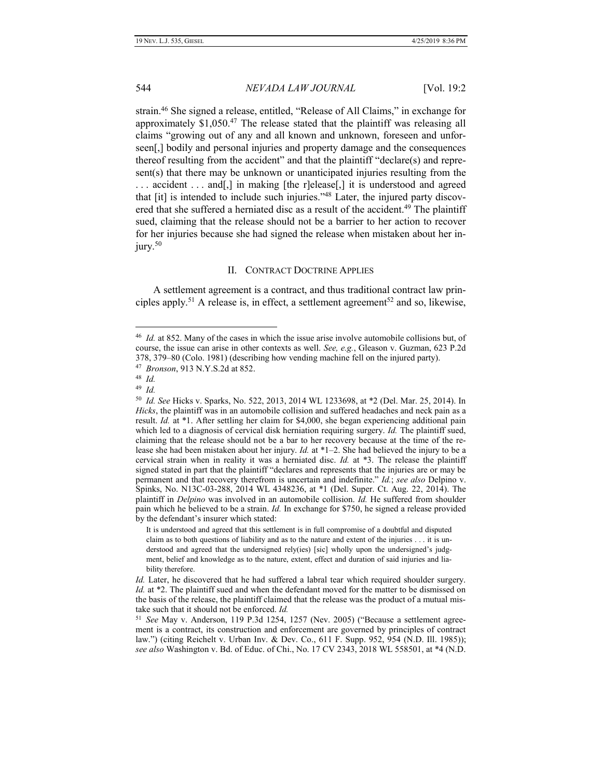strain.<sup>46</sup> She signed a release, entitled, "Release of All Claims," in exchange for approximately \$1,050.<sup>47</sup> The release stated that the plaintiff was releasing all claims "growing out of any and all known and unknown, foreseen and unforseen[,] bodily and personal injuries and property damage and the consequences thereof resulting from the accident" and that the plaintiff "declare(s) and represent(s) that there may be unknown or unanticipated injuries resulting from the ... accident ... and [,] in making [the r]elease [,] it is understood and agreed that [it] is intended to include such injuries."<sup>48</sup> Later, the injured party discovered that she suffered a herniated disc as a result of the accident.<sup>49</sup> The plaintiff sued, claiming that the release should not be a barrier to her action to recover for her injuries because she had signed the release when mistaken about her injury.<sup>50</sup>

# II. CONTRACT DOCTRINE APPLIES

A settlement agreement is a contract, and thus traditional contract law principles apply.<sup>51</sup> A release is, in effect, a settlement agreement<sup>52</sup> and so, likewise,

<sup>46</sup> *Id.* at 852. Many of the cases in which the issue arise involve automobile collisions but, of course, the issue can arise in other contexts as well. *See, e.g.*, Gleason v. Guzman, 623 P.2d 378, 379–80 (Colo. 1981) (describing how vending machine fell on the injured party).

<sup>47</sup> *Bronson*, 913 N.Y.S.2d at 852.

<sup>48</sup> *Id.*

<sup>49</sup>  *Id.*

<sup>50</sup> *Id. See* Hicks v. Sparks, No. 522, 2013, 2014 WL 1233698, at \*2 (Del. Mar. 25, 2014). In *Hicks*, the plaintiff was in an automobile collision and suffered headaches and neck pain as a result. *Id.* at \*1. After settling her claim for \$4,000, she began experiencing additional pain which led to a diagnosis of cervical disk herniation requiring surgery. *Id.* The plaintiff sued, claiming that the release should not be a bar to her recovery because at the time of the release she had been mistaken about her injury. *Id.* at \*1–2. She had believed the injury to be a cervical strain when in reality it was a herniated disc. *Id.* at \*3. The release the plaintiff signed stated in part that the plaintiff "declares and represents that the injuries are or may be permanent and that recovery therefrom is uncertain and indefinite." *Id.*; *see also* Delpino v. Spinks, No. N13C-03-288, 2014 WL 4348236, at \*1 (Del. Super. Ct. Aug. 22, 2014). The plaintiff in *Delpino* was involved in an automobile collision. *Id.* He suffered from shoulder pain which he believed to be a strain. *Id.* In exchange for \$750, he signed a release provided by the defendant's insurer which stated:

It is understood and agreed that this settlement is in full compromise of a doubtful and disputed claim as to both questions of liability and as to the nature and extent of the injuries . . . it is understood and agreed that the undersigned rely(ies) [sic] wholly upon the undersigned's judgment, belief and knowledge as to the nature, extent, effect and duration of said injuries and liability therefore.

*Id.* Later, he discovered that he had suffered a labral tear which required shoulder surgery. *Id.* at \*2. The plaintiff sued and when the defendant moved for the matter to be dismissed on the basis of the release, the plaintiff claimed that the release was the product of a mutual mistake such that it should not be enforced. *Id.*

<sup>51</sup> *See* May v. Anderson, 119 P.3d 1254, 1257 (Nev. 2005) ("Because a settlement agreement is a contract, its construction and enforcement are governed by principles of contract law.") (citing Reichelt v. Urban Inv. & Dev. Co., 611 F. Supp. 952, 954 (N.D. Ill. 1985)); *see also* Washington v. Bd. of Educ. of Chi., No. 17 CV 2343, 2018 WL 558501, at \*4 (N.D.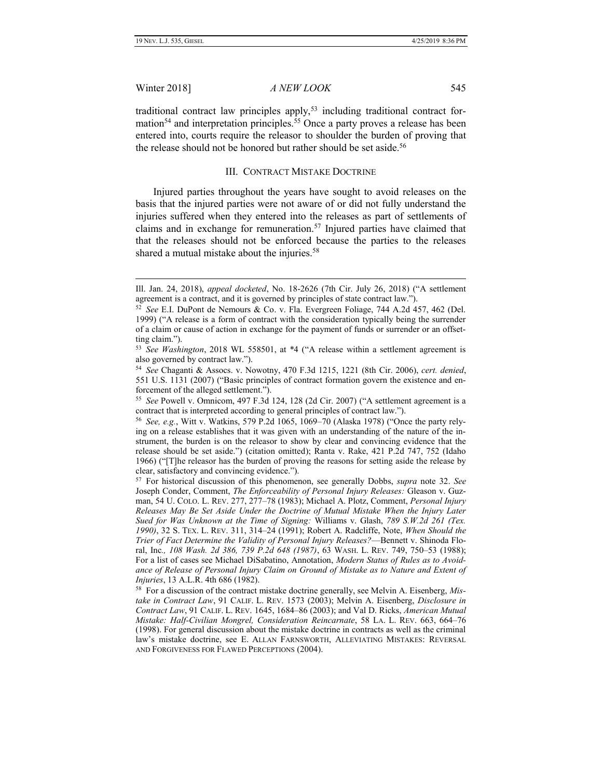Winter 2018] *A NEW LOOK* 545

traditional contract law principles apply,<sup>53</sup> including traditional contract formation<sup>54</sup> and interpretation principles.<sup>55</sup> Once a party proves a release has been entered into, courts require the releasor to shoulder the burden of proving that the release should not be honored but rather should be set aside.<sup>56</sup>

### III. CONTRACT MISTAKE DOCTRINE

Injured parties throughout the years have sought to avoid releases on the basis that the injured parties were not aware of or did not fully understand the injuries suffered when they entered into the releases as part of settlements of claims and in exchange for remuneration.<sup>57</sup> Injured parties have claimed that that the releases should not be enforced because the parties to the releases shared a mutual mistake about the injuries.<sup>58</sup>

Ill. Jan. 24, 2018), *appeal docketed*, No. 18-2626 (7th Cir. July 26, 2018) ("A settlement agreement is a contract, and it is governed by principles of state contract law.").

<sup>52</sup> *See* E.I. DuPont de Nemours & Co. v. Fla. Evergreen Foliage, 744 A.2d 457, 462 (Del. 1999) ("A release is a form of contract with the consideration typically being the surrender of a claim or cause of action in exchange for the payment of funds or surrender or an offsetting claim.").

<sup>53</sup> *See Washington*, 2018 WL 558501, at \*4 ("A release within a settlement agreement is also governed by contract law.").

<sup>54</sup> *See* Chaganti & Assocs. v. Nowotny, 470 F.3d 1215, 1221 (8th Cir. 2006), *cert. denied*, 551 U.S. 1131 (2007) ("Basic principles of contract formation govern the existence and enforcement of the alleged settlement.").

<sup>55</sup> *See* Powell v. Omnicom, 497 F.3d 124, 128 (2d Cir. 2007) ("A settlement agreement is a contract that is interpreted according to general principles of contract law.").

<sup>56</sup> *See, e.g.*, Witt v. Watkins, 579 P.2d 1065, 1069–70 (Alaska 1978) ("Once the party relying on a release establishes that it was given with an understanding of the nature of the instrument, the burden is on the releasor to show by clear and convincing evidence that the release should be set aside.") (citation omitted); Ranta v. Rake, 421 P.2d 747, 752 (Idaho 1966) ("[T]he releasor has the burden of proving the reasons for setting aside the release by clear, satisfactory and convincing evidence.").

<sup>57</sup> For historical discussion of this phenomenon, see generally Dobbs, *supra* note 32. *See*  Joseph Conder, Comment, *The Enforceability of Personal Injury Releases:* Gleason v. Guzman, 54 U. COLO. L. REV. 277, 277–78 (1983); Michael A. Plotz, Comment, *Personal Injury Releases May Be Set Aside Under the Doctrine of Mutual Mistake When the Injury Later Sued for Was Unknown at the Time of Signing:* Williams v. Glash, *789 S.W.2d 261 (Tex. 1990)*, 32 S. TEX. L. REV. 311, 314–24 (1991); Robert A. Radcliffe, Note, *When Should the Trier of Fact Determine the Validity of Personal Injury Releases?*—Bennett v. Shinoda Floral, Inc*., 108 Wash. 2d 386, 739 P.2d 648 (1987)*, 63 WASH. L. REV. 749, 750–53 (1988); For a list of cases see Michael DiSabatino, Annotation, *Modern Status of Rules as to Avoidance of Release of Personal Injury Claim on Ground of Mistake as to Nature and Extent of Injuries*, 13 A.L.R. 4th 686 (1982).

<sup>58</sup> For a discussion of the contract mistake doctrine generally, see Melvin A. Eisenberg, *Mistake in Contract Law*, 91 CALIF. L. REV. 1573 (2003); Melvin A. Eisenberg, *Disclosure in Contract Law*, 91 CALIF. L. REV. 1645, 1684–86 (2003); and Val D. Ricks, *American Mutual Mistake: Half-Civilian Mongrel, Consideration Reincarnate*, 58 LA. L. REV. 663, 664–76 (1998). For general discussion about the mistake doctrine in contracts as well as the criminal law's mistake doctrine, see E. ALLAN FARNSWORTH, ALLEVIATING MISTAKES: REVERSAL AND FORGIVENESS FOR FLAWED PERCEPTIONS (2004).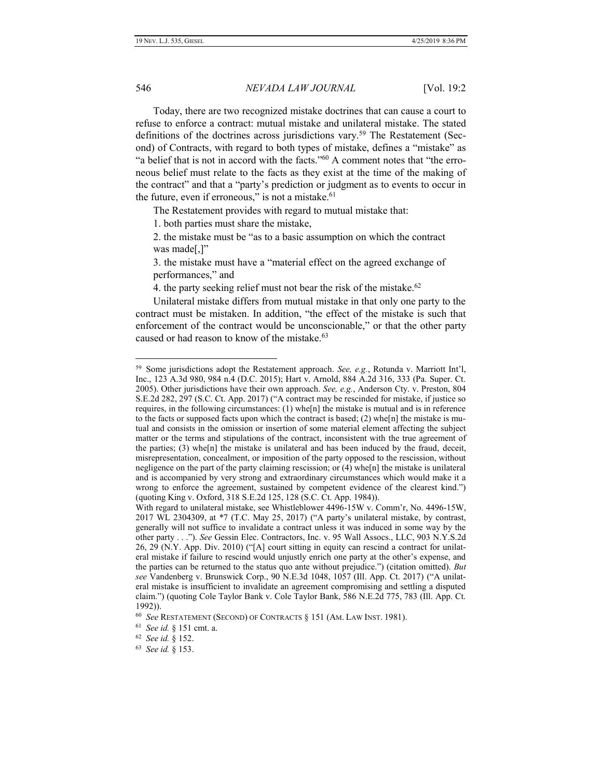Today, there are two recognized mistake doctrines that can cause a court to refuse to enforce a contract: mutual mistake and unilateral mistake. The stated definitions of the doctrines across jurisdictions vary.<sup>59</sup> The Restatement (Second) of Contracts, with regard to both types of mistake, defines a "mistake" as "a belief that is not in accord with the facts."<sup>60</sup> A comment notes that "the erroneous belief must relate to the facts as they exist at the time of the making of the contract" and that a "party's prediction or judgment as to events to occur in the future, even if erroneous," is not a mistake.<sup>61</sup>

The Restatement provides with regard to mutual mistake that:

1. both parties must share the mistake,

2. the mistake must be "as to a basic assumption on which the contract was made[,]"

3. the mistake must have a "material effect on the agreed exchange of performances," and

4. the party seeking relief must not bear the risk of the mistake.<sup>62</sup>

Unilateral mistake differs from mutual mistake in that only one party to the contract must be mistaken. In addition, "the effect of the mistake is such that enforcement of the contract would be unconscionable," or that the other party caused or had reason to know of the mistake.<sup>63</sup>

<sup>59</sup> Some jurisdictions adopt the Restatement approach. *See, e.g.*, Rotunda v. Marriott Int'l, Inc., 123 A.3d 980, 984 n.4 (D.C. 2015); Hart v. Arnold, 884 A.2d 316, 333 (Pa. Super. Ct. 2005). Other jurisdictions have their own approach. *See, e.g.*, Anderson Cty. v. Preston, 804 S.E.2d 282, 297 (S.C. Ct. App. 2017) ("A contract may be rescinded for mistake, if justice so requires, in the following circumstances: (1) whe[n] the mistake is mutual and is in reference to the facts or supposed facts upon which the contract is based;  $(2)$  whe $[n]$  the mistake is mutual and consists in the omission or insertion of some material element affecting the subject matter or the terms and stipulations of the contract, inconsistent with the true agreement of the parties; (3) whe $[n]$  the mistake is unilateral and has been induced by the fraud, deceit, misrepresentation, concealment, or imposition of the party opposed to the rescission, without negligence on the part of the party claiming rescission; or  $(4)$  whe $[n]$  the mistake is unilateral and is accompanied by very strong and extraordinary circumstances which would make it a wrong to enforce the agreement, sustained by competent evidence of the clearest kind.") (quoting King v. Oxford, 318 S.E.2d 125, 128 (S.C. Ct. App. 1984)).

With regard to unilateral mistake, see Whistleblower 4496-15W v. Comm'r, No. 4496-15W, 2017 WL 2304309, at \*7 (T.C. May 25, 2017) ("A party's unilateral mistake, by contrast, generally will not suffice to invalidate a contract unless it was induced in some way by the other party . . ."). *See* Gessin Elec. Contractors, Inc. v. 95 Wall Assocs., LLC, 903 N.Y.S.2d 26, 29 (N.Y. App. Div. 2010) ("[A] court sitting in equity can rescind a contract for unilateral mistake if failure to rescind would unjustly enrich one party at the other's expense, and the parties can be returned to the status quo ante without prejudice.") (citation omitted). *But see* Vandenberg v. Brunswick Corp., 90 N.E.3d 1048, 1057 (Ill. App. Ct. 2017) ("A unilateral mistake is insufficient to invalidate an agreement compromising and settling a disputed claim.") (quoting Cole Taylor Bank v. Cole Taylor Bank, 586 N.E.2d 775, 783 (Ill. App. Ct. 1992)).

<sup>60</sup> *See* RESTATEMENT (SECOND) OF CONTRACTS § 151 (AM. LAW INST. 1981).

<sup>61</sup> *See id.* § 151 cmt. a.

<sup>62</sup> *See id.* § 152.

<sup>63</sup> *See id.* § 153.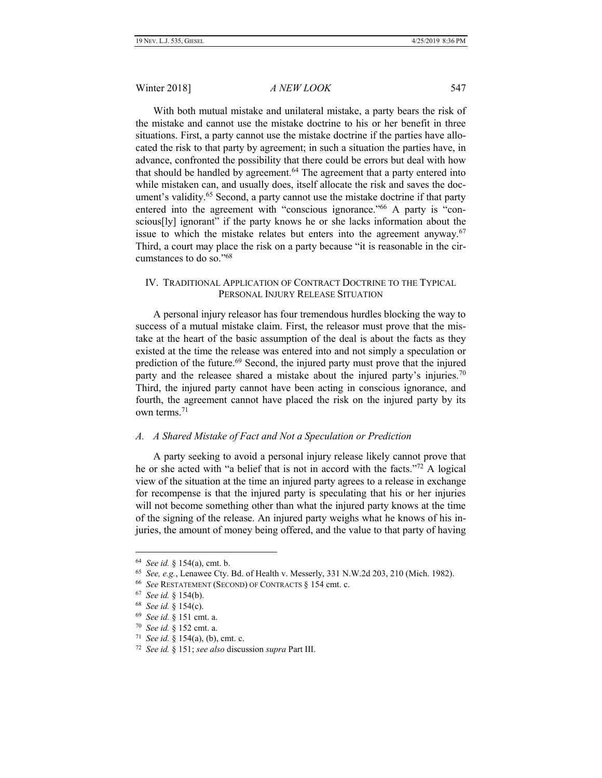With both mutual mistake and unilateral mistake, a party bears the risk of the mistake and cannot use the mistake doctrine to his or her benefit in three situations. First, a party cannot use the mistake doctrine if the parties have allocated the risk to that party by agreement; in such a situation the parties have, in advance, confronted the possibility that there could be errors but deal with how that should be handled by agreement.<sup>64</sup> The agreement that a party entered into while mistaken can, and usually does, itself allocate the risk and saves the document's validity.<sup>65</sup> Second, a party cannot use the mistake doctrine if that party entered into the agreement with "conscious ignorance."<sup>66</sup> A party is "conscious[ly] ignorant" if the party knows he or she lacks information about the issue to which the mistake relates but enters into the agreement anyway. $67$ Third, a court may place the risk on a party because "it is reasonable in the circumstances to do so."<sup>68</sup>

### IV. TRADITIONAL APPLICATION OF CONTRACT DOCTRINE TO THE TYPICAL PERSONAL INJURY RELEASE SITUATION

A personal injury releasor has four tremendous hurdles blocking the way to success of a mutual mistake claim. First, the releasor must prove that the mistake at the heart of the basic assumption of the deal is about the facts as they existed at the time the release was entered into and not simply a speculation or prediction of the future.<sup>69</sup> Second, the injured party must prove that the injured party and the releasee shared a mistake about the injured party's injuries.<sup>70</sup> Third, the injured party cannot have been acting in conscious ignorance, and fourth, the agreement cannot have placed the risk on the injured party by its own terms.<sup>71</sup>

# *A. A Shared Mistake of Fact and Not a Speculation or Prediction*

A party seeking to avoid a personal injury release likely cannot prove that he or she acted with "a belief that is not in accord with the facts."<sup>72</sup> A logical view of the situation at the time an injured party agrees to a release in exchange for recompense is that the injured party is speculating that his or her injuries will not become something other than what the injured party knows at the time of the signing of the release. An injured party weighs what he knows of his injuries, the amount of money being offered, and the value to that party of having

<sup>64</sup> *See id.* § 154(a), cmt. b.

<sup>65</sup> *See, e.g.*, Lenawee Cty. Bd. of Health v. Messerly, 331 N.W.2d 203, 210 (Mich. 1982).

<sup>66</sup> *See* RESTATEMENT (SECOND) OF CONTRACTS § 154 cmt. c.

<sup>67</sup> *See id.* § 154(b).

<sup>68</sup> *See id.* § 154(c).

<sup>69</sup> *See id.* § 151 cmt. a.

<sup>70</sup> *See id.* § 152 cmt. a.

<sup>71</sup> *See id.* § 154(a), (b), cmt. c.

<sup>72</sup> *See id.* § 151; *see also* discussion *supra* Part III.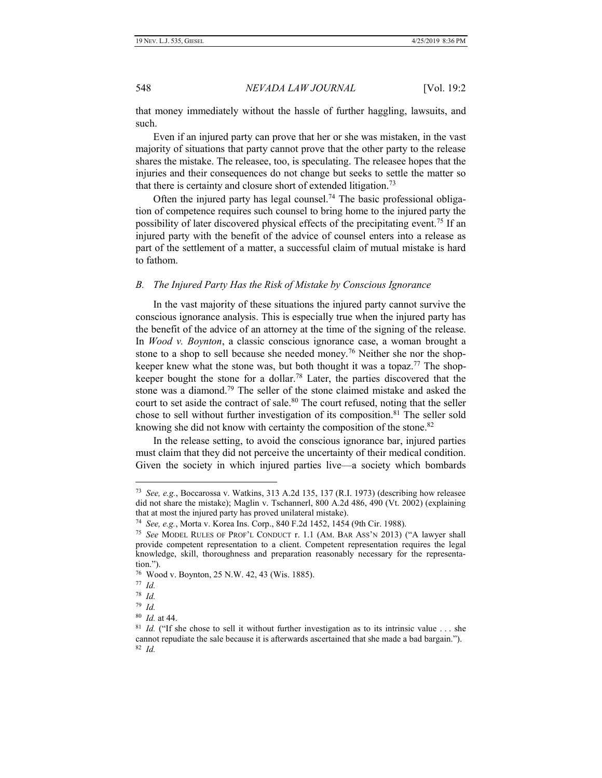that money immediately without the hassle of further haggling, lawsuits, and such.

Even if an injured party can prove that her or she was mistaken, in the vast majority of situations that party cannot prove that the other party to the release shares the mistake. The releasee, too, is speculating. The releasee hopes that the injuries and their consequences do not change but seeks to settle the matter so that there is certainty and closure short of extended litigation.<sup>73</sup>

Often the injured party has legal counsel.<sup>74</sup> The basic professional obligation of competence requires such counsel to bring home to the injured party the possibility of later discovered physical effects of the precipitating event.<sup>75</sup> If an injured party with the benefit of the advice of counsel enters into a release as part of the settlement of a matter, a successful claim of mutual mistake is hard to fathom.

#### *B. The Injured Party Has the Risk of Mistake by Conscious Ignorance*

In the vast majority of these situations the injured party cannot survive the conscious ignorance analysis. This is especially true when the injured party has the benefit of the advice of an attorney at the time of the signing of the release. In *Wood v. Boynton*, a classic conscious ignorance case, a woman brought a stone to a shop to sell because she needed money.<sup>76</sup> Neither she nor the shopkeeper knew what the stone was, but both thought it was a topaz.<sup>77</sup> The shopkeeper bought the stone for a dollar.<sup>78</sup> Later, the parties discovered that the stone was a diamond.<sup>79</sup> The seller of the stone claimed mistake and asked the court to set aside the contract of sale.<sup>80</sup> The court refused, noting that the seller chose to sell without further investigation of its composition.<sup>81</sup> The seller sold knowing she did not know with certainty the composition of the stone.<sup>82</sup>

In the release setting, to avoid the conscious ignorance bar, injured parties must claim that they did not perceive the uncertainty of their medical condition. Given the society in which injured parties live—a society which bombards

<sup>73</sup> *See, e.g.*, Boccarossa v. Watkins, 313 A.2d 135, 137 (R.I. 1973) (describing how releasee did not share the mistake); Maglin v. Tschannerl, 800 A.2d 486, 490 (Vt. 2002) (explaining that at most the injured party has proved unilateral mistake).

<sup>74</sup> *See, e.g.*, Morta v. Korea Ins. Corp., 840 F.2d 1452, 1454 (9th Cir. 1988).

<sup>75</sup> *See* MODEL RULES OF PROF'L CONDUCT r. 1.1 (AM. BAR ASS'N 2013) ("A lawyer shall provide competent representation to a client. Competent representation requires the legal knowledge, skill, thoroughness and preparation reasonably necessary for the representation.").

<sup>76</sup> Wood v. Boynton, 25 N.W. 42, 43 (Wis. 1885).

<sup>77</sup> *Id.*

<sup>78</sup> *Id.*

<sup>79</sup> *Id.*

<sup>80</sup> *Id.* at 44.

<sup>&</sup>lt;sup>81</sup> *Id.* ("If she chose to sell it without further investigation as to its intrinsic value . . . she cannot repudiate the sale because it is afterwards ascertained that she made a bad bargain."). 82 *Id.*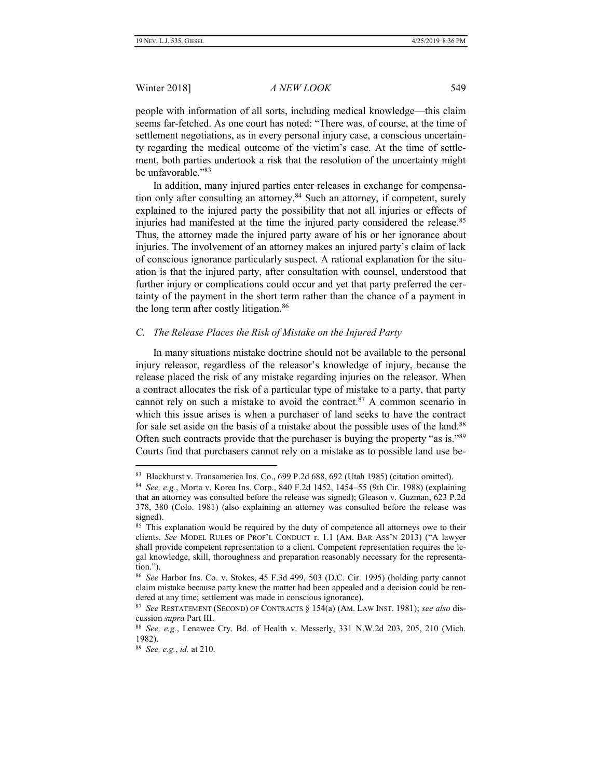people with information of all sorts, including medical knowledge—this claim seems far-fetched. As one court has noted: "There was, of course, at the time of settlement negotiations, as in every personal injury case, a conscious uncertainty regarding the medical outcome of the victim's case. At the time of settlement, both parties undertook a risk that the resolution of the uncertainty might be unfavorable." 83

In addition, many injured parties enter releases in exchange for compensation only after consulting an attorney.<sup>84</sup> Such an attorney, if competent, surely explained to the injured party the possibility that not all injuries or effects of injuries had manifested at the time the injured party considered the release.<sup>85</sup> Thus, the attorney made the injured party aware of his or her ignorance about injuries. The involvement of an attorney makes an injured party's claim of lack of conscious ignorance particularly suspect. A rational explanation for the situation is that the injured party, after consultation with counsel, understood that further injury or complications could occur and yet that party preferred the certainty of the payment in the short term rather than the chance of a payment in the long term after costly litigation.<sup>86</sup>

### *C. The Release Places the Risk of Mistake on the Injured Party*

In many situations mistake doctrine should not be available to the personal injury releasor, regardless of the releasor's knowledge of injury, because the release placed the risk of any mistake regarding injuries on the releasor. When a contract allocates the risk of a particular type of mistake to a party, that party cannot rely on such a mistake to avoid the contract. $87$  A common scenario in which this issue arises is when a purchaser of land seeks to have the contract for sale set aside on the basis of a mistake about the possible uses of the land.<sup>88</sup> Often such contracts provide that the purchaser is buying the property "as is."<sup>89</sup> Courts find that purchasers cannot rely on a mistake as to possible land use be-

<sup>83</sup> Blackhurst v. Transamerica Ins. Co., 699 P.2d 688, 692 (Utah 1985) (citation omitted).

<sup>84</sup> *See, e.g.*, Morta v. Korea Ins. Corp., 840 F.2d 1452, 1454–55 (9th Cir. 1988) (explaining that an attorney was consulted before the release was signed); Gleason v. Guzman, 623 P.2d 378, 380 (Colo. 1981) (also explaining an attorney was consulted before the release was signed).

<sup>&</sup>lt;sup>85</sup> This explanation would be required by the duty of competence all attorneys owe to their clients. *See* MODEL RULES OF PROF'L CONDUCT r. 1.1 (AM. BAR ASS'N 2013) ("A lawyer shall provide competent representation to a client. Competent representation requires the legal knowledge, skill, thoroughness and preparation reasonably necessary for the representation.").

<sup>86</sup> *See* Harbor Ins. Co. v. Stokes, 45 F.3d 499, 503 (D.C. Cir. 1995) (holding party cannot claim mistake because party knew the matter had been appealed and a decision could be rendered at any time; settlement was made in conscious ignorance).

<sup>87</sup> *See* RESTATEMENT (SECOND) OF CONTRACTS § 154(a) (AM. LAW INST. 1981); *see also* discussion *supra* Part III.

<sup>88</sup> *See, e.g.*, Lenawee Cty. Bd. of Health v. Messerly, 331 N.W.2d 203, 205, 210 (Mich. 1982).

<sup>89</sup> *See, e.g.*, *id.* at 210.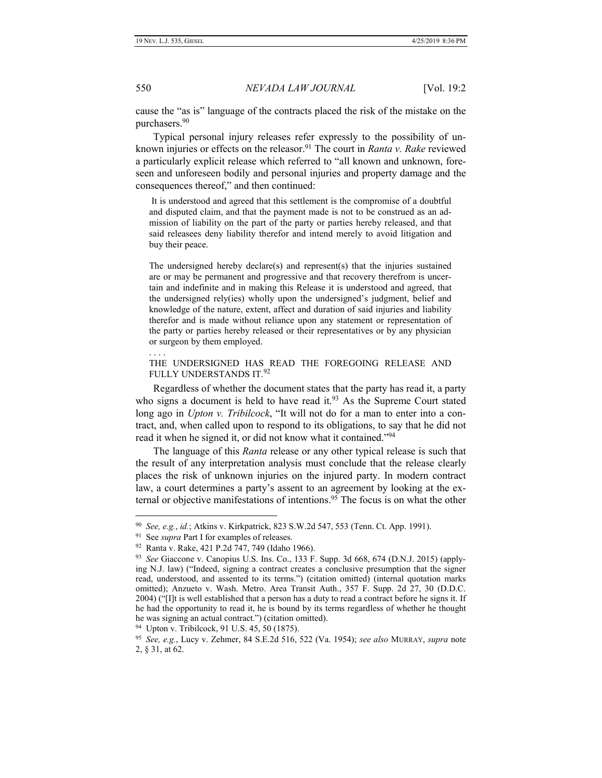cause the "as is" language of the contracts placed the risk of the mistake on the purchasers.<sup>90</sup>

Typical personal injury releases refer expressly to the possibility of unknown injuries or effects on the releasor.<sup>91</sup> The court in *Ranta v. Rake* reviewed a particularly explicit release which referred to "all known and unknown, foreseen and unforeseen bodily and personal injuries and property damage and the consequences thereof," and then continued:

It is understood and agreed that this settlement is the compromise of a doubtful and disputed claim, and that the payment made is not to be construed as an admission of liability on the part of the party or parties hereby released, and that said releasees deny liability therefor and intend merely to avoid litigation and buy their peace.

The undersigned hereby declare(s) and represent(s) that the injuries sustained are or may be permanent and progressive and that recovery therefrom is uncertain and indefinite and in making this Release it is understood and agreed, that the undersigned rely(ies) wholly upon the undersigned's judgment, belief and knowledge of the nature, extent, affect and duration of said injuries and liability therefor and is made without reliance upon any statement or representation of the party or parties hereby released or their representatives or by any physician or surgeon by them employed.

### THE UNDERSIGNED HAS READ THE FOREGOING RELEASE AND FULLY UNDERSTANDS IT.<sup>92</sup>

Regardless of whether the document states that the party has read it, a party who signs a document is held to have read it. $93$  As the Supreme Court stated long ago in *Upton v. Tribilcock*, "It will not do for a man to enter into a contract, and, when called upon to respond to its obligations, to say that he did not read it when he signed it, or did not know what it contained."<sup>94</sup>

The language of this *Ranta* release or any other typical release is such that the result of any interpretation analysis must conclude that the release clearly places the risk of unknown injuries on the injured party. In modern contract law, a court determines a party's assent to an agreement by looking at the external or objective manifestations of intentions.<sup>95</sup> The focus is on what the other

. . . .

<sup>90</sup> *See, e.g.*, *id.*; Atkins v. Kirkpatrick, 823 S.W.2d 547, 553 (Tenn. Ct. App. 1991).

<sup>&</sup>lt;sup>91</sup> See *supra* Part I for examples of releases.

<sup>92</sup> Ranta v. Rake, 421 P.2d 747, 749 (Idaho 1966).

<sup>93</sup> *See* Giaccone v. Canopius U.S. Ins. Co., 133 F. Supp. 3d 668, 674 (D.N.J. 2015) (applying N.J. law) ("Indeed, signing a contract creates a conclusive presumption that the signer read, understood, and assented to its terms.") (citation omitted) (internal quotation marks omitted); Anzueto v. Wash. Metro. Area Transit Auth., 357 F. Supp. 2d 27, 30 (D.D.C. 2004) ("[I]t is well established that a person has a duty to read a contract before he signs it. If he had the opportunity to read it, he is bound by its terms regardless of whether he thought he was signing an actual contract.") (citation omitted).

<sup>94</sup> Upton v. Tribilcock, 91 U.S. 45, 50 (1875).

<sup>95</sup> *See, e.g.*, Lucy v. Zehmer, 84 S.E.2d 516, 522 (Va. 1954); *see also* MURRAY, *supra* note 2, § 31, at 62.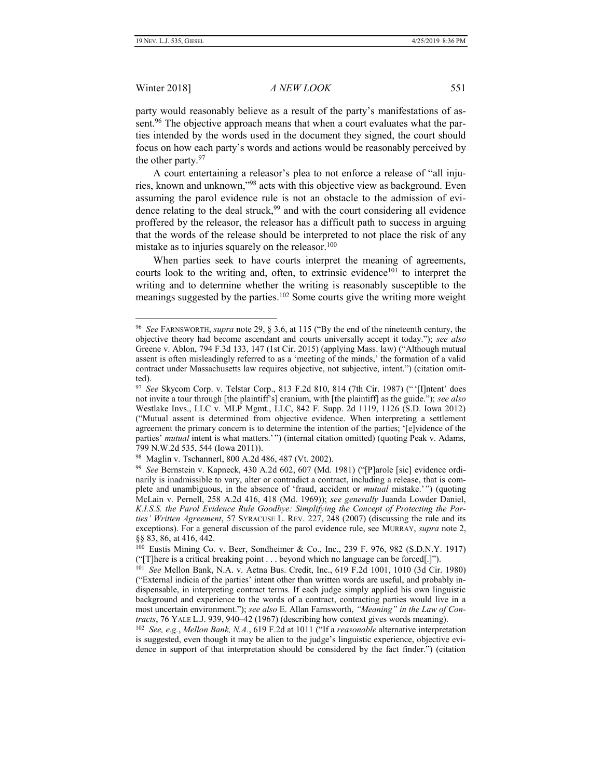#### Winter 2018] *A NEW LOOK* 551

party would reasonably believe as a result of the party's manifestations of assent.<sup>96</sup> The objective approach means that when a court evaluates what the parties intended by the words used in the document they signed, the court should focus on how each party's words and actions would be reasonably perceived by the other party.<sup>97</sup>

A court entertaining a releasor's plea to not enforce a release of "all injuries, known and unknown,"<sup>98</sup> acts with this objective view as background. Even assuming the parol evidence rule is not an obstacle to the admission of evidence relating to the deal struck,<sup>99</sup> and with the court considering all evidence proffered by the releasor, the releasor has a difficult path to success in arguing that the words of the release should be interpreted to not place the risk of any mistake as to injuries squarely on the releasor.<sup>100</sup>

When parties seek to have courts interpret the meaning of agreements, courts look to the writing and, often, to extrinsic evidence<sup>101</sup> to interpret the writing and to determine whether the writing is reasonably susceptible to the meanings suggested by the parties.<sup>102</sup> Some courts give the writing more weight

<sup>96</sup> *See* FARNSWORTH, *supra* note 29, § 3.6, at 115 ("By the end of the nineteenth century, the objective theory had become ascendant and courts universally accept it today."); *see also* Greene v. Ablon, 794 F.3d 133, 147 (1st Cir. 2015) (applying Mass. law) ("Although mutual assent is often misleadingly referred to as a 'meeting of the minds,' the formation of a valid contract under Massachusetts law requires objective, not subjective, intent.") (citation omitted).

<sup>97</sup> *See* Skycom Corp. v. Telstar Corp., 813 F.2d 810, 814 (7th Cir. 1987) (" '[I]ntent' does not invite a tour through [the plaintiff's] cranium, with [the plaintiff] as the guide."); *see also* Westlake Invs., LLC v. MLP Mgmt., LLC, 842 F. Supp. 2d 1119, 1126 (S.D. Iowa 2012) ("Mutual assent is determined from objective evidence. When interpreting a settlement agreement the primary concern is to determine the intention of the parties; '[e]vidence of the parties' *mutual* intent is what matters.'") (internal citation omitted) (quoting Peak v. Adams, 799 N.W.2d 535, 544 (Iowa 2011)).

<sup>98</sup> Maglin v. Tschannerl, 800 A.2d 486, 487 (Vt. 2002).

<sup>99</sup> *See* Bernstein v. Kapneck, 430 A.2d 602, 607 (Md. 1981) ("[P]arole [sic] evidence ordinarily is inadmissible to vary, alter or contradict a contract, including a release, that is complete and unambiguous, in the absence of 'fraud, accident or *mutual* mistake.' ") (quoting McLain v. Pernell, 258 A.2d 416, 418 (Md. 1969)); *see generally* Juanda Lowder Daniel, *K.I.S.S. the Parol Evidence Rule Goodbye: Simplifying the Concept of Protecting the Parties' Written Agreement*, 57 SYRACUSE L. REV. 227, 248 (2007) (discussing the rule and its exceptions). For a general discussion of the parol evidence rule, see MURRAY, *supra* note 2, §§ 83, 86, at 416, 442.

<sup>100</sup> Eustis Mining Co. v. Beer, Sondheimer & Co., Inc., 239 F. 976, 982 (S.D.N.Y. 1917) ("[T]here is a critical breaking point . . . beyond which no language can be forced[.]").

<sup>101</sup>  *See* Mellon Bank, N.A. v. Aetna Bus. Credit, Inc., 619 F.2d 1001, 1010 (3d Cir. 1980) ("External indicia of the parties' intent other than written words are useful, and probably indispensable, in interpreting contract terms. If each judge simply applied his own linguistic background and experience to the words of a contract, contracting parties would live in a most uncertain environment."); *see also* E. Allan Farnsworth, *"Meaning" in the Law of Contracts*, 76 YALE L.J. 939, 940–42 (1967) (describing how context gives words meaning).

<sup>102</sup> *See, e.g.*, *Mellon Bank, N.A.*, 619 F.2d at 1011 ("If a *reasonable* alternative interpretation is suggested, even though it may be alien to the judge's linguistic experience, objective evidence in support of that interpretation should be considered by the fact finder.") (citation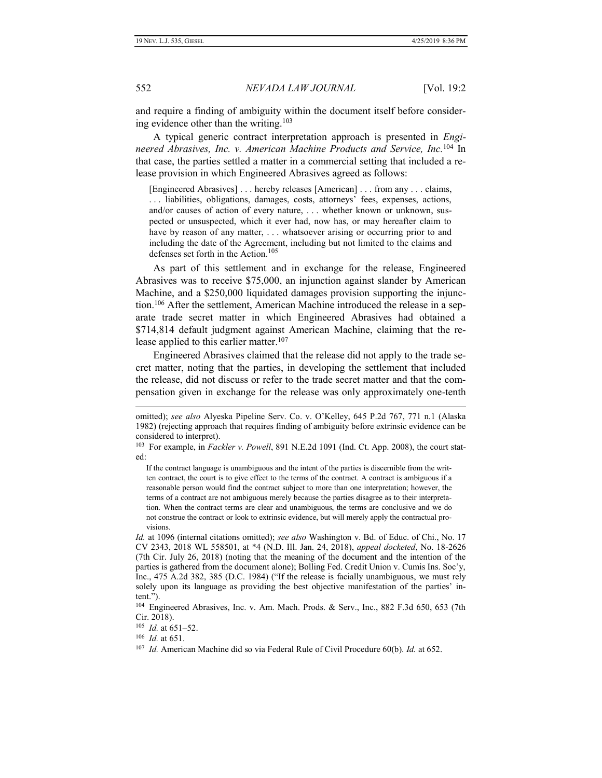and require a finding of ambiguity within the document itself before considering evidence other than the writing.<sup>103</sup>

A typical generic contract interpretation approach is presented in *Engineered Abrasives, Inc. v. American Machine Products and Service, Inc.*<sup>104</sup> In that case, the parties settled a matter in a commercial setting that included a release provision in which Engineered Abrasives agreed as follows:

[Engineered Abrasives] . . . hereby releases [American] . . . from any . . . claims, . . . liabilities, obligations, damages, costs, attorneys' fees, expenses, actions, and/or causes of action of every nature, . . . whether known or unknown, suspected or unsuspected, which it ever had, now has, or may hereafter claim to have by reason of any matter, ... whatsoever arising or occurring prior to and including the date of the Agreement, including but not limited to the claims and defenses set forth in the Action.<sup>105</sup>

As part of this settlement and in exchange for the release, Engineered Abrasives was to receive \$75,000, an injunction against slander by American Machine, and a \$250,000 liquidated damages provision supporting the injunction.<sup>106</sup> After the settlement, American Machine introduced the release in a separate trade secret matter in which Engineered Abrasives had obtained a \$714,814 default judgment against American Machine, claiming that the release applied to this earlier matter.<sup>107</sup>

Engineered Abrasives claimed that the release did not apply to the trade secret matter, noting that the parties, in developing the settlement that included the release, did not discuss or refer to the trade secret matter and that the compensation given in exchange for the release was only approximately one-tenth

If the contract language is unambiguous and the intent of the parties is discernible from the written contract, the court is to give effect to the terms of the contract. A contract is ambiguous if a reasonable person would find the contract subject to more than one interpretation; however, the terms of a contract are not ambiguous merely because the parties disagree as to their interpretation. When the contract terms are clear and unambiguous, the terms are conclusive and we do not construe the contract or look to extrinsic evidence, but will merely apply the contractual provisions.

*Id.* at 1096 (internal citations omitted); *see also* Washington v. Bd. of Educ. of Chi., No. 17 CV 2343, 2018 WL 558501, at \*4 (N.D. Ill. Jan. 24, 2018), *appeal docketed*, No. 18-2626 (7th Cir. July 26, 2018) (noting that the meaning of the document and the intention of the parties is gathered from the document alone); Bolling Fed. Credit Union v. Cumis Ins. Soc'y, Inc., 475 A.2d 382, 385 (D.C. 1984) ("If the release is facially unambiguous, we must rely solely upon its language as providing the best objective manifestation of the parties' intent.").

105 *Id.* at 651–52.

106 *Id.* at 651.

omitted); *see also* Alyeska Pipeline Serv. Co. v. O'Kelley, 645 P.2d 767, 771 n.1 (Alaska 1982) (rejecting approach that requires finding of ambiguity before extrinsic evidence can be considered to interpret).

<sup>103</sup> For example, in *Fackler v. Powell*, 891 N.E.2d 1091 (Ind. Ct. App. 2008), the court stated:

<sup>104</sup> Engineered Abrasives, Inc. v. Am. Mach. Prods. & Serv., Inc., 882 F.3d 650, 653 (7th Cir. 2018).

<sup>107</sup> *Id.* American Machine did so via Federal Rule of Civil Procedure 60(b). *Id.* at 652.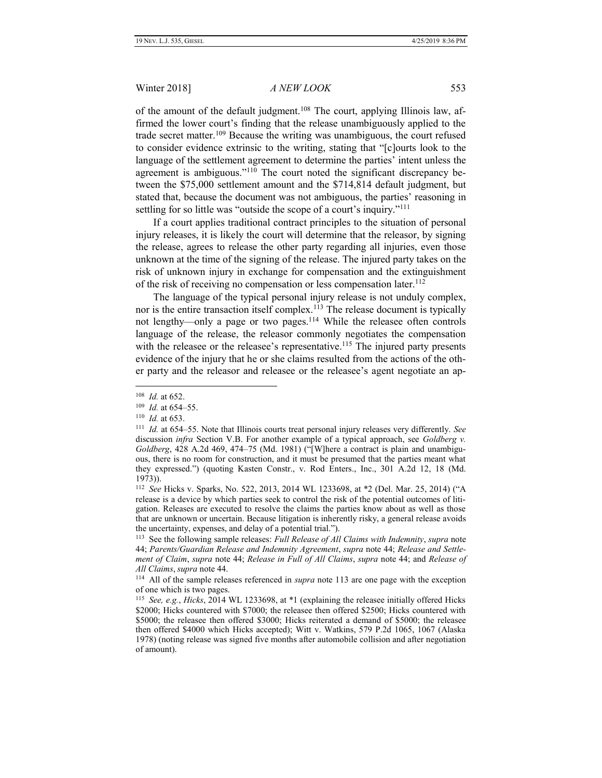of the amount of the default judgment.<sup>108</sup> The court, applying Illinois law, affirmed the lower court's finding that the release unambiguously applied to the trade secret matter.<sup>109</sup> Because the writing was unambiguous, the court refused to consider evidence extrinsic to the writing, stating that "[c]ourts look to the language of the settlement agreement to determine the parties' intent unless the agreement is ambiguous."<sup>110</sup> The court noted the significant discrepancy between the \$75,000 settlement amount and the \$714,814 default judgment, but stated that, because the document was not ambiguous, the parties' reasoning in settling for so little was "outside the scope of a court's inquiry."<sup>111</sup>

If a court applies traditional contract principles to the situation of personal injury releases, it is likely the court will determine that the releasor, by signing the release, agrees to release the other party regarding all injuries, even those unknown at the time of the signing of the release. The injured party takes on the risk of unknown injury in exchange for compensation and the extinguishment of the risk of receiving no compensation or less compensation later.<sup>112</sup>

The language of the typical personal injury release is not unduly complex, nor is the entire transaction itself complex.<sup>113</sup> The release document is typically not lengthy—only a page or two pages.<sup>114</sup> While the releasee often controls language of the release, the releasor commonly negotiates the compensation with the releasee or the releasee's representative.<sup>115</sup> The injured party presents evidence of the injury that he or she claims resulted from the actions of the other party and the releasor and releasee or the releasee's agent negotiate an ap-

<sup>108</sup> *Id.* at 652.

<sup>109</sup> *Id.* at 654–55.

<sup>110</sup> *Id.* at 653.

<sup>111</sup> *Id.* at 654–55. Note that Illinois courts treat personal injury releases very differently. *See* discussion *infra* Section V.B. For another example of a typical approach, see *Goldberg v. Goldberg*, 428 A.2d 469, 474–75 (Md. 1981) ("[W]here a contract is plain and unambiguous, there is no room for construction, and it must be presumed that the parties meant what they expressed.") (quoting Kasten Constr., v. Rod Enters., Inc., 301 A.2d 12, 18 (Md. 1973)).

<sup>112</sup> *See* Hicks v. Sparks, No. 522, 2013, 2014 WL 1233698, at \*2 (Del. Mar. 25, 2014) ("A release is a device by which parties seek to control the risk of the potential outcomes of litigation. Releases are executed to resolve the claims the parties know about as well as those that are unknown or uncertain. Because litigation is inherently risky, a general release avoids the uncertainty, expenses, and delay of a potential trial.").

<sup>113</sup> See the following sample releases: *Full Release of All Claims with Indemnity*, *supra* note 44; *Parents/Guardian Release and Indemnity Agreement*, *supra* note 44; *Release and Settlement of Claim*, *supra* note 44; *Release in Full of All Claims*, *supra* note 44; and *Release of All Claims*, *supra* note 44.

<sup>114</sup> All of the sample releases referenced in *supra* note 113 are one page with the exception of one which is two pages.

<sup>115</sup> *See, e.g.*, *Hicks*, 2014 WL 1233698, at \*1 (explaining the releasee initially offered Hicks \$2000; Hicks countered with \$7000; the releasee then offered \$2500; Hicks countered with \$5000; the releasee then offered \$3000; Hicks reiterated a demand of \$5000; the releasee then offered \$4000 which Hicks accepted); Witt v. Watkins, 579 P.2d 1065, 1067 (Alaska 1978) (noting release was signed five months after automobile collision and after negotiation of amount).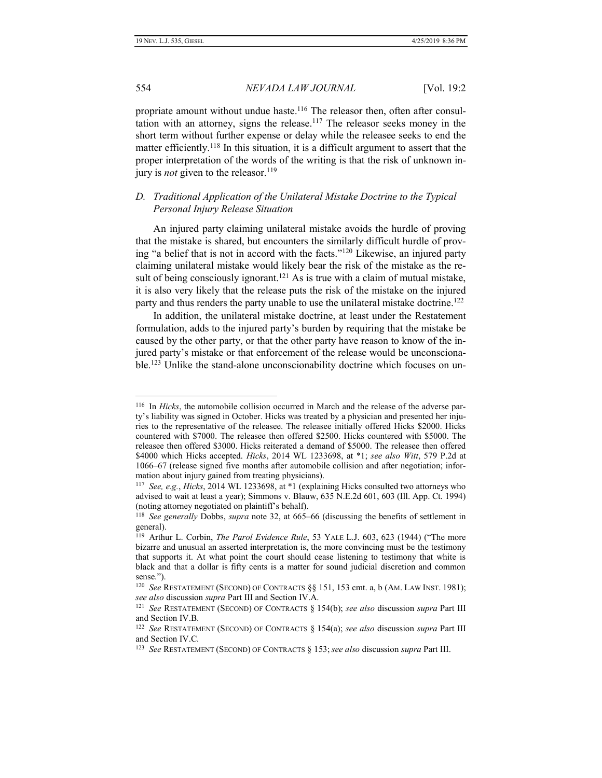# 554 *NEVADA LAW JOURNAL* [Vol. 19:2

propriate amount without undue haste.<sup>116</sup> The releasor then, often after consultation with an attorney, signs the release.<sup>117</sup> The releasor seeks money in the short term without further expense or delay while the releasee seeks to end the matter efficiently.<sup>118</sup> In this situation, it is a difficult argument to assert that the proper interpretation of the words of the writing is that the risk of unknown injury is *not* given to the releasor.<sup>119</sup>

# *D. Traditional Application of the Unilateral Mistake Doctrine to the Typical Personal Injury Release Situation*

An injured party claiming unilateral mistake avoids the hurdle of proving that the mistake is shared, but encounters the similarly difficult hurdle of proving "a belief that is not in accord with the facts."<sup>120</sup> Likewise, an injured party claiming unilateral mistake would likely bear the risk of the mistake as the result of being consciously ignorant.<sup>121</sup> As is true with a claim of mutual mistake, it is also very likely that the release puts the risk of the mistake on the injured party and thus renders the party unable to use the unilateral mistake doctrine.<sup>122</sup>

In addition, the unilateral mistake doctrine, at least under the Restatement formulation, adds to the injured party's burden by requiring that the mistake be caused by the other party, or that the other party have reason to know of the injured party's mistake or that enforcement of the release would be unconscionable.<sup>123</sup> Unlike the stand-alone unconscionability doctrine which focuses on un-

<sup>116</sup> In *Hicks*, the automobile collision occurred in March and the release of the adverse party's liability was signed in October. Hicks was treated by a physician and presented her injuries to the representative of the releasee. The releasee initially offered Hicks \$2000. Hicks countered with \$7000. The releasee then offered \$2500. Hicks countered with \$5000. The releasee then offered \$3000. Hicks reiterated a demand of \$5000. The releasee then offered \$4000 which Hicks accepted. *Hicks*, 2014 WL 1233698, at \*1; *see also Witt*, 579 P.2d at 1066–67 (release signed five months after automobile collision and after negotiation; information about injury gained from treating physicians).

<sup>117</sup> *See, e.g.*, *Hicks*, 2014 WL 1233698, at \*1 (explaining Hicks consulted two attorneys who advised to wait at least a year); Simmons v. Blauw, 635 N.E.2d 601, 603 (Ill. App. Ct. 1994) (noting attorney negotiated on plaintiff's behalf).

<sup>118</sup> *See generally* Dobbs, *supra* note 32, at 665–66 (discussing the benefits of settlement in general).

<sup>&</sup>lt;sup>119</sup> Arthur L. Corbin, *The Parol Evidence Rule*, 53 YALE L.J. 603, 623 (1944) ("The more bizarre and unusual an asserted interpretation is, the more convincing must be the testimony that supports it. At what point the court should cease listening to testimony that white is black and that a dollar is fifty cents is a matter for sound judicial discretion and common sense.").

<sup>&</sup>lt;sup>120</sup> See RESTATEMENT (SECOND) OF CONTRACTS §§ 151, 153 cmt. a, b (AM. LAW INST. 1981); *see also* discussion *supra* Part III and Section IV.A.

<sup>121</sup> *See* RESTATEMENT (SECOND) OF CONTRACTS § 154(b); *see also* discussion *supra* Part III and Section IV.B.

<sup>122</sup> *See* RESTATEMENT (SECOND) OF CONTRACTS § 154(a); *see also* discussion *supra* Part III and Section IV.C.

<sup>123</sup> *See* RESTATEMENT (SECOND) OF CONTRACTS § 153; *see also* discussion *supra* Part III.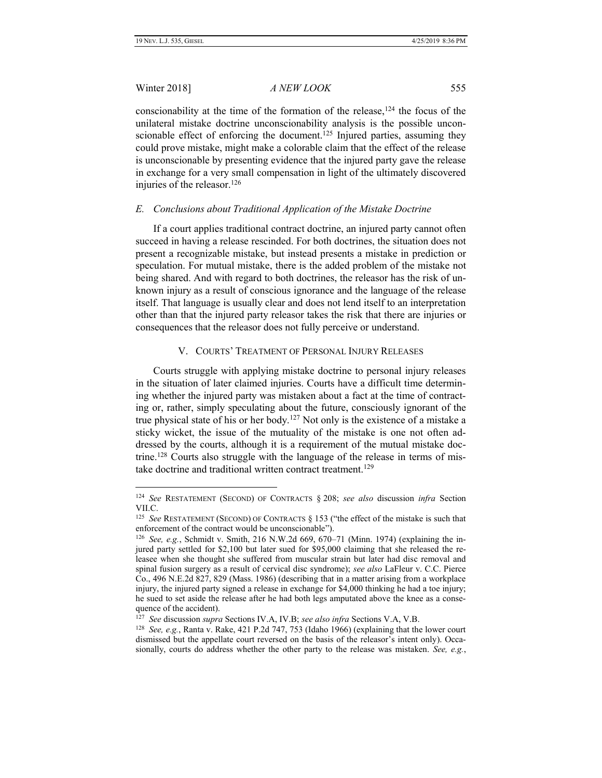# Winter 2018] *A NEW LOOK* 555

conscionability at the time of the formation of the release,  $124$  the focus of the unilateral mistake doctrine unconscionability analysis is the possible unconscionable effect of enforcing the document.<sup>125</sup> Injured parties, assuming they could prove mistake, might make a colorable claim that the effect of the release is unconscionable by presenting evidence that the injured party gave the release in exchange for a very small compensation in light of the ultimately discovered injuries of the releasor.<sup>126</sup>

#### *E. Conclusions about Traditional Application of the Mistake Doctrine*

If a court applies traditional contract doctrine, an injured party cannot often succeed in having a release rescinded. For both doctrines, the situation does not present a recognizable mistake, but instead presents a mistake in prediction or speculation. For mutual mistake, there is the added problem of the mistake not being shared. And with regard to both doctrines, the releasor has the risk of unknown injury as a result of conscious ignorance and the language of the release itself. That language is usually clear and does not lend itself to an interpretation other than that the injured party releasor takes the risk that there are injuries or consequences that the releasor does not fully perceive or understand.

# V. COURTS' TREATMENT OF PERSONAL INJURY RELEASES

Courts struggle with applying mistake doctrine to personal injury releases in the situation of later claimed injuries. Courts have a difficult time determining whether the injured party was mistaken about a fact at the time of contracting or, rather, simply speculating about the future, consciously ignorant of the true physical state of his or her body.<sup>127</sup> Not only is the existence of a mistake a sticky wicket, the issue of the mutuality of the mistake is one not often addressed by the courts, although it is a requirement of the mutual mistake doctrine.<sup>128</sup> Courts also struggle with the language of the release in terms of mistake doctrine and traditional written contract treatment.<sup>129</sup>

<sup>124</sup> *See* RESTATEMENT (SECOND) OF CONTRACTS § 208; *see also* discussion *infra* Section VII.C.

<sup>&</sup>lt;sup>125</sup> See RESTATEMENT (SECOND) OF CONTRACTS § 153 ("the effect of the mistake is such that enforcement of the contract would be unconscionable").

<sup>126</sup> *See, e.g.*, Schmidt v. Smith, 216 N.W.2d 669, 670–71 (Minn. 1974) (explaining the injured party settled for \$2,100 but later sued for \$95,000 claiming that she released the releasee when she thought she suffered from muscular strain but later had disc removal and spinal fusion surgery as a result of cervical disc syndrome); *see also* LaFleur v. C.C. Pierce Co., 496 N.E.2d 827, 829 (Mass. 1986) (describing that in a matter arising from a workplace injury, the injured party signed a release in exchange for \$4,000 thinking he had a toe injury; he sued to set aside the release after he had both legs amputated above the knee as a consequence of the accident).

<sup>127</sup> *See* discussion *supra* Sections IV.A, IV.B; *see also infra* Sections V.A, V.B.

<sup>128</sup> *See, e.g.*, Ranta v. Rake, 421 P.2d 747, 753 (Idaho 1966) (explaining that the lower court dismissed but the appellate court reversed on the basis of the releasor's intent only). Occasionally, courts do address whether the other party to the release was mistaken. *See, e.g.*,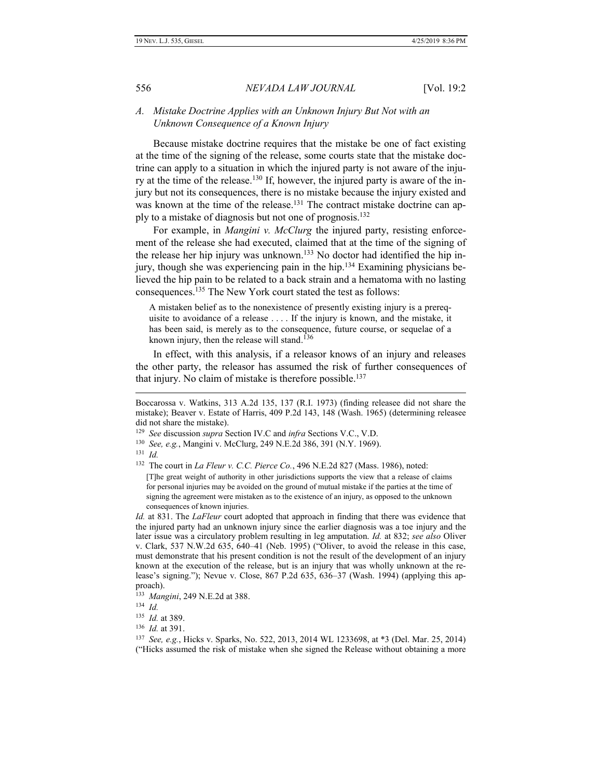### *A. Mistake Doctrine Applies with an Unknown Injury But Not with an Unknown Consequence of a Known Injury*

Because mistake doctrine requires that the mistake be one of fact existing at the time of the signing of the release, some courts state that the mistake doctrine can apply to a situation in which the injured party is not aware of the injury at the time of the release.<sup>130</sup> If, however, the injured party is aware of the injury but not its consequences, there is no mistake because the injury existed and was known at the time of the release.<sup>131</sup> The contract mistake doctrine can apply to a mistake of diagnosis but not one of prognosis.<sup>132</sup>

For example, in *Mangini v. McClurg* the injured party, resisting enforcement of the release she had executed, claimed that at the time of the signing of the release her hip injury was unknown. <sup>133</sup> No doctor had identified the hip injury, though she was experiencing pain in the hip. <sup>134</sup> Examining physicians believed the hip pain to be related to a back strain and a hematoma with no lasting consequences. <sup>135</sup> The New York court stated the test as follows:

A mistaken belief as to the nonexistence of presently existing injury is a prerequisite to avoidance of a release . . . . If the injury is known, and the mistake, it has been said, is merely as to the consequence, future course, or sequelae of a known injury, then the release will stand.<sup>136</sup>

In effect, with this analysis, if a releasor knows of an injury and releases the other party, the releasor has assumed the risk of further consequences of that injury. No claim of mistake is therefore possible.<sup>137</sup>

Boccarossa v. Watkins, 313 A.2d 135, 137 (R.I. 1973) (finding releasee did not share the mistake); Beaver v. Estate of Harris, 409 P.2d 143, 148 (Wash. 1965) (determining releasee did not share the mistake).

<sup>129</sup> *See* discussion *supra* Section IV.C and *infra* Sections V.C., V.D.

<sup>130</sup> *See, e.g.*, Mangini v. McClurg, 249 N.E.2d 386, 391 (N.Y. 1969).

<sup>131</sup> *Id.*

<sup>132</sup> The court in *La Fleur v. C.C. Pierce Co.*, 496 N.E.2d 827 (Mass. 1986), noted:

<sup>[</sup>T]he great weight of authority in other jurisdictions supports the view that a release of claims for personal injuries may be avoided on the ground of mutual mistake if the parties at the time of signing the agreement were mistaken as to the existence of an injury, as opposed to the unknown consequences of known injuries.

*Id.* at 831. The *LaFleur* court adopted that approach in finding that there was evidence that the injured party had an unknown injury since the earlier diagnosis was a toe injury and the later issue was a circulatory problem resulting in leg amputation. *Id.* at 832; *see also* Oliver v. Clark, 537 N.W.2d 635, 640–41 (Neb. 1995) ("Oliver, to avoid the release in this case, must demonstrate that his present condition is not the result of the development of an injury known at the execution of the release, but is an injury that was wholly unknown at the release's signing."); Nevue v. Close, 867 P.2d 635, 636–37 (Wash. 1994) (applying this approach).

<sup>133</sup> *Mangini*, 249 N.E.2d at 388.

<sup>134</sup> *Id.*

<sup>135</sup> *Id.* at 389.

<sup>136</sup> *Id.* at 391.

<sup>137</sup> *See, e.g.*, Hicks v. Sparks, No. 522, 2013, 2014 WL 1233698, at \*3 (Del. Mar. 25, 2014) ("Hicks assumed the risk of mistake when she signed the Release without obtaining a more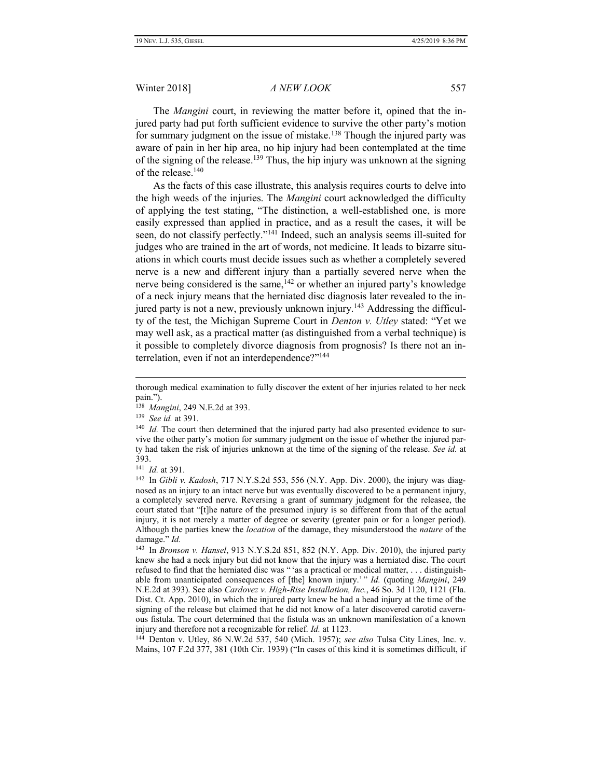The *Mangini* court, in reviewing the matter before it, opined that the injured party had put forth sufficient evidence to survive the other party's motion for summary judgment on the issue of mistake.<sup>138</sup> Though the injured party was aware of pain in her hip area, no hip injury had been contemplated at the time of the signing of the release.<sup>139</sup> Thus, the hip injury was unknown at the signing of the release. 140

As the facts of this case illustrate, this analysis requires courts to delve into the high weeds of the injuries. The *Mangini* court acknowledged the difficulty of applying the test stating, "The distinction, a well-established one, is more easily expressed than applied in practice, and as a result the cases, it will be seen, do not classify perfectly."<sup>141</sup> Indeed, such an analysis seems ill-suited for judges who are trained in the art of words, not medicine. It leads to bizarre situations in which courts must decide issues such as whether a completely severed nerve is a new and different injury than a partially severed nerve when the nerve being considered is the same, <sup>142</sup> or whether an injured party's knowledge of a neck injury means that the herniated disc diagnosis later revealed to the injured party is not a new, previously unknown injury.<sup>143</sup> Addressing the difficulty of the test, the Michigan Supreme Court in *Denton v. Utley* stated: "Yet we may well ask, as a practical matter (as distinguished from a verbal technique) is it possible to completely divorce diagnosis from prognosis? Is there not an interrelation, even if not an interdependence?"<sup>144</sup>

 $\overline{a}$ 

144 Denton v. Utley, 86 N.W.2d 537, 540 (Mich. 1957); *see also* Tulsa City Lines, Inc. v. Mains, 107 F.2d 377, 381 (10th Cir. 1939) ("In cases of this kind it is sometimes difficult, if

thorough medical examination to fully discover the extent of her injuries related to her neck pain.").

<sup>138</sup> *Mangini*, 249 N.E.2d at 393.

<sup>139</sup> *See id.* at 391.

<sup>&</sup>lt;sup>140</sup> *Id.* The court then determined that the injured party had also presented evidence to survive the other party's motion for summary judgment on the issue of whether the injured party had taken the risk of injuries unknown at the time of the signing of the release. *See id.* at 393.

<sup>141</sup> *Id.* at 391.

<sup>&</sup>lt;sup>142</sup> In *Gibli v. Kadosh*, 717 N.Y.S.2d 553, 556 (N.Y. App. Div. 2000), the injury was diagnosed as an injury to an intact nerve but was eventually discovered to be a permanent injury, a completely severed nerve. Reversing a grant of summary judgment for the releasee, the court stated that "[t]he nature of the presumed injury is so different from that of the actual injury, it is not merely a matter of degree or severity (greater pain or for a longer period). Although the parties knew the *location* of the damage, they misunderstood the *nature* of the damage." *Id.*

<sup>143</sup> In *Bronson v. Hansel*, 913 N.Y.S.2d 851, 852 (N.Y. App. Div. 2010), the injured party knew she had a neck injury but did not know that the injury was a herniated disc. The court refused to find that the herniated disc was " 'as a practical or medical matter, . . . distinguishable from unanticipated consequences of [the] known injury.' " *Id.* (quoting *Mangini*, 249 N.E.2d at 393). See also *Cardovez v. High-Rise Installation, Inc.*, 46 So. 3d 1120, 1121 (Fla. Dist. Ct. App. 2010), in which the injured party knew he had a head injury at the time of the signing of the release but claimed that he did not know of a later discovered carotid cavernous fistula. The court determined that the fistula was an unknown manifestation of a known injury and therefore not a recognizable for relief. *Id.* at 1123.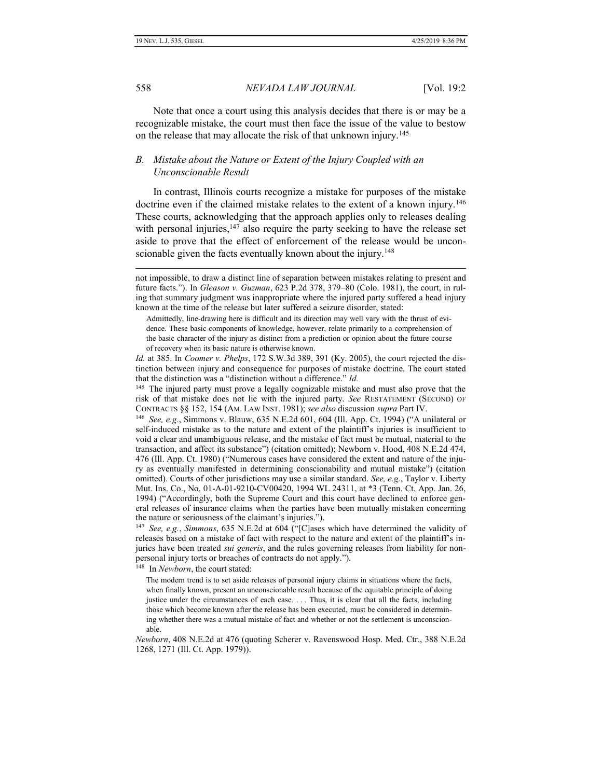558 *NEVADA LAW JOURNAL* [Vol. 19:2

Note that once a court using this analysis decides that there is or may be a recognizable mistake, the court must then face the issue of the value to bestow on the release that may allocate the risk of that unknown injury.<sup>145</sup>

# *B. Mistake about the Nature or Extent of the Injury Coupled with an Unconscionable Result*

In contrast, Illinois courts recognize a mistake for purposes of the mistake doctrine even if the claimed mistake relates to the extent of a known injury.<sup>146</sup> These courts, acknowledging that the approach applies only to releases dealing with personal injuries, $147$  also require the party seeking to have the release set aside to prove that the effect of enforcement of the release would be unconscionable given the facts eventually known about the injury.<sup>148</sup>

148 In *Newborn*, the court stated:

not impossible, to draw a distinct line of separation between mistakes relating to present and future facts."). In *Gleason v. Guzman*, 623 P.2d 378, 379–80 (Colo. 1981), the court, in ruling that summary judgment was inappropriate where the injured party suffered a head injury known at the time of the release but later suffered a seizure disorder, stated:

Admittedly, line-drawing here is difficult and its direction may well vary with the thrust of evidence. These basic components of knowledge, however, relate primarily to a comprehension of the basic character of the injury as distinct from a prediction or opinion about the future course of recovery when its basic nature is otherwise known.

*Id.* at 385. In *Coomer v. Phelps*, 172 S.W.3d 389, 391 (Ky. 2005), the court rejected the distinction between injury and consequence for purposes of mistake doctrine. The court stated that the distinction was a "distinction without a difference." *Id.*

<sup>&</sup>lt;sup>145</sup> The injured party must prove a legally cognizable mistake and must also prove that the risk of that mistake does not lie with the injured party. *See* RESTATEMENT (SECOND) OF CONTRACTS §§ 152, 154 (AM. LAW INST. 1981); *see also* discussion *supra* Part IV.

<sup>146</sup> *See, e.g.*, Simmons v. Blauw, 635 N.E.2d 601, 604 (Ill. App. Ct. 1994) ("A unilateral or self-induced mistake as to the nature and extent of the plaintiff's injuries is insufficient to void a clear and unambiguous release, and the mistake of fact must be mutual, material to the transaction, and affect its substance") (citation omitted); Newborn v. Hood, 408 N.E.2d 474, 476 (Ill. App. Ct. 1980) ("Numerous cases have considered the extent and nature of the injury as eventually manifested in determining conscionability and mutual mistake") (citation omitted). Courts of other jurisdictions may use a similar standard. *See, e.g.*, Taylor v. Liberty Mut. Ins. Co., No. 01-A-01-9210-CV00420, 1994 WL 24311, at \*3 (Tenn. Ct. App. Jan. 26, 1994) ("Accordingly, both the Supreme Court and this court have declined to enforce general releases of insurance claims when the parties have been mutually mistaken concerning the nature or seriousness of the claimant's injuries.").

<sup>147</sup> *See, e.g.*, *Simmons*, 635 N.E.2d at 604 ("[C]ases which have determined the validity of releases based on a mistake of fact with respect to the nature and extent of the plaintiff's injuries have been treated *sui generis*, and the rules governing releases from liability for nonpersonal injury torts or breaches of contracts do not apply.").

The modern trend is to set aside releases of personal injury claims in situations where the facts, when finally known, present an unconscionable result because of the equitable principle of doing justice under the circumstances of each case. . . . Thus, it is clear that all the facts, including those which become known after the release has been executed, must be considered in determining whether there was a mutual mistake of fact and whether or not the settlement is unconscionable.

*Newborn*, 408 N.E.2d at 476 (quoting Scherer v. Ravenswood Hosp. Med. Ctr., 388 N.E.2d 1268, 1271 (Ill. Ct. App. 1979)).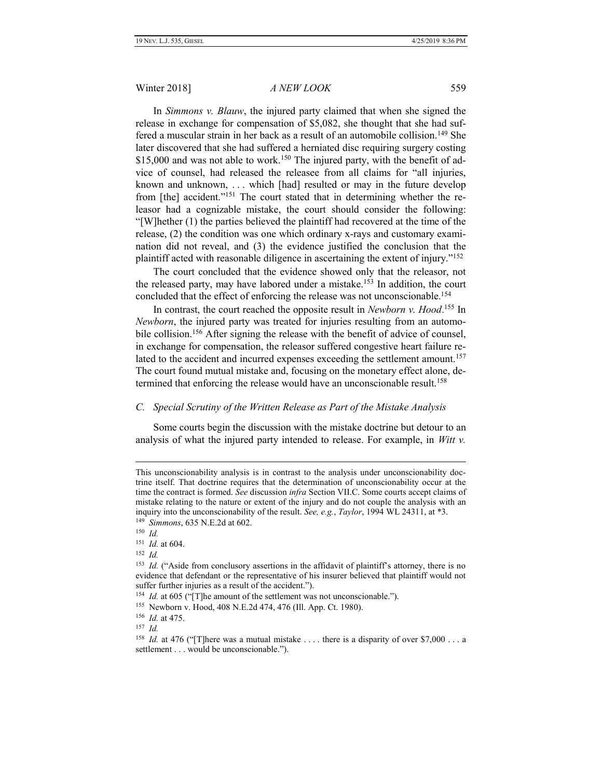In *Simmons v. Blauw*, the injured party claimed that when she signed the release in exchange for compensation of \$5,082, she thought that she had suffered a muscular strain in her back as a result of an automobile collision.<sup>149</sup> She later discovered that she had suffered a herniated disc requiring surgery costing \$15,000 and was not able to work.<sup>150</sup> The injured party, with the benefit of advice of counsel, had released the releasee from all claims for "all injuries, known and unknown, . . . which [had] resulted or may in the future develop from [the] accident."<sup>151</sup> The court stated that in determining whether the releasor had a cognizable mistake, the court should consider the following: "[W]hether (1) the parties believed the plaintiff had recovered at the time of the release, (2) the condition was one which ordinary x-rays and customary examination did not reveal, and (3) the evidence justified the conclusion that the plaintiff acted with reasonable diligence in ascertaining the extent of injury."<sup>152</sup>

The court concluded that the evidence showed only that the releasor, not the released party, may have labored under a mistake.<sup>153</sup> In addition, the court concluded that the effect of enforcing the release was not unconscionable.<sup>154</sup>

In contrast, the court reached the opposite result in *Newborn v. Hood*. <sup>155</sup> In *Newborn*, the injured party was treated for injuries resulting from an automobile collision.<sup>156</sup> After signing the release with the benefit of advice of counsel, in exchange for compensation, the releasor suffered congestive heart failure related to the accident and incurred expenses exceeding the settlement amount.<sup>157</sup> The court found mutual mistake and, focusing on the monetary effect alone, determined that enforcing the release would have an unconscionable result.<sup>158</sup>

#### *C. Special Scrutiny of the Written Release as Part of the Mistake Analysis*

Some courts begin the discussion with the mistake doctrine but detour to an analysis of what the injured party intended to release. For example, in *Witt v.* 

 $\overline{a}$ 

157 *Id.*

This unconscionability analysis is in contrast to the analysis under unconscionability doctrine itself. That doctrine requires that the determination of unconscionability occur at the time the contract is formed. *See* discussion *infra* Section VII.C. Some courts accept claims of mistake relating to the nature or extent of the injury and do not couple the analysis with an inquiry into the unconscionability of the result. *See, e.g.*, *Taylor*, 1994 WL 24311, at \*3. 149 *Simmons*, 635 N.E.2d at 602.

<sup>150</sup> *Id.*

<sup>151</sup> *Id.* at 604.

<sup>152</sup> *Id.*

<sup>&</sup>lt;sup>153</sup> *Id.* ("Aside from conclusory assertions in the affidavit of plaintiff's attorney, there is no evidence that defendant or the representative of his insurer believed that plaintiff would not suffer further injuries as a result of the accident.").

<sup>&</sup>lt;sup>154</sup> *Id.* at 605 ("[T]he amount of the settlement was not unconscionable.").

<sup>155</sup> Newborn v. Hood, 408 N.E.2d 474, 476 (Ill. App. Ct. 1980).

<sup>156</sup> *Id.* at 475.

<sup>&</sup>lt;sup>158</sup> *Id.* at 476 ("There was a mutual mistake .... there is a disparity of over \$7,000 ... a settlement . . . would be unconscionable.").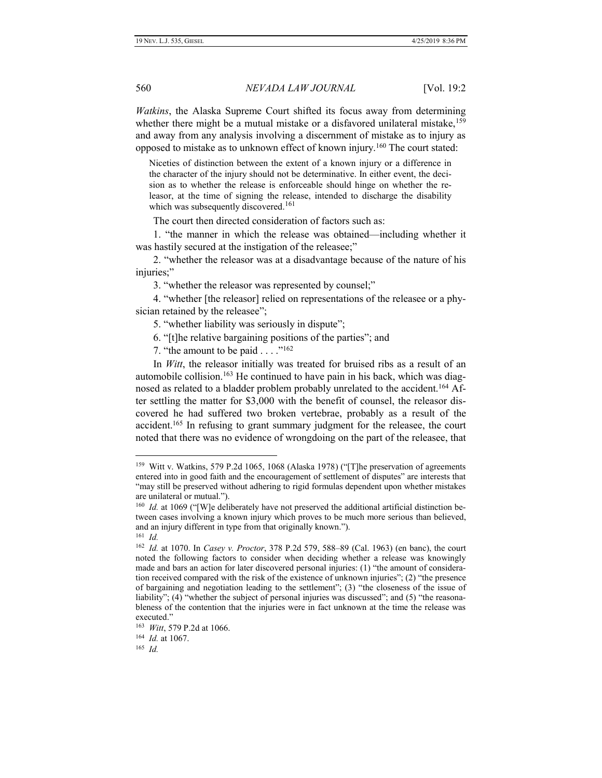*Watkins*, the Alaska Supreme Court shifted its focus away from determining whether there might be a mutual mistake or a disfavored unilateral mistake,<sup>159</sup> and away from any analysis involving a discernment of mistake as to injury as opposed to mistake as to unknown effect of known injury.<sup>160</sup> The court stated:

Niceties of distinction between the extent of a known injury or a difference in the character of the injury should not be determinative. In either event, the decision as to whether the release is enforceable should hinge on whether the releasor, at the time of signing the release, intended to discharge the disability which was subsequently discovered.<sup>161</sup>

The court then directed consideration of factors such as:

1. "the manner in which the release was obtained—including whether it was hastily secured at the instigation of the releasee;"

2. "whether the releasor was at a disadvantage because of the nature of his injuries;"

3. "whether the releasor was represented by counsel;"

4. "whether [the releasor] relied on representations of the releasee or a physician retained by the releasee";

5. "whether liability was seriously in dispute";

6. "[t]he relative bargaining positions of the parties"; and

7. "the amount to be paid . . . ."<sup>162</sup>

In *Witt*, the releasor initially was treated for bruised ribs as a result of an automobile collision.<sup>163</sup> He continued to have pain in his back, which was diagnosed as related to a bladder problem probably unrelated to the accident.<sup>164</sup> After settling the matter for \$3,000 with the benefit of counsel, the releasor discovered he had suffered two broken vertebrae, probably as a result of the accident.<sup>165</sup> In refusing to grant summary judgment for the releasee, the court noted that there was no evidence of wrongdoing on the part of the releasee, that

 $\overline{a}$ 

165 *Id.*

<sup>&</sup>lt;sup>159</sup> Witt v. Watkins, 579 P.2d 1065, 1068 (Alaska 1978) ("[T]he preservation of agreements entered into in good faith and the encouragement of settlement of disputes" are interests that "may still be preserved without adhering to rigid formulas dependent upon whether mistakes are unilateral or mutual.").

<sup>&</sup>lt;sup>160</sup> *Id.* at 1069 ("[W]e deliberately have not preserved the additional artificial distinction between cases involving a known injury which proves to be much more serious than believed, and an injury different in type from that originally known.").

<sup>161</sup> *Id.*

<sup>162</sup> *Id.* at 1070. In *Casey v. Proctor*, 378 P.2d 579, 588–89 (Cal. 1963) (en banc), the court noted the following factors to consider when deciding whether a release was knowingly made and bars an action for later discovered personal injuries: (1) "the amount of consideration received compared with the risk of the existence of unknown injuries"; (2) "the presence of bargaining and negotiation leading to the settlement"; (3) "the closeness of the issue of liability"; (4) "whether the subject of personal injuries was discussed"; and (5) "the reasonableness of the contention that the injuries were in fact unknown at the time the release was executed."

<sup>163</sup> *Witt*, 579 P.2d at 1066.

<sup>164</sup> *Id.* at 1067.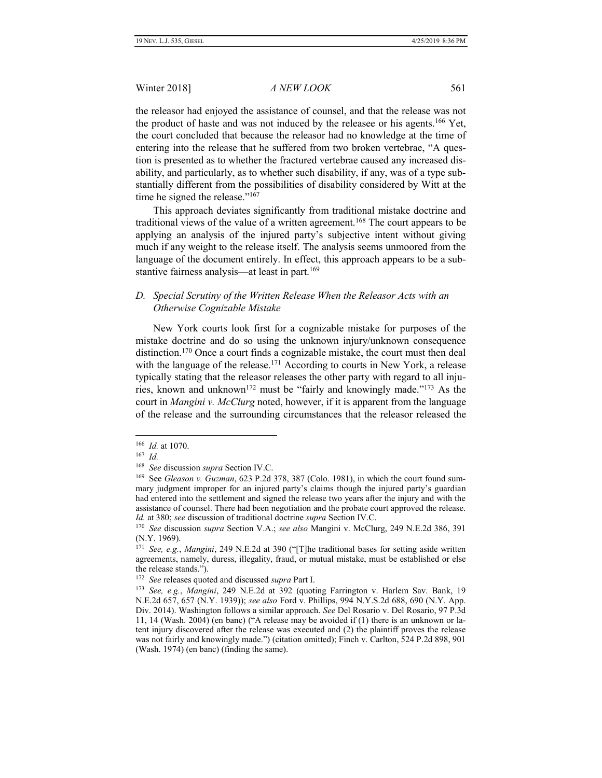the releasor had enjoyed the assistance of counsel, and that the release was not the product of haste and was not induced by the releasee or his agents.<sup>166</sup> Yet, the court concluded that because the releasor had no knowledge at the time of entering into the release that he suffered from two broken vertebrae, "A question is presented as to whether the fractured vertebrae caused any increased disability, and particularly, as to whether such disability, if any, was of a type substantially different from the possibilities of disability considered by Witt at the time he signed the release."<sup>167</sup>

This approach deviates significantly from traditional mistake doctrine and traditional views of the value of a written agreement.<sup>168</sup> The court appears to be applying an analysis of the injured party's subjective intent without giving much if any weight to the release itself. The analysis seems unmoored from the language of the document entirely. In effect, this approach appears to be a substantive fairness analysis—at least in part.<sup>169</sup>

# *D. Special Scrutiny of the Written Release When the Releasor Acts with an Otherwise Cognizable Mistake*

New York courts look first for a cognizable mistake for purposes of the mistake doctrine and do so using the unknown injury/unknown consequence distinction.<sup>170</sup> Once a court finds a cognizable mistake, the court must then deal with the language of the release.<sup>171</sup> According to courts in New York, a release typically stating that the releasor releases the other party with regard to all injuries, known and unknown<sup>172</sup> must be "fairly and knowingly made."<sup>173</sup> As the court in *Mangini v. McClurg* noted, however, if it is apparent from the language of the release and the surrounding circumstances that the releasor released the

<sup>166</sup>  *Id.* at 1070.

<sup>167</sup> *Id.*

<sup>168</sup> *See* discussion *supra* Section IV.C.

<sup>169</sup> See *Gleason v. Guzman*, 623 P.2d 378, 387 (Colo. 1981), in which the court found summary judgment improper for an injured party's claims though the injured party's guardian had entered into the settlement and signed the release two years after the injury and with the assistance of counsel. There had been negotiation and the probate court approved the release. *Id.* at 380; *see* discussion of traditional doctrine *supra* Section IV.C.

<sup>170</sup> *See* discussion *supra* Section V.A.; *see also* Mangini v. McClurg, 249 N.E.2d 386, 391 (N.Y. 1969).

<sup>171</sup> *See, e.g.*, *Mangini*, 249 N.E.2d at 390 ("[T]he traditional bases for setting aside written agreements, namely, duress, illegality, fraud, or mutual mistake, must be established or else the release stands.").

<sup>172</sup> *See* releases quoted and discussed *supra* Part I.

<sup>173</sup> *See, e.g.*, *Mangini*, 249 N.E.2d at 392 (quoting Farrington v. Harlem Sav. Bank, 19 N.E.2d 657, 657 (N.Y. 1939)); *see also* Ford v. Phillips, 994 N.Y.S.2d 688, 690 (N.Y. App. Div. 2014). Washington follows a similar approach. *See* Del Rosario v. Del Rosario, 97 P.3d 11, 14 (Wash. 2004) (en banc) ("A release may be avoided if (1) there is an unknown or latent injury discovered after the release was executed and (2) the plaintiff proves the release was not fairly and knowingly made.") (citation omitted); Finch v. Carlton, 524 P.2d 898, 901 (Wash. 1974) (en banc) (finding the same).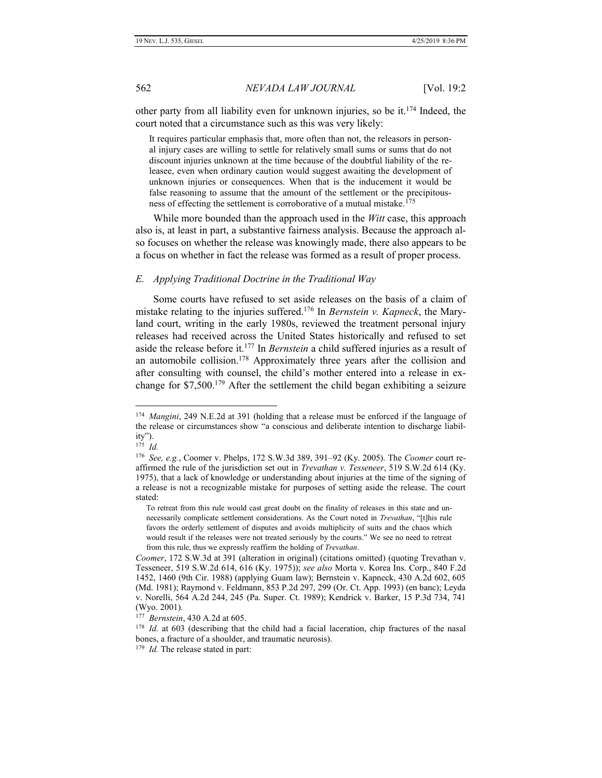other party from all liability even for unknown injuries, so be it.<sup>174</sup> Indeed, the court noted that a circumstance such as this was very likely:

It requires particular emphasis that, more often than not, the releasors in personal injury cases are willing to settle for relatively small sums or sums that do not discount injuries unknown at the time because of the doubtful liability of the releasee, even when ordinary caution would suggest awaiting the development of unknown injuries or consequences. When that is the inducement it would be false reasoning to assume that the amount of the settlement or the precipitousness of effecting the settlement is corroborative of a mutual mistake.<sup>175</sup>

While more bounded than the approach used in the *Witt* case, this approach also is, at least in part, a substantive fairness analysis. Because the approach also focuses on whether the release was knowingly made, there also appears to be a focus on whether in fact the release was formed as a result of proper process.

#### *E. Applying Traditional Doctrine in the Traditional Way*

Some courts have refused to set aside releases on the basis of a claim of mistake relating to the injuries suffered.<sup>176</sup> In *Bernstein v. Kapneck*, the Maryland court, writing in the early 1980s, reviewed the treatment personal injury releases had received across the United States historically and refused to set aside the release before it.<sup>177</sup> In *Bernstein* a child suffered injuries as a result of an automobile collision.<sup>178</sup> Approximately three years after the collision and after consulting with counsel, the child's mother entered into a release in exchange for \$7,500.<sup>179</sup> After the settlement the child began exhibiting a seizure

<sup>174</sup> *Mangini*, 249 N.E.2d at 391 (holding that a release must be enforced if the language of the release or circumstances show "a conscious and deliberate intention to discharge liability").

<sup>175</sup>  *Id.*

<sup>176</sup> *See, e.g.*, Coomer v. Phelps, 172 S.W.3d 389, 391–92 (Ky. 2005). The *Coomer* court reaffirmed the rule of the jurisdiction set out in *Trevathan v. Tesseneer*, 519 S.W.2d 614 (Ky. 1975), that a lack of knowledge or understanding about injuries at the time of the signing of a release is not a recognizable mistake for purposes of setting aside the release. The court stated:

To retreat from this rule would cast great doubt on the finality of releases in this state and unnecessarily complicate settlement considerations. As the Court noted in *Trevathan*, "[t]his rule favors the orderly settlement of disputes and avoids multiplicity of suits and the chaos which would result if the releases were not treated seriously by the courts." We see no need to retreat from this rule, thus we expressly reaffirm the holding of *Trevathan*.

*Coomer*, 172 S.W.3d at 391 (alteration in original) (citations omitted) (quoting Trevathan v. Tesseneer, 519 S.W.2d 614, 616 (Ky. 1975)); *see also* Morta v. Korea Ins. Corp., 840 F.2d 1452, 1460 (9th Cir. 1988) (applying Guam law); Bernstein v. Kapneck, 430 A.2d 602, 605 (Md. 1981); Raymond v. Feldmann, 853 P.2d 297, 299 (Or. Ct. App. 1993) (en banc); Leyda v. Norelli, 564 A.2d 244, 245 (Pa. Super. Ct. 1989); Kendrick v. Barker, 15 P.3d 734, 741 (Wyo. 2001).

<sup>177</sup> *Bernstein*, 430 A.2d at 605.

<sup>&</sup>lt;sup>178</sup> *Id.* at 603 (describing that the child had a facial laceration, chip fractures of the nasal bones, a fracture of a shoulder, and traumatic neurosis).

<sup>&</sup>lt;sup>179</sup> *Id*. The release stated in part: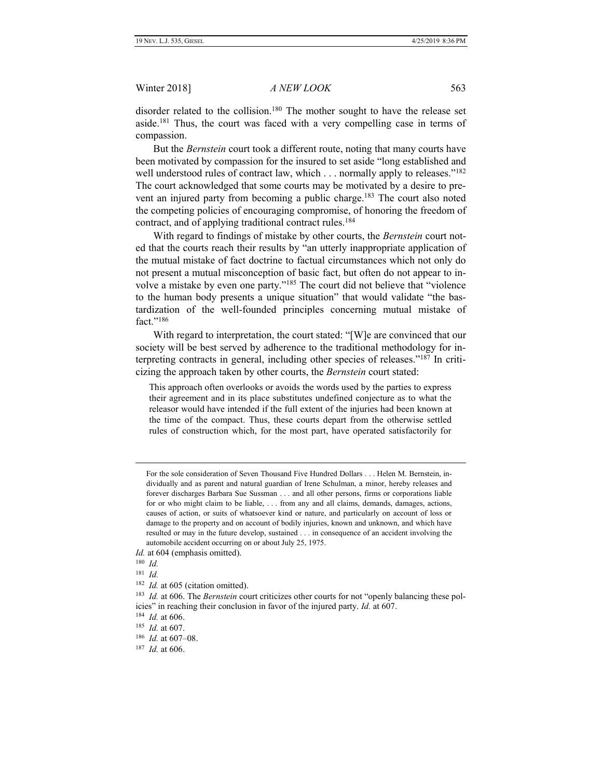disorder related to the collision.<sup>180</sup> The mother sought to have the release set aside.<sup>181</sup> Thus, the court was faced with a very compelling case in terms of compassion.

But the *Bernstein* court took a different route, noting that many courts have been motivated by compassion for the insured to set aside "long established and well understood rules of contract law, which . . . normally apply to releases."<sup>182</sup> The court acknowledged that some courts may be motivated by a desire to prevent an injured party from becoming a public charge.<sup>183</sup> The court also noted the competing policies of encouraging compromise, of honoring the freedom of contract, and of applying traditional contract rules.<sup>184</sup>

With regard to findings of mistake by other courts, the *Bernstein* court noted that the courts reach their results by "an utterly inappropriate application of the mutual mistake of fact doctrine to factual circumstances which not only do not present a mutual misconception of basic fact, but often do not appear to involve a mistake by even one party."<sup>185</sup> The court did not believe that "violence to the human body presents a unique situation" that would validate "the bastardization of the well-founded principles concerning mutual mistake of fact "<sup>186</sup>

With regard to interpretation, the court stated: "[W]e are convinced that our society will be best served by adherence to the traditional methodology for interpreting contracts in general, including other species of releases."<sup>187</sup> In criticizing the approach taken by other courts, the *Bernstein* court stated:

This approach often overlooks or avoids the words used by the parties to express their agreement and in its place substitutes undefined conjecture as to what the releasor would have intended if the full extent of the injuries had been known at the time of the compact. Thus, these courts depart from the otherwise settled rules of construction which, for the most part, have operated satisfactorily for

For the sole consideration of Seven Thousand Five Hundred Dollars . . . Helen M. Bernstein, individually and as parent and natural guardian of Irene Schulman, a minor, hereby releases and forever discharges Barbara Sue Sussman . . . and all other persons, firms or corporations liable for or who might claim to be liable, . . . from any and all claims, demands, damages, actions, causes of action, or suits of whatsoever kind or nature, and particularly on account of loss or damage to the property and on account of bodily injuries, known and unknown, and which have resulted or may in the future develop, sustained . . . in consequence of an accident involving the automobile accident occurring on or about July 25, 1975.

*Id.* at 604 (emphasis omitted).

<sup>180</sup> *Id.*

<sup>181</sup> *Id.*

<sup>&</sup>lt;sup>182</sup> *Id.* at 605 (citation omitted).

<sup>&</sup>lt;sup>183</sup> *Id.* at 606. The *Bernstein* court criticizes other courts for not "openly balancing these policies" in reaching their conclusion in favor of the injured party. *Id.* at 607.

<sup>184</sup> *Id.* at 606.

<sup>185</sup> *Id.* at 607.

<sup>186</sup> *Id.* at 607–08.

<sup>187</sup> *Id.* at 606.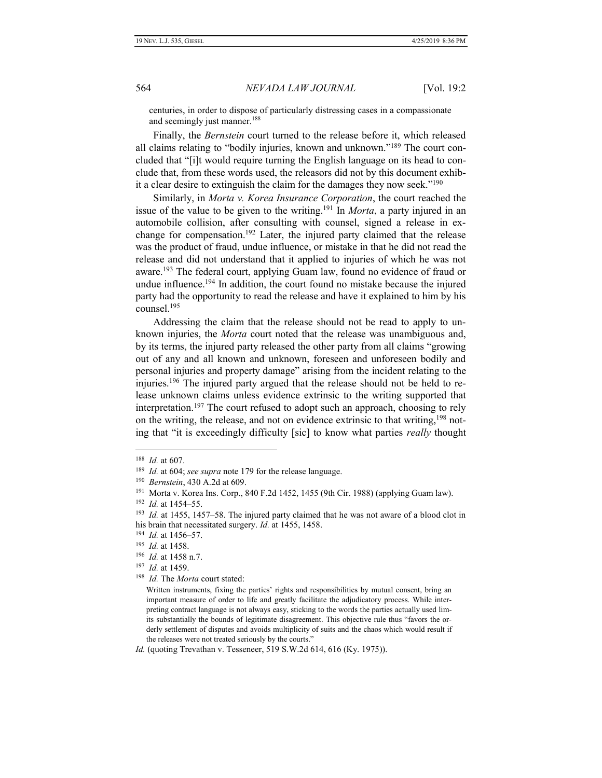centuries, in order to dispose of particularly distressing cases in a compassionate and seemingly just manner.<sup>188</sup>

Finally, the *Bernstein* court turned to the release before it, which released all claims relating to "bodily injuries, known and unknown."<sup>189</sup> The court concluded that "[i]t would require turning the English language on its head to conclude that, from these words used, the releasors did not by this document exhibit a clear desire to extinguish the claim for the damages they now seek."<sup>190</sup>

Similarly, in *Morta v. Korea Insurance Corporation*, the court reached the issue of the value to be given to the writing.<sup>191</sup> In *Morta*, a party injured in an automobile collision, after consulting with counsel, signed a release in exchange for compensation.<sup>192</sup> Later, the injured party claimed that the release was the product of fraud, undue influence, or mistake in that he did not read the release and did not understand that it applied to injuries of which he was not aware.<sup>193</sup> The federal court, applying Guam law, found no evidence of fraud or undue influence.<sup>194</sup> In addition, the court found no mistake because the injured party had the opportunity to read the release and have it explained to him by his counsel.<sup>195</sup>

Addressing the claim that the release should not be read to apply to unknown injuries, the *Morta* court noted that the release was unambiguous and, by its terms, the injured party released the other party from all claims "growing out of any and all known and unknown, foreseen and unforeseen bodily and personal injuries and property damage" arising from the incident relating to the injuries.<sup>196</sup> The injured party argued that the release should not be held to release unknown claims unless evidence extrinsic to the writing supported that interpretation.<sup>197</sup> The court refused to adopt such an approach, choosing to rely on the writing, the release, and not on evidence extrinsic to that writing,<sup>198</sup> noting that "it is exceedingly difficulty [sic] to know what parties *really* thought

<sup>188</sup> *Id.* at 607.

<sup>189</sup> *Id.* at 604; *see supra* note 179 for the release language.

<sup>190</sup> *Bernstein*, 430 A.2d at 609.

<sup>&</sup>lt;sup>191</sup> Morta v. Korea Ins. Corp., 840 F.2d 1452, 1455 (9th Cir. 1988) (applying Guam law).

<sup>192</sup> *Id.* at 1454–55.

<sup>193</sup> *Id.* at 1455, 1457–58. The injured party claimed that he was not aware of a blood clot in his brain that necessitated surgery. *Id.* at 1455, 1458.

<sup>194</sup> *Id.* at 1456–57.

<sup>195</sup> *Id.* at 1458.

<sup>196</sup> *Id.* at 1458 n.7.

<sup>197</sup> *Id.* at 1459.

<sup>198</sup> *Id.* The *Morta* court stated:

Written instruments, fixing the parties' rights and responsibilities by mutual consent, bring an important measure of order to life and greatly facilitate the adjudicatory process. While interpreting contract language is not always easy, sticking to the words the parties actually used limits substantially the bounds of legitimate disagreement. This objective rule thus "favors the orderly settlement of disputes and avoids multiplicity of suits and the chaos which would result if the releases were not treated seriously by the courts."

*Id.* (quoting Trevathan v. Tesseneer, 519 S.W.2d 614, 616 (Ky. 1975)).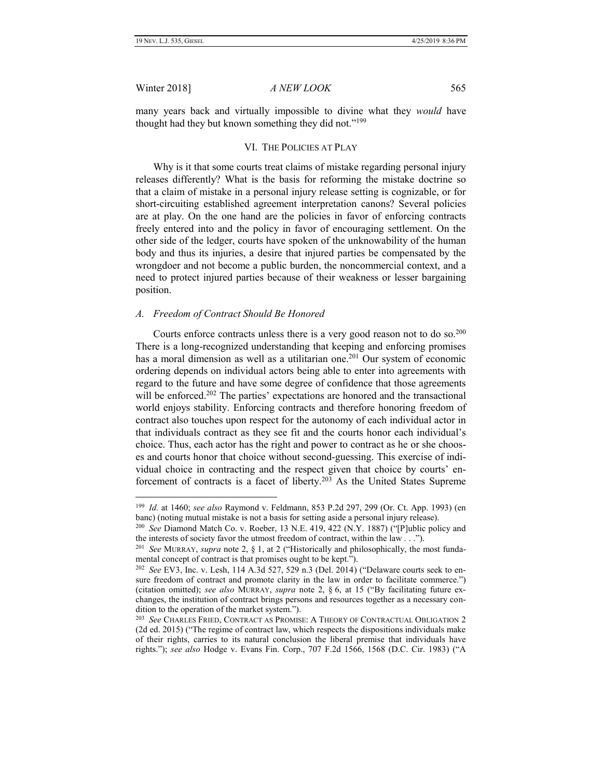Winter 2018] *A NEW LOOK* 565

many years back and virtually impossible to divine what they *would* have thought had they but known something they did not."<sup>199</sup>

### VI. THE POLICIES AT PLAY

Why is it that some courts treat claims of mistake regarding personal injury releases differently? What is the basis for reforming the mistake doctrine so that a claim of mistake in a personal injury release setting is cognizable, or for short-circuiting established agreement interpretation canons? Several policies are at play. On the one hand are the policies in favor of enforcing contracts freely entered into and the policy in favor of encouraging settlement. On the other side of the ledger, courts have spoken of the unknowability of the human body and thus its injuries, a desire that injured parties be compensated by the wrongdoer and not become a public burden, the noncommercial context, and a need to protect injured parties because of their weakness or lesser bargaining position.

#### *A. Freedom of Contract Should Be Honored*

Courts enforce contracts unless there is a very good reason not to do so.<sup>200</sup> There is a long-recognized understanding that keeping and enforcing promises has a moral dimension as well as a utilitarian one.<sup>201</sup> Our system of economic ordering depends on individual actors being able to enter into agreements with regard to the future and have some degree of confidence that those agreements will be enforced.<sup>202</sup> The parties' expectations are honored and the transactional world enjoys stability. Enforcing contracts and therefore honoring freedom of contract also touches upon respect for the autonomy of each individual actor in that individuals contract as they see fit and the courts honor each individual's choice. Thus, each actor has the right and power to contract as he or she chooses and courts honor that choice without second-guessing. This exercise of individual choice in contracting and the respect given that choice by courts' enforcement of contracts is a facet of liberty.<sup>203</sup> As the United States Supreme

<sup>199</sup>  *Id.* at 1460; *see also* Raymond v. Feldmann, 853 P.2d 297, 299 (Or. Ct. App. 1993) (en banc) (noting mutual mistake is not a basis for setting aside a personal injury release).

<sup>200</sup>  *See* Diamond Match Co. v. Roeber, 13 N.E. 419, 422 (N.Y. 1887) ("[P]ublic policy and the interests of society favor the utmost freedom of contract, within the law . . .").

<sup>201</sup> *See* MURRAY, *supra* note 2, § 1, at 2 ("Historically and philosophically, the most fundamental concept of contract is that promises ought to be kept.").

<sup>202</sup> *See* EV3, Inc. v. Lesh, 114 A.3d 527, 529 n.3 (Del. 2014) ("Delaware courts seek to ensure freedom of contract and promote clarity in the law in order to facilitate commerce.") (citation omitted); *see also* MURRAY, *supra* note 2, § 6, at 15 ("By facilitating future exchanges, the institution of contract brings persons and resources together as a necessary condition to the operation of the market system.").

<sup>203</sup> *See* CHARLES FRIED, CONTRACT AS PROMISE: A THEORY OF CONTRACTUAL OBLIGATION 2 (2d ed. 2015) ("The regime of contract law, which respects the dispositions individuals make of their rights, carries to its natural conclusion the liberal premise that individuals have rights."); *see also* Hodge v. Evans Fin. Corp., 707 F.2d 1566, 1568 (D.C. Cir. 1983) ("A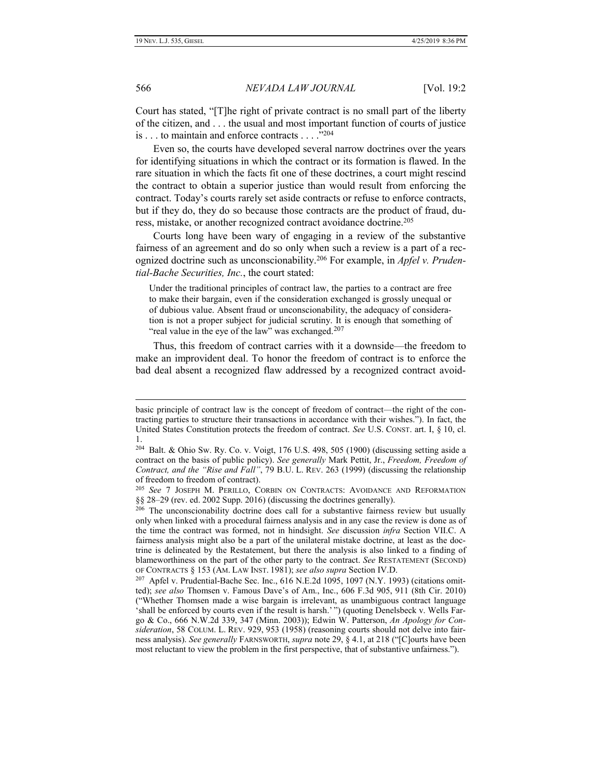566 *NEVADA LAW JOURNAL* [Vol. 19:2

Court has stated, "[T]he right of private contract is no small part of the liberty of the citizen, and . . . the usual and most important function of courts of justice is . . . to maintain and enforce contracts . . . ." 204

Even so, the courts have developed several narrow doctrines over the years for identifying situations in which the contract or its formation is flawed. In the rare situation in which the facts fit one of these doctrines, a court might rescind the contract to obtain a superior justice than would result from enforcing the contract. Today's courts rarely set aside contracts or refuse to enforce contracts, but if they do, they do so because those contracts are the product of fraud, duress, mistake, or another recognized contract avoidance doctrine.<sup>205</sup>

Courts long have been wary of engaging in a review of the substantive fairness of an agreement and do so only when such a review is a part of a recognized doctrine such as unconscionability.<sup>206</sup> For example, in *Apfel v. Prudential-Bache Securities, Inc.*, the court stated:

Under the traditional principles of contract law, the parties to a contract are free to make their bargain, even if the consideration exchanged is grossly unequal or of dubious value. Absent fraud or unconscionability, the adequacy of consideration is not a proper subject for judicial scrutiny. It is enough that something of "real value in the eye of the law" was exchanged.<sup>207</sup>

Thus, this freedom of contract carries with it a downside—the freedom to make an improvident deal. To honor the freedom of contract is to enforce the bad deal absent a recognized flaw addressed by a recognized contract avoid-

basic principle of contract law is the concept of freedom of contract—the right of the contracting parties to structure their transactions in accordance with their wishes."). In fact, the United States Constitution protects the freedom of contract. *See* U.S. CONST. art. I, § 10, cl. 1.

 $204$  Balt. & Ohio Sw. Ry. Co. v. Voigt, 176 U.S. 498, 505 (1900) (discussing setting aside a contract on the basis of public policy). *See generally* Mark Pettit, Jr., *Freedom, Freedom of Contract, and the "Rise and Fall"*, 79 B.U. L. REV. 263 (1999) (discussing the relationship of freedom to freedom of contract).

<sup>205</sup> *See* 7 JOSEPH M. PERILLO, CORBIN ON CONTRACTS: AVOIDANCE AND REFORMATION §§ 28–29 (rev. ed. 2002 Supp. 2016) (discussing the doctrines generally).

<sup>&</sup>lt;sup>206</sup> The unconscionability doctrine does call for a substantive fairness review but usually only when linked with a procedural fairness analysis and in any case the review is done as of the time the contract was formed, not in hindsight. *See* discussion *infra* Section VII.C. A fairness analysis might also be a part of the unilateral mistake doctrine, at least as the doctrine is delineated by the Restatement, but there the analysis is also linked to a finding of blameworthiness on the part of the other party to the contract. *See* RESTATEMENT (SECOND) OF CONTRACTS § 153 (AM. LAW INST. 1981); *see also supra* Section IV.D.

 $207$  Apfel v. Prudential-Bache Sec. Inc., 616 N.E.2d 1095, 1097 (N.Y. 1993) (citations omitted); *see also* Thomsen v. Famous Dave's of Am., Inc., 606 F.3d 905, 911 (8th Cir. 2010) ("Whether Thomsen made a wise bargain is irrelevant, as unambiguous contract language 'shall be enforced by courts even if the result is harsh.' ") (quoting Denelsbeck v. Wells Fargo & Co., 666 N.W.2d 339, 347 (Minn. 2003)); Edwin W. Patterson, *An Apology for Consideration*, 58 COLUM. L. REV. 929, 953 (1958) (reasoning courts should not delve into fairness analysis). *See generally* FARNSWORTH, *supra* note 29, § 4.1, at 218 ("[C]ourts have been most reluctant to view the problem in the first perspective, that of substantive unfairness.").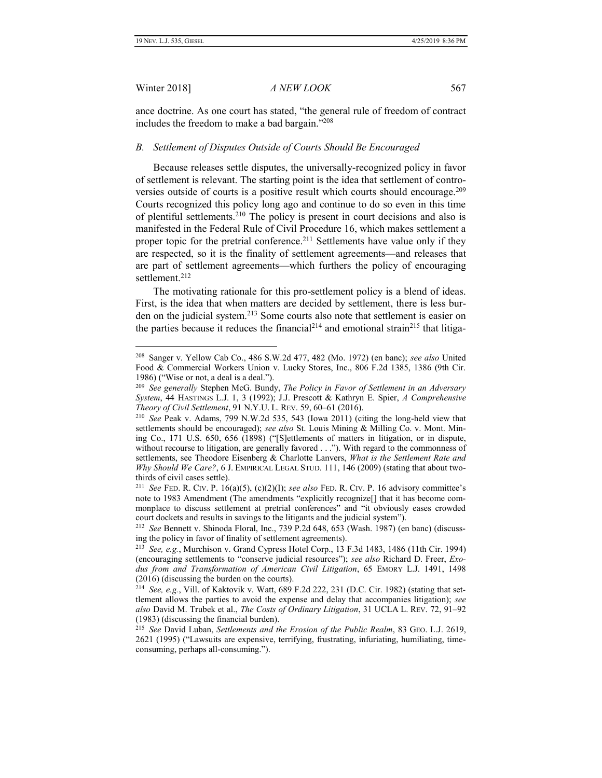Winter 2018] *A NEW LOOK* 567

ance doctrine. As one court has stated, "the general rule of freedom of contract includes the freedom to make a bad bargain."<sup>208</sup>

#### *B. Settlement of Disputes Outside of Courts Should Be Encouraged*

Because releases settle disputes, the universally-recognized policy in favor of settlement is relevant. The starting point is the idea that settlement of controversies outside of courts is a positive result which courts should encourage.<sup>209</sup> Courts recognized this policy long ago and continue to do so even in this time of plentiful settlements.<sup>210</sup> The policy is present in court decisions and also is manifested in the Federal Rule of Civil Procedure 16, which makes settlement a proper topic for the pretrial conference.<sup>211</sup> Settlements have value only if they are respected, so it is the finality of settlement agreements—and releases that are part of settlement agreements—which furthers the policy of encouraging settlement.<sup>212</sup>

The motivating rationale for this pro-settlement policy is a blend of ideas. First, is the idea that when matters are decided by settlement, there is less burden on the judicial system.<sup>213</sup> Some courts also note that settlement is easier on the parties because it reduces the financial<sup>214</sup> and emotional strain<sup>215</sup> that litiga-

<sup>208</sup> Sanger v. Yellow Cab Co., 486 S.W.2d 477, 482 (Mo. 1972) (en banc); *see also* United Food & Commercial Workers Union v. Lucky Stores, Inc., 806 F.2d 1385, 1386 (9th Cir. 1986) ("Wise or not, a deal is a deal.").

<sup>209</sup> *See generally* Stephen McG. Bundy, *The Policy in Favor of Settlement in an Adversary System*, 44 HASTINGS L.J. 1, 3 (1992); J.J. Prescott & Kathryn E. Spier, *A Comprehensive Theory of Civil Settlement*, 91 N.Y.U. L. REV. 59, 60–61 (2016).

<sup>210</sup> *See* Peak v. Adams, 799 N.W.2d 535, 543 (Iowa 2011) (citing the long-held view that settlements should be encouraged); *see also* St. Louis Mining & Milling Co. v. Mont. Mining Co., 171 U.S. 650, 656 (1898) ("[S]ettlements of matters in litigation, or in dispute, without recourse to litigation, are generally favored . . ."). With regard to the commonness of settlements, see Theodore Eisenberg & Charlotte Lanvers, *What is the Settlement Rate and Why Should We Care?*, 6 J. EMPIRICAL LEGAL STUD. 111, 146 (2009) (stating that about twothirds of civil cases settle).

<sup>211</sup> *See* FED. R. CIV. P. 16(a)(5), (c)(2)(I); *see also* FED. R. CIV. P. 16 advisory committee's note to 1983 Amendment (The amendments "explicitly recognize[] that it has become commonplace to discuss settlement at pretrial conferences" and "it obviously eases crowded court dockets and results in savings to the litigants and the judicial system").

<sup>212</sup> *See* Bennett v. Shinoda Floral, Inc., 739 P.2d 648, 653 (Wash. 1987) (en banc) (discussing the policy in favor of finality of settlement agreements).

<sup>213</sup> *See, e.g.*, Murchison v. Grand Cypress Hotel Corp., 13 F.3d 1483, 1486 (11th Cir. 1994) (encouraging settlements to "conserve judicial resources"); *see also* Richard D. Freer, *Exodus from and Transformation of American Civil Litigation*, 65 EMORY L.J. 1491, 1498 (2016) (discussing the burden on the courts).

<sup>214</sup> *See, e.g.*, Vill. of Kaktovik v. Watt, 689 F.2d 222, 231 (D.C. Cir. 1982) (stating that settlement allows the parties to avoid the expense and delay that accompanies litigation); *see also* David M. Trubek et al., *The Costs of Ordinary Litigation*, 31 UCLA L. REV. 72, 91–92 (1983) (discussing the financial burden).

<sup>215</sup> *See* David Luban, *Settlements and the Erosion of the Public Realm*, 83 GEO. L.J. 2619, 2621 (1995) ("Lawsuits are expensive, terrifying, frustrating, infuriating, humiliating, timeconsuming, perhaps all-consuming.").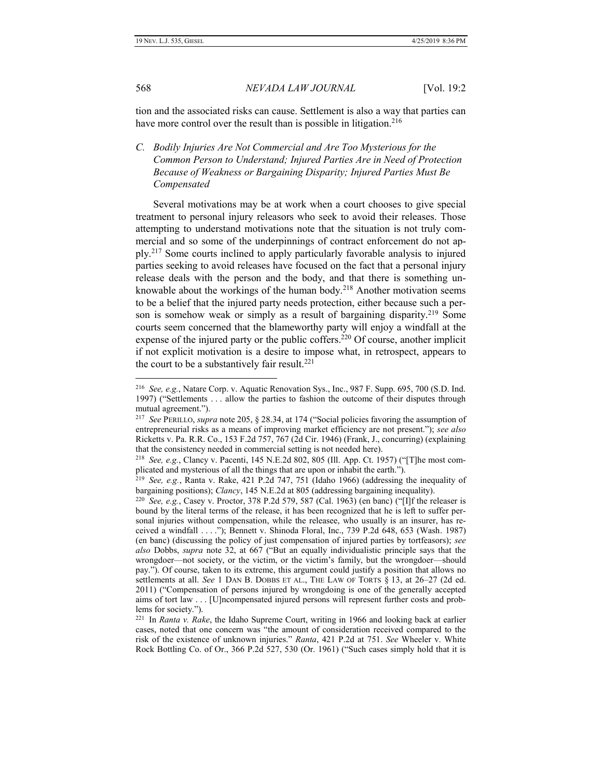568 *NEVADA LAW JOURNAL* [Vol. 19:2

tion and the associated risks can cause. Settlement is also a way that parties can have more control over the result than is possible in litigation.<sup>216</sup>

*C. Bodily Injuries Are Not Commercial and Are Too Mysterious for the Common Person to Understand; Injured Parties Are in Need of Protection Because of Weakness or Bargaining Disparity; Injured Parties Must Be Compensated*

Several motivations may be at work when a court chooses to give special treatment to personal injury releasors who seek to avoid their releases. Those attempting to understand motivations note that the situation is not truly commercial and so some of the underpinnings of contract enforcement do not apply.<sup>217</sup> Some courts inclined to apply particularly favorable analysis to injured parties seeking to avoid releases have focused on the fact that a personal injury release deals with the person and the body, and that there is something unknowable about the workings of the human body.<sup>218</sup> Another motivation seems to be a belief that the injured party needs protection, either because such a person is somehow weak or simply as a result of bargaining disparity.<sup>219</sup> Some courts seem concerned that the blameworthy party will enjoy a windfall at the expense of the injured party or the public coffers.<sup>220</sup> Of course, another implicit if not explicit motivation is a desire to impose what, in retrospect, appears to the court to be a substantively fair result. $221$ 

<sup>216</sup> *See, e.g.*, Natare Corp. v. Aquatic Renovation Sys., Inc., 987 F. Supp. 695, 700 (S.D. Ind. 1997) ("Settlements . . . allow the parties to fashion the outcome of their disputes through mutual agreement.").

<sup>217</sup> *See* PERILLO, *supra* note 205, § 28.34, at 174 ("Social policies favoring the assumption of entrepreneurial risks as a means of improving market efficiency are not present."); *see also* Ricketts v. Pa. R.R. Co., 153 F.2d 757, 767 (2d Cir. 1946) (Frank, J., concurring) (explaining that the consistency needed in commercial setting is not needed here).

<sup>218</sup> *See, e.g.*, Clancy v. Pacenti, 145 N.E.2d 802, 805 (Ill. App. Ct. 1957) ("[T]he most complicated and mysterious of all the things that are upon or inhabit the earth.").

<sup>219</sup> *See, e.g.*, Ranta v. Rake, 421 P.2d 747, 751 (Idaho 1966) (addressing the inequality of bargaining positions); *Clancy*, 145 N.E.2d at 805 (addressing bargaining inequality).

<sup>&</sup>lt;sup>220</sup> *See, e.g.*, Casey v. Proctor, 378 P.2d 579, 587 (Cal. 1963) (en banc) ("[I]f the releaser is bound by the literal terms of the release, it has been recognized that he is left to suffer personal injuries without compensation, while the releasee, who usually is an insurer, has received a windfall . . . ."); Bennett v. Shinoda Floral, Inc., 739 P.2d 648, 653 (Wash. 1987) (en banc) (discussing the policy of just compensation of injured parties by tortfeasors); *see also* Dobbs, *supra* note 32, at 667 ("But an equally individualistic principle says that the wrongdoer—not society, or the victim, or the victim's family, but the wrongdoer—should pay."). Of course, taken to its extreme, this argument could justify a position that allows no settlements at all. *See* 1 DAN B. DOBBS ET AL., THE LAW OF TORTS § 13, at 26–27 (2d ed. 2011) ("Compensation of persons injured by wrongdoing is one of the generally accepted aims of tort law . . . [U]ncompensated injured persons will represent further costs and problems for society.").

<sup>221</sup> In *Ranta v. Rake*, the Idaho Supreme Court, writing in 1966 and looking back at earlier cases, noted that one concern was "the amount of consideration received compared to the risk of the existence of unknown injuries." *Ranta*, 421 P.2d at 751. *See* Wheeler v. White Rock Bottling Co. of Or., 366 P.2d 527, 530 (Or. 1961) ("Such cases simply hold that it is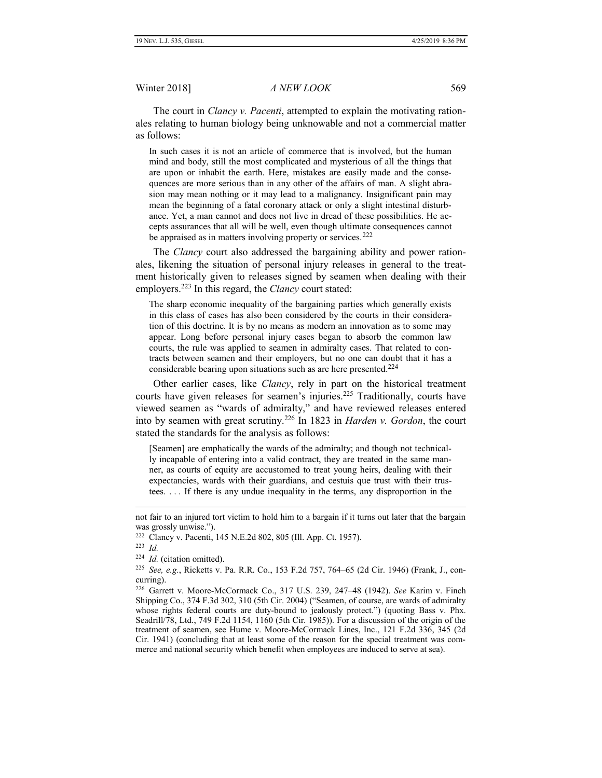The court in *Clancy v. Pacenti*, attempted to explain the motivating rationales relating to human biology being unknowable and not a commercial matter as follows:

In such cases it is not an article of commerce that is involved, but the human mind and body, still the most complicated and mysterious of all the things that are upon or inhabit the earth. Here, mistakes are easily made and the consequences are more serious than in any other of the affairs of man. A slight abrasion may mean nothing or it may lead to a malignancy. Insignificant pain may mean the beginning of a fatal coronary attack or only a slight intestinal disturbance. Yet, a man cannot and does not live in dread of these possibilities. He accepts assurances that all will be well, even though ultimate consequences cannot be appraised as in matters involving property or services.<sup>222</sup>

The *Clancy* court also addressed the bargaining ability and power rationales, likening the situation of personal injury releases in general to the treatment historically given to releases signed by seamen when dealing with their employers.<sup>223</sup> In this regard, the *Clancy* court stated:

The sharp economic inequality of the bargaining parties which generally exists in this class of cases has also been considered by the courts in their consideration of this doctrine. It is by no means as modern an innovation as to some may appear. Long before personal injury cases began to absorb the common law courts, the rule was applied to seamen in admiralty cases. That related to contracts between seamen and their employers, but no one can doubt that it has a considerable bearing upon situations such as are here presented. $224$ 

Other earlier cases, like *Clancy*, rely in part on the historical treatment courts have given releases for seamen's injuries.<sup>225</sup> Traditionally, courts have viewed seamen as "wards of admiralty," and have reviewed releases entered into by seamen with great scrutiny.<sup>226</sup> In 1823 in *Harden v. Gordon*, the court stated the standards for the analysis as follows:

[Seamen] are emphatically the wards of the admiralty; and though not technically incapable of entering into a valid contract, they are treated in the same manner, as courts of equity are accustomed to treat young heirs, dealing with their expectancies, wards with their guardians, and cestuis que trust with their trustees. . . . If there is any undue inequality in the terms, any disproportion in the

not fair to an injured tort victim to hold him to a bargain if it turns out later that the bargain was grossly unwise.").

<sup>222</sup> Clancy v. Pacenti, 145 N.E.2d 802, 805 (Ill. App. Ct. 1957).

<sup>223</sup>  *Id.*

<sup>224</sup> *Id.* (citation omitted).

<sup>225</sup> *See, e.g.*, Ricketts v. Pa. R.R. Co., 153 F.2d 757, 764–65 (2d Cir. 1946) (Frank, J., concurring).

<sup>226</sup> Garrett v. Moore-McCormack Co., 317 U.S. 239, 247–48 (1942). *See* Karim v. Finch Shipping Co., 374 F.3d 302, 310 (5th Cir. 2004) ("Seamen, of course, are wards of admiralty whose rights federal courts are duty-bound to jealously protect.") (quoting Bass v. Phx. Seadrill/78, Ltd., 749 F.2d 1154, 1160 (5th Cir. 1985)). For a discussion of the origin of the treatment of seamen, see Hume v. Moore-McCormack Lines, Inc., 121 F.2d 336, 345 (2d Cir. 1941) (concluding that at least some of the reason for the special treatment was commerce and national security which benefit when employees are induced to serve at sea).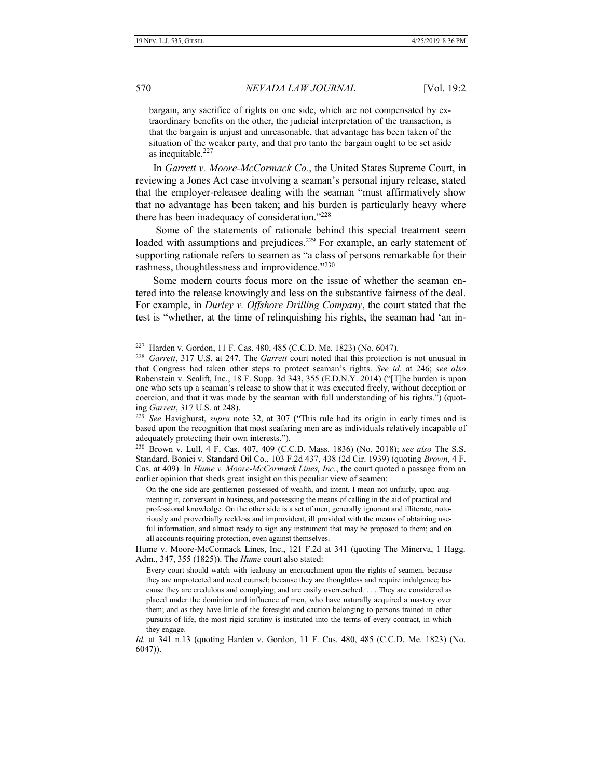bargain, any sacrifice of rights on one side, which are not compensated by extraordinary benefits on the other, the judicial interpretation of the transaction, is that the bargain is unjust and unreasonable, that advantage has been taken of the situation of the weaker party, and that pro tanto the bargain ought to be set aside as inequitable.<sup>227</sup>

In *Garrett v. Moore-McCormack Co.*, the United States Supreme Court, in reviewing a Jones Act case involving a seaman's personal injury release, stated that the employer-releasee dealing with the seaman "must affirmatively show that no advantage has been taken; and his burden is particularly heavy where there has been inadequacy of consideration."<sup>228</sup>

Some of the statements of rationale behind this special treatment seem loaded with assumptions and prejudices.<sup>229</sup> For example, an early statement of supporting rationale refers to seamen as "a class of persons remarkable for their rashness, thoughtlessness and improvidence."<sup>230</sup>

Some modern courts focus more on the issue of whether the seaman entered into the release knowingly and less on the substantive fairness of the deal. For example, in *Durley v. Offshore Drilling Company*, the court stated that the test is "whether, at the time of relinquishing his rights, the seaman had 'an in-

<sup>227</sup> Harden v. Gordon, 11 F. Cas. 480, 485 (C.C.D. Me. 1823) (No. 6047).

<sup>228</sup> *Garrett*, 317 U.S. at 247. The *Garrett* court noted that this protection is not unusual in that Congress had taken other steps to protect seaman's rights. *See id.* at 246; *see also* Rabenstein v. Sealift, Inc., 18 F. Supp. 3d 343, 355 (E.D.N.Y. 2014) ("[T]he burden is upon one who sets up a seaman's release to show that it was executed freely, without deception or coercion, and that it was made by the seaman with full understanding of his rights.") (quoting *Garrett*, 317 U.S. at 248).

<sup>229</sup> *See* Havighurst, *supra* note 32, at 307 ("This rule had its origin in early times and is based upon the recognition that most seafaring men are as individuals relatively incapable of adequately protecting their own interests.").

<sup>230</sup> Brown v. Lull, 4 F. Cas. 407, 409 (C.C.D. Mass. 1836) (No. 2018); *see also* The S.S. Standard. Bonici v. Standard Oil Co., 103 F.2d 437, 438 (2d Cir. 1939) (quoting *Brown*, 4 F. Cas. at 409). In *Hume v. Moore-McCormack Lines, Inc.*, the court quoted a passage from an earlier opinion that sheds great insight on this peculiar view of seamen:

On the one side are gentlemen possessed of wealth, and intent, I mean not unfairly, upon augmenting it, conversant in business, and possessing the means of calling in the aid of practical and professional knowledge. On the other side is a set of men, generally ignorant and illiterate, notoriously and proverbially reckless and improvident, ill provided with the means of obtaining useful information, and almost ready to sign any instrument that may be proposed to them; and on all accounts requiring protection, even against themselves.

Hume v. Moore-McCormack Lines, Inc., 121 F.2d at 341 (quoting The Minerva, 1 Hagg. Adm., 347, 355 (1825)). The *Hume* court also stated:

Every court should watch with jealousy an encroachment upon the rights of seamen, because they are unprotected and need counsel; because they are thoughtless and require indulgence; because they are credulous and complying; and are easily overreached. . . . They are considered as placed under the dominion and influence of men, who have naturally acquired a mastery over them; and as they have little of the foresight and caution belonging to persons trained in other pursuits of life, the most rigid scrutiny is instituted into the terms of every contract, in which they engage.

*Id.* at 341 n.13 (quoting Harden v. Gordon, 11 F. Cas. 480, 485 (C.C.D. Me. 1823) (No. 6047)).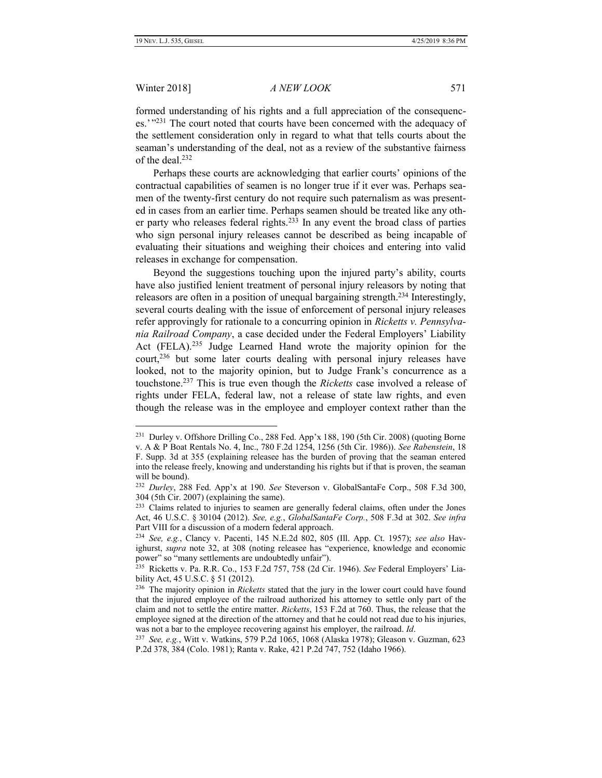#### Winter 2018] *A NEW LOOK* 571

formed understanding of his rights and a full appreciation of the consequences.'"<sup>231</sup> The court noted that courts have been concerned with the adequacy of the settlement consideration only in regard to what that tells courts about the seaman's understanding of the deal, not as a review of the substantive fairness of the deal.<sup>232</sup>

Perhaps these courts are acknowledging that earlier courts' opinions of the contractual capabilities of seamen is no longer true if it ever was. Perhaps seamen of the twenty-first century do not require such paternalism as was presented in cases from an earlier time. Perhaps seamen should be treated like any other party who releases federal rights. $233$  In any event the broad class of parties who sign personal injury releases cannot be described as being incapable of evaluating their situations and weighing their choices and entering into valid releases in exchange for compensation.

Beyond the suggestions touching upon the injured party's ability, courts have also justified lenient treatment of personal injury releasors by noting that releasors are often in a position of unequal bargaining strength.<sup>234</sup> Interestingly, several courts dealing with the issue of enforcement of personal injury releases refer approvingly for rationale to a concurring opinion in *Ricketts v. Pennsylvania Railroad Company*, a case decided under the Federal Employers' Liability Act (FELA).<sup>235</sup> Judge Learned Hand wrote the majority opinion for the court,<sup>236</sup> but some later courts dealing with personal injury releases have looked, not to the majority opinion, but to Judge Frank's concurrence as a touchstone.<sup>237</sup> This is true even though the *Ricketts* case involved a release of rights under FELA, federal law, not a release of state law rights, and even though the release was in the employee and employer context rather than the

<sup>&</sup>lt;sup>231</sup> Durley v. Offshore Drilling Co., 288 Fed. App'x 188, 190 (5th Cir. 2008) (quoting Borne v. A & P Boat Rentals No. 4, Inc., 780 F.2d 1254, 1256 (5th Cir. 1986)). *See Rabenstein*, 18 F. Supp. 3d at 355 (explaining releasee has the burden of proving that the seaman entered into the release freely, knowing and understanding his rights but if that is proven, the seaman will be bound).

<sup>232</sup> *Durley*, 288 Fed. App'x at 190. *See* Steverson v. GlobalSantaFe Corp., 508 F.3d 300, 304 (5th Cir. 2007) (explaining the same).

<sup>&</sup>lt;sup>233</sup> Claims related to injuries to seamen are generally federal claims, often under the Jones Act, 46 U.S.C. § 30104 (2012). *See, e.g.*, *GlobalSantaFe Corp.*, 508 F.3d at 302. *See infra* Part VIII for a discussion of a modern federal approach.

<sup>234</sup> *See, e.g.*, Clancy v. Pacenti, 145 N.E.2d 802, 805 (Ill. App. Ct. 1957); *see also* Havighurst, *supra* note 32, at 308 (noting releasee has "experience, knowledge and economic power" so "many settlements are undoubtedly unfair").

<sup>235</sup> Ricketts v. Pa. R.R. Co., 153 F.2d 757, 758 (2d Cir. 1946). *See* Federal Employers' Liability Act, 45 U.S.C. § 51 (2012).

<sup>236</sup> The majority opinion in *Ricketts* stated that the jury in the lower court could have found that the injured employee of the railroad authorized his attorney to settle only part of the claim and not to settle the entire matter. *Ricketts*, 153 F.2d at 760. Thus, the release that the employee signed at the direction of the attorney and that he could not read due to his injuries, was not a bar to the employee recovering against his employer, the railroad. *Id*.

<sup>237</sup> *See, e.g.*, Witt v. Watkins, 579 P.2d 1065, 1068 (Alaska 1978); Gleason v. Guzman, 623 P.2d 378, 384 (Colo. 1981); Ranta v. Rake, 421 P.2d 747, 752 (Idaho 1966).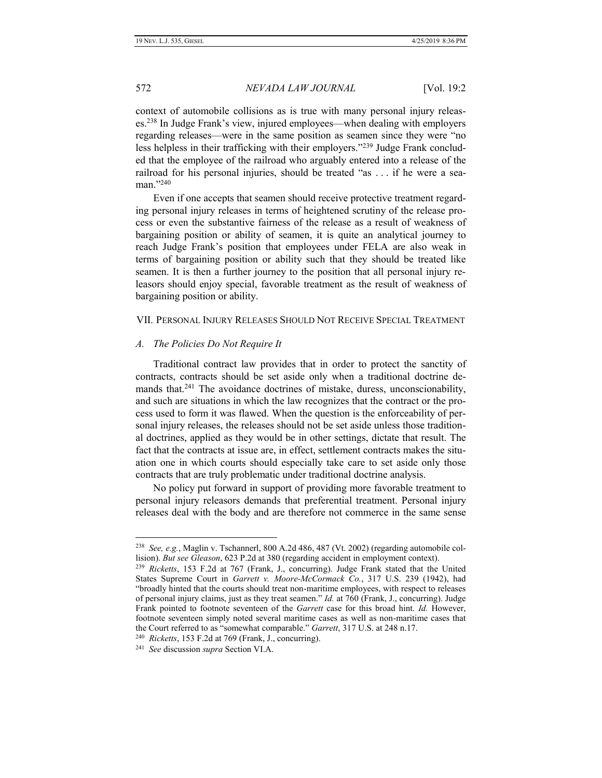context of automobile collisions as is true with many personal injury releases.<sup>238</sup> In Judge Frank's view, injured employees—when dealing with employers regarding releases—were in the same position as seamen since they were "no less helpless in their trafficking with their employers."<sup>239</sup> Judge Frank concluded that the employee of the railroad who arguably entered into a release of the railroad for his personal injuries, should be treated "as . . . if he were a seaman."240

Even if one accepts that seamen should receive protective treatment regarding personal injury releases in terms of heightened scrutiny of the release process or even the substantive fairness of the release as a result of weakness of bargaining position or ability of seamen, it is quite an analytical journey to reach Judge Frank's position that employees under FELA are also weak in terms of bargaining position or ability such that they should be treated like seamen. It is then a further journey to the position that all personal injury releasors should enjoy special, favorable treatment as the result of weakness of bargaining position or ability.

# VII. PERSONAL INJURY RELEASES SHOULD NOT RECEIVE SPECIAL TREATMENT

#### *A. The Policies Do Not Require It*

Traditional contract law provides that in order to protect the sanctity of contracts, contracts should be set aside only when a traditional doctrine demands that.<sup>241</sup> The avoidance doctrines of mistake, duress, unconscionability, and such are situations in which the law recognizes that the contract or the process used to form it was flawed. When the question is the enforceability of personal injury releases, the releases should not be set aside unless those traditional doctrines, applied as they would be in other settings, dictate that result. The fact that the contracts at issue are, in effect, settlement contracts makes the situation one in which courts should especially take care to set aside only those contracts that are truly problematic under traditional doctrine analysis.

No policy put forward in support of providing more favorable treatment to personal injury releasors demands that preferential treatment. Personal injury releases deal with the body and are therefore not commerce in the same sense

<sup>238</sup> *See, e.g.*, Maglin v. Tschannerl, 800 A.2d 486, 487 (Vt. 2002) (regarding automobile collision). *But see Gleason*, 623 P.2d at 380 (regarding accident in employment context).

<sup>239</sup> *Ricketts*, 153 F.2d at 767 (Frank, J., concurring). Judge Frank stated that the United States Supreme Court in *Garrett v. Moore-McCormack Co.*, 317 U.S. 239 (1942), had "broadly hinted that the courts should treat non-maritime employees, with respect to releases of personal injury claims, just as they treat seamen." *Id.* at 760 (Frank, J., concurring). Judge Frank pointed to footnote seventeen of the *Garrett* case for this broad hint. *Id.* However, footnote seventeen simply noted several maritime cases as well as non-maritime cases that the Court referred to as "somewhat comparable." *Garrett*, 317 U.S. at 248 n.17.

<sup>240</sup> *Ricketts*, 153 F.2d at 769 (Frank, J., concurring).

<sup>241</sup> *See* discussion *supra* Section VI.A.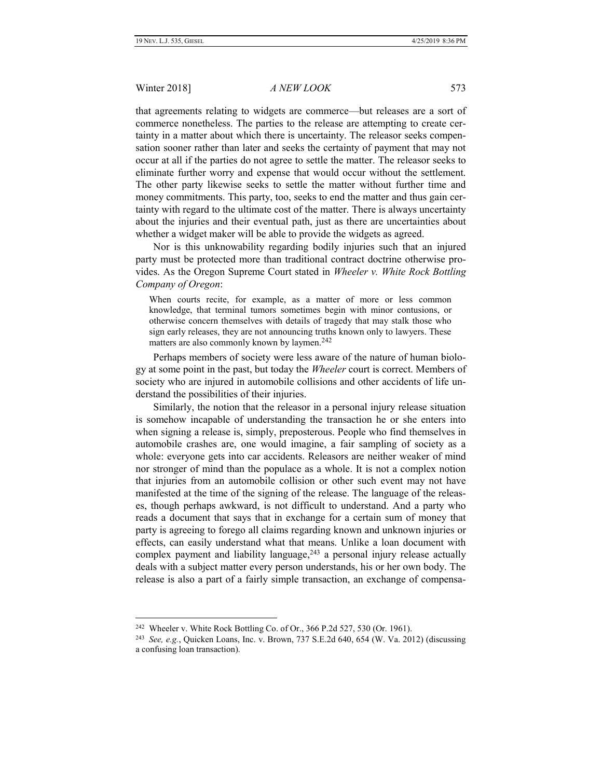#### Winter 2018] *A NEW LOOK* 573

that agreements relating to widgets are commerce—but releases are a sort of commerce nonetheless. The parties to the release are attempting to create certainty in a matter about which there is uncertainty. The releasor seeks compensation sooner rather than later and seeks the certainty of payment that may not occur at all if the parties do not agree to settle the matter. The releasor seeks to eliminate further worry and expense that would occur without the settlement. The other party likewise seeks to settle the matter without further time and money commitments. This party, too, seeks to end the matter and thus gain certainty with regard to the ultimate cost of the matter. There is always uncertainty about the injuries and their eventual path, just as there are uncertainties about whether a widget maker will be able to provide the widgets as agreed.

Nor is this unknowability regarding bodily injuries such that an injured party must be protected more than traditional contract doctrine otherwise provides. As the Oregon Supreme Court stated in *Wheeler v. White Rock Bottling Company of Oregon*:

When courts recite, for example, as a matter of more or less common knowledge, that terminal tumors sometimes begin with minor contusions, or otherwise concern themselves with details of tragedy that may stalk those who sign early releases, they are not announcing truths known only to lawyers. These matters are also commonly known by laymen.<sup>242</sup>

Perhaps members of society were less aware of the nature of human biology at some point in the past, but today the *Wheeler* court is correct. Members of society who are injured in automobile collisions and other accidents of life understand the possibilities of their injuries.

Similarly, the notion that the releasor in a personal injury release situation is somehow incapable of understanding the transaction he or she enters into when signing a release is, simply, preposterous. People who find themselves in automobile crashes are, one would imagine, a fair sampling of society as a whole: everyone gets into car accidents. Releasors are neither weaker of mind nor stronger of mind than the populace as a whole. It is not a complex notion that injuries from an automobile collision or other such event may not have manifested at the time of the signing of the release. The language of the releases, though perhaps awkward, is not difficult to understand. And a party who reads a document that says that in exchange for a certain sum of money that party is agreeing to forego all claims regarding known and unknown injuries or effects, can easily understand what that means. Unlike a loan document with complex payment and liability language,  $243$  a personal injury release actually deals with a subject matter every person understands, his or her own body. The release is also a part of a fairly simple transaction, an exchange of compensa-

<sup>&</sup>lt;sup>242</sup> Wheeler v. White Rock Bottling Co. of Or., 366 P.2d 527, 530 (Or. 1961).

<sup>243</sup> *See, e.g.*, Quicken Loans, Inc. v. Brown, 737 S.E.2d 640, 654 (W. Va. 2012) (discussing a confusing loan transaction).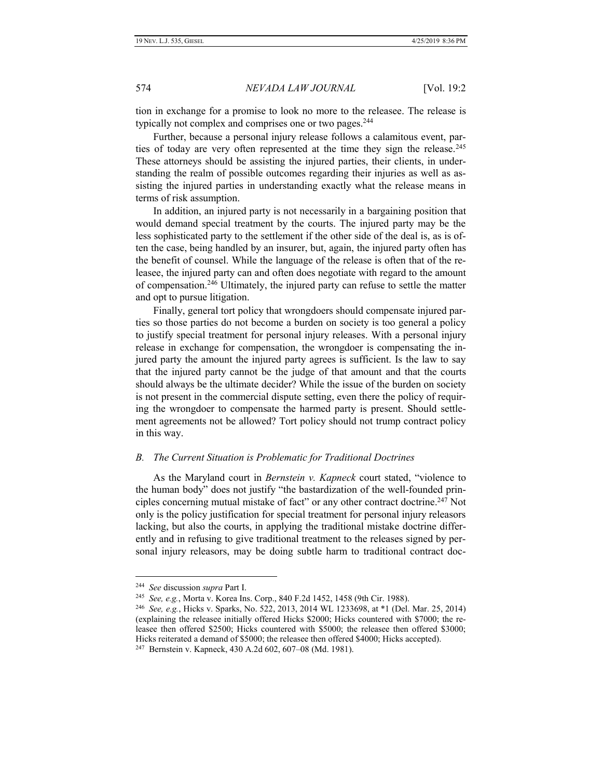tion in exchange for a promise to look no more to the releasee. The release is typically not complex and comprises one or two pages.<sup>244</sup>

Further, because a personal injury release follows a calamitous event, parties of today are very often represented at the time they sign the release.<sup>245</sup> These attorneys should be assisting the injured parties, their clients, in understanding the realm of possible outcomes regarding their injuries as well as assisting the injured parties in understanding exactly what the release means in terms of risk assumption.

In addition, an injured party is not necessarily in a bargaining position that would demand special treatment by the courts. The injured party may be the less sophisticated party to the settlement if the other side of the deal is, as is often the case, being handled by an insurer, but, again, the injured party often has the benefit of counsel. While the language of the release is often that of the releasee, the injured party can and often does negotiate with regard to the amount of compensation.<sup>246</sup> Ultimately, the injured party can refuse to settle the matter and opt to pursue litigation.

Finally, general tort policy that wrongdoers should compensate injured parties so those parties do not become a burden on society is too general a policy to justify special treatment for personal injury releases. With a personal injury release in exchange for compensation, the wrongdoer is compensating the injured party the amount the injured party agrees is sufficient. Is the law to say that the injured party cannot be the judge of that amount and that the courts should always be the ultimate decider? While the issue of the burden on society is not present in the commercial dispute setting, even there the policy of requiring the wrongdoer to compensate the harmed party is present. Should settlement agreements not be allowed? Tort policy should not trump contract policy in this way.

#### *B. The Current Situation is Problematic for Traditional Doctrines*

As the Maryland court in *Bernstein v. Kapneck* court stated, "violence to the human body" does not justify "the bastardization of the well-founded principles concerning mutual mistake of fact" or any other contract doctrine. <sup>247</sup> Not only is the policy justification for special treatment for personal injury releasors lacking, but also the courts, in applying the traditional mistake doctrine differently and in refusing to give traditional treatment to the releases signed by personal injury releasors, may be doing subtle harm to traditional contract doc-

<sup>244</sup> *See* discussion *supra* Part I.

<sup>245</sup> *See, e.g.*, Morta v. Korea Ins. Corp., 840 F.2d 1452, 1458 (9th Cir. 1988).

<sup>246</sup> *See, e.g.*, Hicks v. Sparks, No. 522, 2013, 2014 WL 1233698, at \*1 (Del. Mar. 25, 2014) (explaining the releasee initially offered Hicks \$2000; Hicks countered with \$7000; the releasee then offered \$2500; Hicks countered with \$5000; the releasee then offered \$3000; Hicks reiterated a demand of \$5000; the releasee then offered \$4000; Hicks accepted).

<sup>247</sup> Bernstein v. Kapneck, 430 A.2d 602, 607–08 (Md. 1981).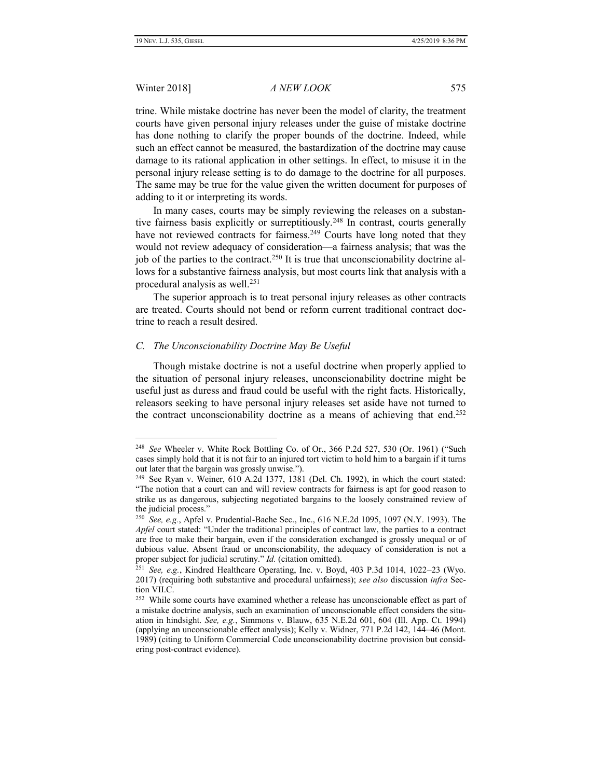#### Winter 2018] *A NEW LOOK* 575

trine. While mistake doctrine has never been the model of clarity, the treatment courts have given personal injury releases under the guise of mistake doctrine has done nothing to clarify the proper bounds of the doctrine. Indeed, while such an effect cannot be measured, the bastardization of the doctrine may cause damage to its rational application in other settings. In effect, to misuse it in the personal injury release setting is to do damage to the doctrine for all purposes. The same may be true for the value given the written document for purposes of adding to it or interpreting its words.

In many cases, courts may be simply reviewing the releases on a substantive fairness basis explicitly or surreptitiously.<sup>248</sup> In contrast, courts generally have not reviewed contracts for fairness.<sup>249</sup> Courts have long noted that they would not review adequacy of consideration—a fairness analysis; that was the job of the parties to the contract.<sup>250</sup> It is true that unconscionability doctrine allows for a substantive fairness analysis, but most courts link that analysis with a procedural analysis as well.<sup>251</sup>

The superior approach is to treat personal injury releases as other contracts are treated. Courts should not bend or reform current traditional contract doctrine to reach a result desired.

#### *C. The Unconscionability Doctrine May Be Useful*

Though mistake doctrine is not a useful doctrine when properly applied to the situation of personal injury releases, unconscionability doctrine might be useful just as duress and fraud could be useful with the right facts. Historically, releasors seeking to have personal injury releases set aside have not turned to the contract unconscionability doctrine as a means of achieving that end.<sup>252</sup>

<sup>248</sup> *See* Wheeler v. White Rock Bottling Co. of Or., 366 P.2d 527, 530 (Or. 1961) ("Such cases simply hold that it is not fair to an injured tort victim to hold him to a bargain if it turns out later that the bargain was grossly unwise.").

<sup>249</sup> See Ryan v. Weiner, 610 A.2d 1377, 1381 (Del. Ch. 1992), in which the court stated: "The notion that a court can and will review contracts for fairness is apt for good reason to strike us as dangerous, subjecting negotiated bargains to the loosely constrained review of the judicial process."

<sup>250</sup> *See, e.g.*, Apfel v. Prudential-Bache Sec., Inc., 616 N.E.2d 1095, 1097 (N.Y. 1993). The *Apfel* court stated: "Under the traditional principles of contract law, the parties to a contract are free to make their bargain, even if the consideration exchanged is grossly unequal or of dubious value. Absent fraud or unconscionability, the adequacy of consideration is not a proper subject for judicial scrutiny." *Id.* (citation omitted).

<sup>251</sup> *See, e.g.*, Kindred Healthcare Operating, Inc. v. Boyd, 403 P.3d 1014, 1022–23 (Wyo. 2017) (requiring both substantive and procedural unfairness); *see also* discussion *infra* Section VII.C.

<sup>&</sup>lt;sup>252</sup> While some courts have examined whether a release has unconscionable effect as part of a mistake doctrine analysis, such an examination of unconscionable effect considers the situation in hindsight. *See, e.g.*, Simmons v. Blauw, 635 N.E.2d 601, 604 (Ill. App. Ct. 1994) (applying an unconscionable effect analysis); Kelly v. Widner, 771 P.2d 142, 144–46 (Mont. 1989) (citing to Uniform Commercial Code unconscionability doctrine provision but considering post-contract evidence).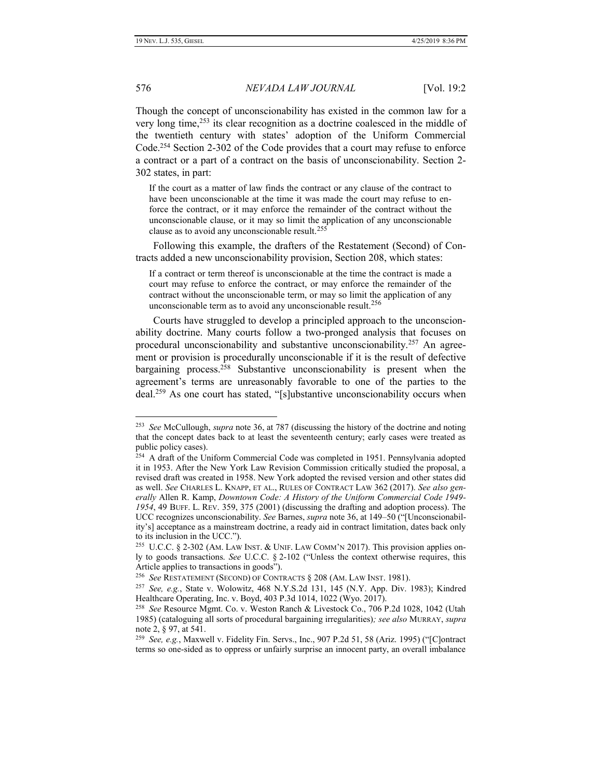# 576 *NEVADA LAW JOURNAL* [Vol. 19:2

Though the concept of unconscionability has existed in the common law for a very long time,<sup>253</sup> its clear recognition as a doctrine coalesced in the middle of the twentieth century with states' adoption of the Uniform Commercial Code.<sup>254</sup> Section 2-302 of the Code provides that a court may refuse to enforce a contract or a part of a contract on the basis of unconscionability. Section 2- 302 states, in part:

If the court as a matter of law finds the contract or any clause of the contract to have been unconscionable at the time it was made the court may refuse to enforce the contract, or it may enforce the remainder of the contract without the unconscionable clause, or it may so limit the application of any unconscionable clause as to avoid any unconscionable result.<sup>255</sup>

Following this example, the drafters of the Restatement (Second) of Contracts added a new unconscionability provision, Section 208, which states:

If a contract or term thereof is unconscionable at the time the contract is made a court may refuse to enforce the contract, or may enforce the remainder of the contract without the unconscionable term, or may so limit the application of any unconscionable term as to avoid any unconscionable result. $256$ 

Courts have struggled to develop a principled approach to the unconscionability doctrine. Many courts follow a two-pronged analysis that focuses on procedural unconscionability and substantive unconscionability.<sup>257</sup> An agreement or provision is procedurally unconscionable if it is the result of defective bargaining process.<sup>258</sup> Substantive unconscionability is present when the agreement's terms are unreasonably favorable to one of the parties to the deal.<sup>259</sup> As one court has stated, "[s]ubstantive unconscionability occurs when

<sup>253</sup> *See* McCullough, *supra* note 36, at 787 (discussing the history of the doctrine and noting that the concept dates back to at least the seventeenth century; early cases were treated as public policy cases).

<sup>&</sup>lt;sup>254</sup> A draft of the Uniform Commercial Code was completed in 1951. Pennsylvania adopted it in 1953. After the New York Law Revision Commission critically studied the proposal, a revised draft was created in 1958. New York adopted the revised version and other states did as well. *See* CHARLES L. KNAPP, ET AL., RULES OF CONTRACT LAW 362 (2017). *See also generally* Allen R. Kamp, *Downtown Code: A History of the Uniform Commercial Code 1949- 1954*, 49 BUFF. L. REV. 359, 375 (2001) (discussing the drafting and adoption process). The UCC recognizes unconscionability. *See* Barnes, *supra* note 36, at 149–50 ("[Unconscionability's] acceptance as a mainstream doctrine, a ready aid in contract limitation, dates back only to its inclusion in the UCC.").

<sup>&</sup>lt;sup>255</sup> U.C.C. § 2-302 (AM. LAW INST. & UNIF. LAW COMM'N 2017). This provision applies only to goods transactions. *See* U.C.C. § 2-102 ("Unless the context otherwise requires, this Article applies to transactions in goods").

<sup>256</sup> *See* RESTATEMENT (SECOND) OF CONTRACTS § 208 (AM. LAW INST. 1981).

<sup>257</sup> *See, e.g.*, State v. Wolowitz, 468 N.Y.S.2d 131, 145 (N.Y. App. Div. 1983); Kindred Healthcare Operating, Inc. v. Boyd, 403 P.3d 1014, 1022 (Wyo. 2017).

<sup>258</sup> *See* Resource Mgmt. Co. v. Weston Ranch & Livestock Co., 706 P.2d 1028, 1042 (Utah 1985) (cataloguing all sorts of procedural bargaining irregularities)*; see also* MURRAY, *supra* note 2, § 97, at 541.

<sup>259</sup> *See, e.g.*, Maxwell v. Fidelity Fin. Servs., Inc., 907 P.2d 51, 58 (Ariz. 1995) ("[C]ontract terms so one-sided as to oppress or unfairly surprise an innocent party, an overall imbalance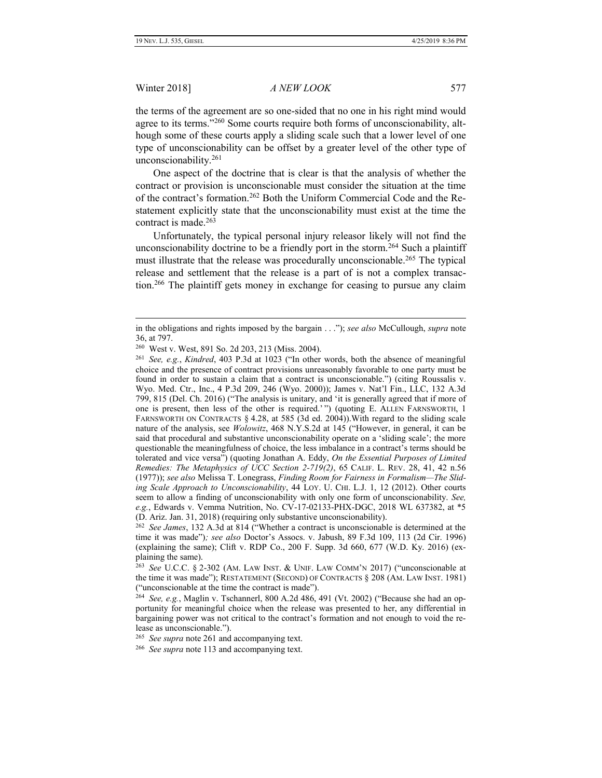#### Winter 2018] *A NEW LOOK* 577

the terms of the agreement are so one-sided that no one in his right mind would agree to its terms."<sup>260</sup> Some courts require both forms of unconscionability, although some of these courts apply a sliding scale such that a lower level of one type of unconscionability can be offset by a greater level of the other type of unconscionability.<sup>261</sup>

One aspect of the doctrine that is clear is that the analysis of whether the contract or provision is unconscionable must consider the situation at the time of the contract's formation.<sup>262</sup> Both the Uniform Commercial Code and the Restatement explicitly state that the unconscionability must exist at the time the contract is made.<sup>263</sup>

Unfortunately, the typical personal injury releasor likely will not find the unconscionability doctrine to be a friendly port in the storm.<sup>264</sup> Such a plaintiff must illustrate that the release was procedurally unconscionable.<sup>265</sup> The typical release and settlement that the release is a part of is not a complex transaction.<sup>266</sup> The plaintiff gets money in exchange for ceasing to pursue any claim

in the obligations and rights imposed by the bargain . . ."); *see also* McCullough, *supra* note 36, at 797.

<sup>260</sup> West v. West, 891 So. 2d 203, 213 (Miss. 2004).

<sup>261</sup> *See, e.g.*, *Kindred*, 403 P.3d at 1023 ("In other words, both the absence of meaningful choice and the presence of contract provisions unreasonably favorable to one party must be found in order to sustain a claim that a contract is unconscionable.") (citing Roussalis v. Wyo. Med. Ctr., Inc., 4 P.3d 209, 246 (Wyo. 2000)); James v. Nat'l Fin., LLC, 132 A.3d 799, 815 (Del. Ch. 2016) ("The analysis is unitary, and 'it is generally agreed that if more of one is present, then less of the other is required.' ") (quoting E. ALLEN FARNSWORTH, 1 FARNSWORTH ON CONTRACTS § 4.28, at 585 (3d ed. 2004)). With regard to the sliding scale nature of the analysis, see *Wolowitz*, 468 N.Y.S.2d at 145 ("However, in general, it can be said that procedural and substantive unconscionability operate on a 'sliding scale'; the more questionable the meaningfulness of choice, the less imbalance in a contract's terms should be tolerated and vice versa") (quoting Jonathan A. Eddy, *On the Essential Purposes of Limited Remedies: The Metaphysics of UCC Section 2-719(2)*, 65 CALIF. L. REV. 28, 41, 42 n.56 (1977)); *see also* Melissa T. Lonegrass, *Finding Room for Fairness in Formalism—The Sliding Scale Approach to Unconscionability*, 44 LOY. U. CHI. L.J. 1, 12 (2012). Other courts seem to allow a finding of unconscionability with only one form of unconscionability. *See, e.g.*, Edwards v. Vemma Nutrition, No. CV-17-02133-PHX-DGC, 2018 WL 637382, at \*5 (D. Ariz. Jan. 31, 2018) (requiring only substantive unconscionability).

<sup>262</sup> *See James*, 132 A.3d at 814 ("Whether a contract is unconscionable is determined at the time it was made")*; see also* Doctor's Assocs. v. Jabush, 89 F.3d 109, 113 (2d Cir. 1996) (explaining the same); Clift v. RDP Co., 200 F. Supp. 3d 660, 677 (W.D. Ky. 2016) (explaining the same).

<sup>263</sup> *See* U.C.C. § 2-302 (AM. LAW INST. & UNIF. LAW COMM'N 2017) ("unconscionable at the time it was made"); RESTATEMENT (SECOND) OF CONTRACTS § 208 (AM. LAW INST. 1981) ("unconscionable at the time the contract is made").

<sup>264</sup> *See, e.g.*, Maglin v. Tschannerl, 800 A.2d 486, 491 (Vt. 2002) ("Because she had an opportunity for meaningful choice when the release was presented to her, any differential in bargaining power was not critical to the contract's formation and not enough to void the release as unconscionable.").

<sup>265</sup> *See supra* note 261 and accompanying text.

<sup>266</sup> *See supra* note 113 and accompanying text.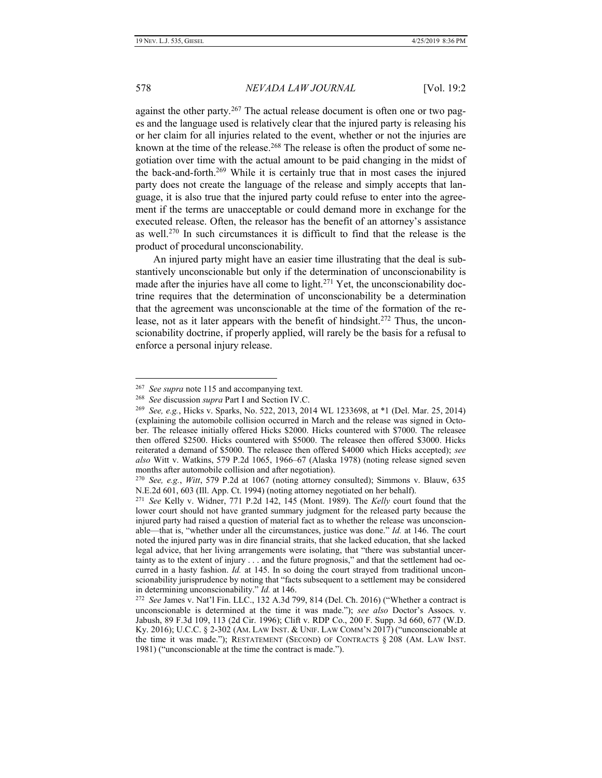#### 578 *NEVADA LAW JOURNAL* [Vol. 19:2

against the other party.<sup>267</sup> The actual release document is often one or two pages and the language used is relatively clear that the injured party is releasing his or her claim for all injuries related to the event, whether or not the injuries are known at the time of the release.<sup>268</sup> The release is often the product of some negotiation over time with the actual amount to be paid changing in the midst of the back-and-forth.<sup>269</sup> While it is certainly true that in most cases the injured party does not create the language of the release and simply accepts that language, it is also true that the injured party could refuse to enter into the agreement if the terms are unacceptable or could demand more in exchange for the executed release. Often, the releasor has the benefit of an attorney's assistance as well.<sup>270</sup> In such circumstances it is difficult to find that the release is the product of procedural unconscionability.

An injured party might have an easier time illustrating that the deal is substantively unconscionable but only if the determination of unconscionability is made after the injuries have all come to light.<sup>271</sup> Yet, the unconscionability doctrine requires that the determination of unconscionability be a determination that the agreement was unconscionable at the time of the formation of the release, not as it later appears with the benefit of hindsight.<sup>272</sup> Thus, the unconscionability doctrine, if properly applied, will rarely be the basis for a refusal to enforce a personal injury release.

<sup>267</sup> *See supra* note 115 and accompanying text.

<sup>268</sup> *See* discussion *supra* Part I and Section IV.C.

<sup>269</sup> *See, e.g.*, Hicks v. Sparks, No. 522, 2013, 2014 WL 1233698, at \*1 (Del. Mar. 25, 2014) (explaining the automobile collision occurred in March and the release was signed in October. The releasee initially offered Hicks \$2000. Hicks countered with \$7000. The releasee then offered \$2500. Hicks countered with \$5000. The releasee then offered \$3000. Hicks reiterated a demand of \$5000. The releasee then offered \$4000 which Hicks accepted); *see also* Witt v. Watkins, 579 P.2d 1065, 1966–67 (Alaska 1978) (noting release signed seven months after automobile collision and after negotiation).

<sup>270</sup> *See, e.g.*, *Witt*, 579 P.2d at 1067 (noting attorney consulted); Simmons v. Blauw, 635 N.E.2d 601, 603 (Ill. App. Ct. 1994) (noting attorney negotiated on her behalf).

<sup>271</sup> *See* Kelly v. Widner, 771 P.2d 142, 145 (Mont. 1989). The *Kelly* court found that the lower court should not have granted summary judgment for the released party because the injured party had raised a question of material fact as to whether the release was unconscionable—that is, "whether under all the circumstances, justice was done." *Id.* at 146. The court noted the injured party was in dire financial straits, that she lacked education, that she lacked legal advice, that her living arrangements were isolating, that "there was substantial uncertainty as to the extent of injury . . . and the future prognosis," and that the settlement had occurred in a hasty fashion. *Id.* at 145. In so doing the court strayed from traditional unconscionability jurisprudence by noting that "facts subsequent to a settlement may be considered in determining unconscionability." *Id.* at 146.

<sup>272</sup> *See* James v. Nat'l Fin. LLC., 132 A.3d 799, 814 (Del. Ch. 2016) ("Whether a contract is unconscionable is determined at the time it was made."); *see also* Doctor's Assocs. v. Jabush, 89 F.3d 109, 113 (2d Cir. 1996); Clift v. RDP Co., 200 F. Supp. 3d 660, 677 (W.D. Ky. 2016); U.C.C. § 2-302 (AM. LAW INST. & UNIF. LAW COMM'N 2017) ("unconscionable at the time it was made."); RESTATEMENT (SECOND) OF CONTRACTS § 208 (AM. LAW INST. 1981) ("unconscionable at the time the contract is made.").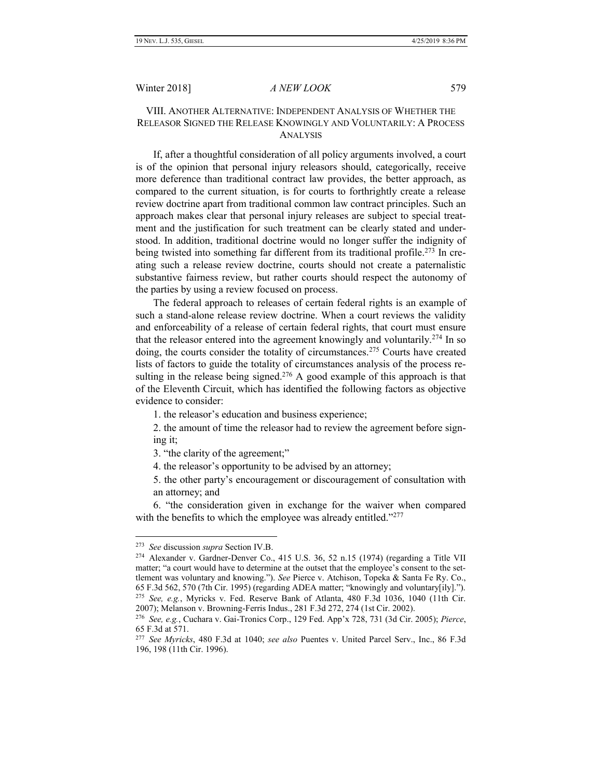### VIII. ANOTHER ALTERNATIVE: INDEPENDENT ANALYSIS OF WHETHER THE RELEASOR SIGNED THE RELEASE KNOWINGLY AND VOLUNTARILY: A PROCESS ANALYSIS

If, after a thoughtful consideration of all policy arguments involved, a court is of the opinion that personal injury releasors should, categorically, receive more deference than traditional contract law provides, the better approach, as compared to the current situation, is for courts to forthrightly create a release review doctrine apart from traditional common law contract principles. Such an approach makes clear that personal injury releases are subject to special treatment and the justification for such treatment can be clearly stated and understood. In addition, traditional doctrine would no longer suffer the indignity of being twisted into something far different from its traditional profile.<sup>273</sup> In creating such a release review doctrine, courts should not create a paternalistic substantive fairness review, but rather courts should respect the autonomy of the parties by using a review focused on process.

The federal approach to releases of certain federal rights is an example of such a stand-alone release review doctrine. When a court reviews the validity and enforceability of a release of certain federal rights, that court must ensure that the releasor entered into the agreement knowingly and voluntarily.<sup>274</sup> In so doing, the courts consider the totality of circumstances.<sup>275</sup> Courts have created lists of factors to guide the totality of circumstances analysis of the process resulting in the release being signed.<sup>276</sup> A good example of this approach is that of the Eleventh Circuit, which has identified the following factors as objective evidence to consider:

1. the releasor's education and business experience;

2. the amount of time the releasor had to review the agreement before signing it;

3. "the clarity of the agreement;"

4. the releasor's opportunity to be advised by an attorney;

5. the other party's encouragement or discouragement of consultation with an attorney; and

6. "the consideration given in exchange for the waiver when compared with the benefits to which the employee was already entitled."277

<sup>273</sup> *See* discussion *supra* Section IV.B.

<sup>274</sup> Alexander v. Gardner-Denver Co., 415 U.S. 36, 52 n.15 (1974) (regarding a Title VII matter; "a court would have to determine at the outset that the employee's consent to the settlement was voluntary and knowing."). *See* Pierce v. Atchison, Topeka & Santa Fe Ry. Co., 65 F.3d 562, 570 (7th Cir. 1995) (regarding ADEA matter; "knowingly and voluntary[ily]."). <sup>275</sup> *See, e.g.*, Myricks v. Fed. Reserve Bank of Atlanta, 480 F.3d 1036, 1040 (11th Cir. 2007); Melanson v. Browning-Ferris Indus., 281 F.3d 272, 274 (1st Cir. 2002).

<sup>276</sup> *See, e.g.*, Cuchara v. Gai-Tronics Corp., 129 Fed. App'x 728, 731 (3d Cir. 2005); *Pierce*, 65 F.3d at 571.

<sup>277</sup> *See Myricks*, 480 F.3d at 1040; *see also* Puentes v. United Parcel Serv., Inc., 86 F.3d 196, 198 (11th Cir. 1996).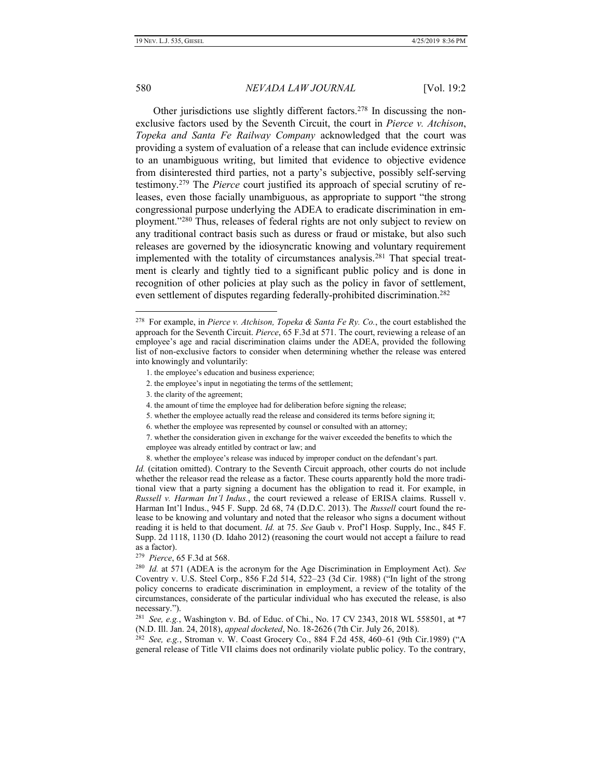### 580 *NEVADA LAW JOURNAL* [Vol. 19:2

Other jurisdictions use slightly different factors.<sup>278</sup> In discussing the nonexclusive factors used by the Seventh Circuit, the court in *Pierce v. Atchison*, *Topeka and Santa Fe Railway Company* acknowledged that the court was providing a system of evaluation of a release that can include evidence extrinsic to an unambiguous writing, but limited that evidence to objective evidence from disinterested third parties, not a party's subjective, possibly self-serving testimony.<sup>279</sup> The *Pierce* court justified its approach of special scrutiny of releases, even those facially unambiguous, as appropriate to support "the strong congressional purpose underlying the ADEA to eradicate discrimination in employment."<sup>280</sup> Thus, releases of federal rights are not only subject to review on any traditional contract basis such as duress or fraud or mistake, but also such releases are governed by the idiosyncratic knowing and voluntary requirement implemented with the totality of circumstances analysis.<sup>281</sup> That special treatment is clearly and tightly tied to a significant public policy and is done in recognition of other policies at play such as the policy in favor of settlement, even settlement of disputes regarding federally-prohibited discrimination.<sup>282</sup>

- 2. the employee's input in negotiating the terms of the settlement;
- 3. the clarity of the agreement;
- 4. the amount of time the employee had for deliberation before signing the release;
- 5. whether the employee actually read the release and considered its terms before signing it;
- 6. whether the employee was represented by counsel or consulted with an attorney;
- 7. whether the consideration given in exchange for the waiver exceeded the benefits to which the employee was already entitled by contract or law; and
- 8. whether the employee's release was induced by improper conduct on the defendant's part.

*Id.* (citation omitted). Contrary to the Seventh Circuit approach, other courts do not include whether the releasor read the release as a factor. These courts apparently hold the more traditional view that a party signing a document has the obligation to read it. For example, in *Russell v. Harman Int'l Indus.*, the court reviewed a release of ERISA claims. Russell v. Harman Int'l Indus., 945 F. Supp. 2d 68, 74 (D.D.C. 2013). The *Russell* court found the release to be knowing and voluntary and noted that the releasor who signs a document without reading it is held to that document. *Id.* at 75. *See* Gaub v. Prof'l Hosp. Supply, Inc., 845 F. Supp. 2d 1118, 1130 (D. Idaho 2012) (reasoning the court would not accept a failure to read as a factor).

281 *See, e.g.*, Washington v. Bd. of Educ. of Chi., No. 17 CV 2343, 2018 WL 558501, at \*7 (N.D. Ill. Jan. 24, 2018), *appeal docketed*, No. 18-2626 (7th Cir. July 26, 2018).

282 *See, e.g.*, Stroman v. W. Coast Grocery Co., 884 F.2d 458, 460–61 (9th Cir.1989) ("A general release of Title VII claims does not ordinarily violate public policy. To the contrary,

<sup>278</sup> For example, in *Pierce v. Atchison, Topeka & Santa Fe Ry. Co.*, the court established the approach for the Seventh Circuit. *Pierce*, 65 F.3d at 571. The court, reviewing a release of an employee's age and racial discrimination claims under the ADEA, provided the following list of non-exclusive factors to consider when determining whether the release was entered into knowingly and voluntarily:

<sup>1.</sup> the employee's education and business experience;

<sup>279</sup> *Pierce*, 65 F.3d at 568.

<sup>280</sup> *Id.* at 571 (ADEA is the acronym for the Age Discrimination in Employment Act). *See*  Coventry v. U.S. Steel Corp., 856 F.2d 514, 522–23 (3d Cir. 1988) ("In light of the strong policy concerns to eradicate discrimination in employment, a review of the totality of the circumstances, considerate of the particular individual who has executed the release, is also necessary.").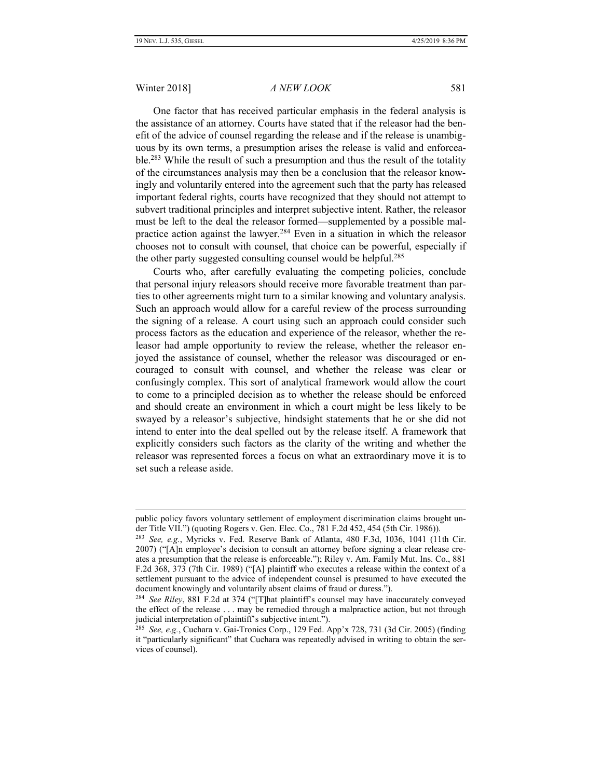#### Winter 2018] *A NEW LOOK* 581

One factor that has received particular emphasis in the federal analysis is the assistance of an attorney. Courts have stated that if the releasor had the benefit of the advice of counsel regarding the release and if the release is unambiguous by its own terms, a presumption arises the release is valid and enforceable.<sup>283</sup> While the result of such a presumption and thus the result of the totality of the circumstances analysis may then be a conclusion that the releasor knowingly and voluntarily entered into the agreement such that the party has released important federal rights, courts have recognized that they should not attempt to subvert traditional principles and interpret subjective intent. Rather, the releasor must be left to the deal the releasor formed—supplemented by a possible malpractice action against the lawyer.<sup>284</sup> Even in a situation in which the releasor chooses not to consult with counsel, that choice can be powerful, especially if the other party suggested consulting counsel would be helpful.<sup>285</sup>

Courts who, after carefully evaluating the competing policies, conclude that personal injury releasors should receive more favorable treatment than parties to other agreements might turn to a similar knowing and voluntary analysis. Such an approach would allow for a careful review of the process surrounding the signing of a release. A court using such an approach could consider such process factors as the education and experience of the releasor, whether the releasor had ample opportunity to review the release, whether the releasor enjoyed the assistance of counsel, whether the releasor was discouraged or encouraged to consult with counsel, and whether the release was clear or confusingly complex. This sort of analytical framework would allow the court to come to a principled decision as to whether the release should be enforced and should create an environment in which a court might be less likely to be swayed by a releasor's subjective, hindsight statements that he or she did not intend to enter into the deal spelled out by the release itself. A framework that explicitly considers such factors as the clarity of the writing and whether the releasor was represented forces a focus on what an extraordinary move it is to set such a release aside.

public policy favors voluntary settlement of employment discrimination claims brought under Title VII.") (quoting Rogers v. Gen. Elec. Co., 781 F.2d 452, 454 (5th Cir. 1986)).

<sup>283</sup> *See, e.g.*, Myricks v. Fed. Reserve Bank of Atlanta, 480 F.3d, 1036, 1041 (11th Cir. 2007) ("[A]n employee's decision to consult an attorney before signing a clear release creates a presumption that the release is enforceable."); Riley v. Am. Family Mut. Ins. Co., 881 F.2d 368, 373 (7th Cir. 1989) ("[A] plaintiff who executes a release within the context of a settlement pursuant to the advice of independent counsel is presumed to have executed the document knowingly and voluntarily absent claims of fraud or duress.").

<sup>284</sup> *See Riley*, 881 F.2d at 374 ("[T]hat plaintiff's counsel may have inaccurately conveyed the effect of the release . . . may be remedied through a malpractice action, but not through judicial interpretation of plaintiff's subjective intent.").

<sup>285</sup> *See, e.g.*, Cuchara v. Gai-Tronics Corp., 129 Fed. App'x 728, 731 (3d Cir. 2005) (finding it "particularly significant" that Cuchara was repeatedly advised in writing to obtain the services of counsel).